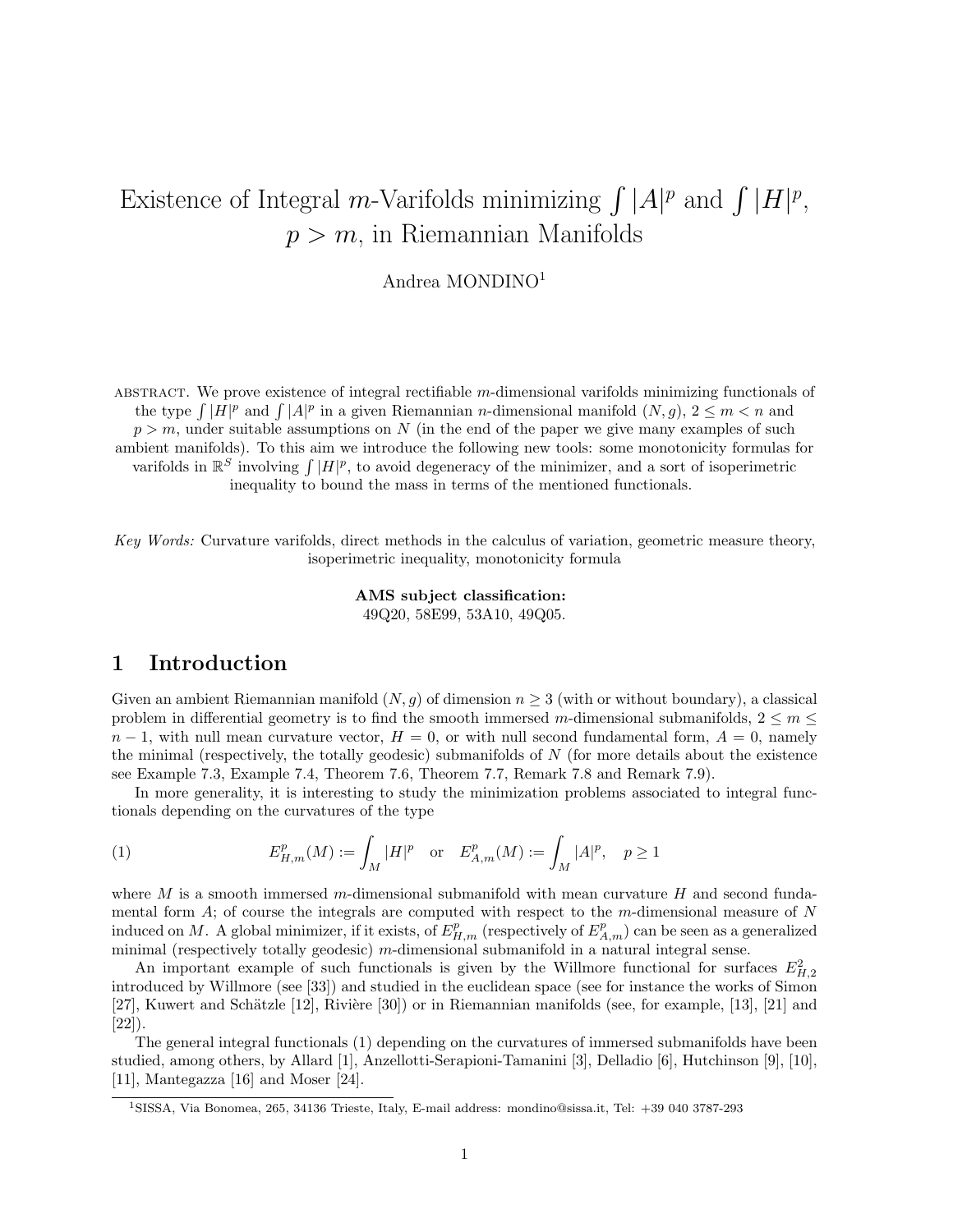# Existence of Integral m-Varifolds minimizing  $\int |A|^p$  and  $\int |H|^p$ ,  $p > m$ , in Riemannian Manifolds

Andrea MONDINO<sup>1</sup>

ABSTRACT. We prove existence of integral rectifiable  $m$ -dimensional varifolds minimizing functionals of the type  $\int |H|^p$  and  $\int |A|^p$  in a given Riemannian *n*-dimensional manifold  $(N, g)$ ,  $2 \leq m < n$  and  $p > m$ , under suitable assumptions on N (in the end of the paper we give many examples of such ambient manifolds). To this aim we introduce the following new tools: some monotonicity formulas for varifolds in  $\mathbb{R}^S$  involving  $\int |H|^p$ , to avoid degeneracy of the minimizer, and a sort of isoperimetric inequality to bound the mass in terms of the mentioned functionals.

Key Words: Curvature varifolds, direct methods in the calculus of variation, geometric measure theory, isoperimetric inequality, monotonicity formula

> AMS subject classification: 49Q20, 58E99, 53A10, 49Q05.

## 1 Introduction

Given an ambient Riemannian manifold  $(N, g)$  of dimension  $n \geq 3$  (with or without boundary), a classical problem in differential geometry is to find the smooth immersed m-dimensional submanifolds,  $2 \le m \le$  $n-1$ , with null mean curvature vector,  $H = 0$ , or with null second fundamental form,  $A = 0$ , namely the minimal (respectively, the totally geodesic) submanifolds of  $N$  (for more details about the existence see Example 7.3, Example 7.4, Theorem 7.6, Theorem 7.7, Remark 7.8 and Remark 7.9).

In more generality, it is interesting to study the minimization problems associated to integral functionals depending on the curvatures of the type

(1) 
$$
E_{H,m}^p(M) := \int_M |H|^p \text{ or } E_{A,m}^p(M) := \int_M |A|^p, \quad p \ge 1
$$

where M is a smooth immersed m-dimensional submanifold with mean curvature H and second fundamental form  $A$ ; of course the integrals are computed with respect to the  $m$ -dimensional measure of  $N$ induced on M. A global minimizer, if it exists, of  $E_{H,m}^p$  (respectively of  $E_{A,m}^p$ ) can be seen as a generalized minimal (respectively totally geodesic) m-dimensional submanifold in a natural integral sense.

An important example of such functionals is given by the Willmore functional for surfaces  $E_{H,2}^2$ introduced by Willmore (see [33]) and studied in the euclidean space (see for instance the works of Simon [27], Kuwert and Schätzle [12], Rivière [30]) or in Riemannian manifolds (see, for example, [13], [21] and [22]).

The general integral functionals (1) depending on the curvatures of immersed submanifolds have been studied, among others, by Allard [1], Anzellotti-Serapioni-Tamanini [3], Delladio [6], Hutchinson [9], [10], [11], Mantegazza [16] and Moser [24].

<sup>1</sup>SISSA, Via Bonomea, 265, 34136 Trieste, Italy, E-mail address: mondino@sissa.it, Tel: +39 040 3787-293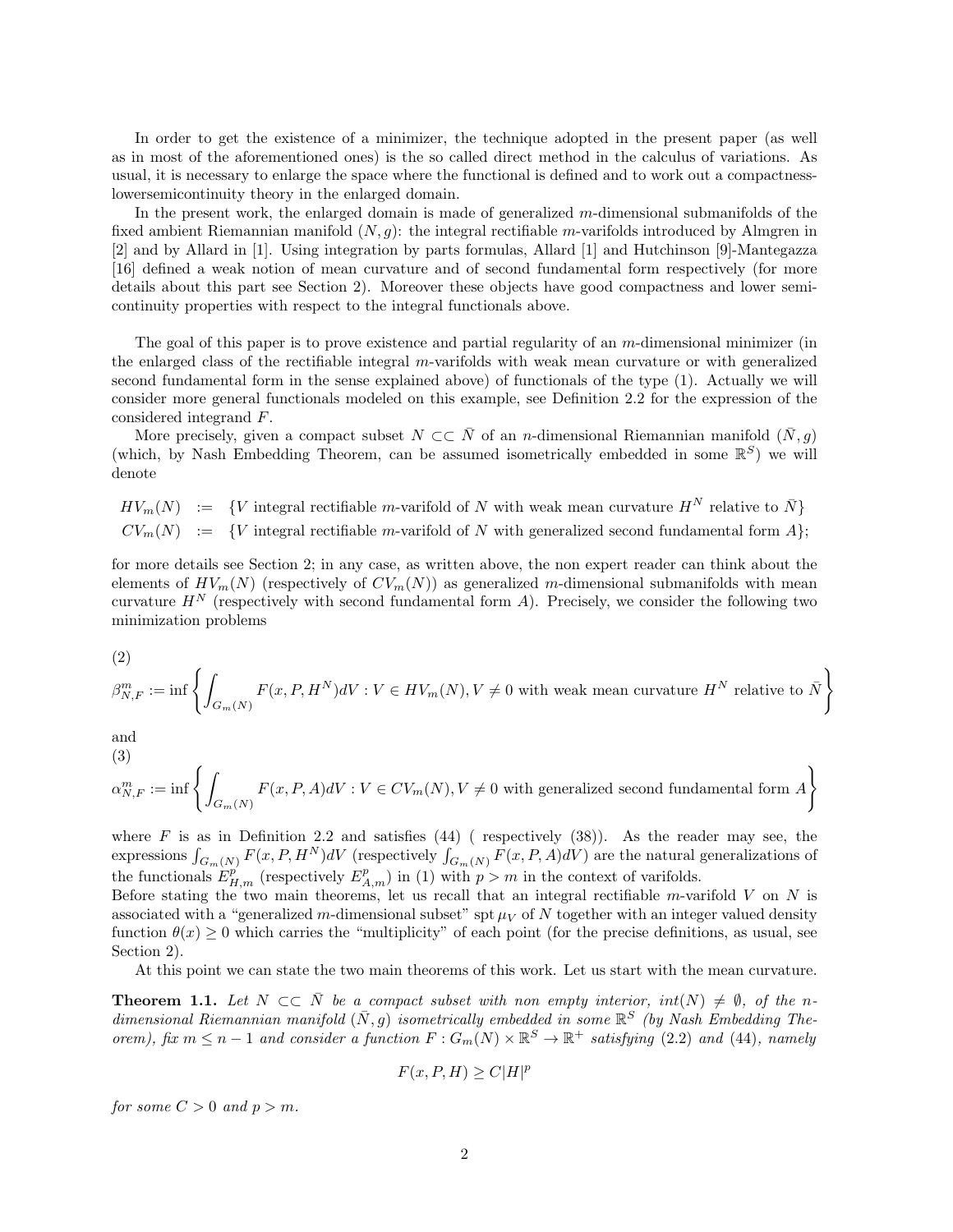In order to get the existence of a minimizer, the technique adopted in the present paper (as well as in most of the aforementioned ones) is the so called direct method in the calculus of variations. As usual, it is necessary to enlarge the space where the functional is defined and to work out a compactnesslowersemicontinuity theory in the enlarged domain.

In the present work, the enlarged domain is made of generalized m-dimensional submanifolds of the fixed ambient Riemannian manifold  $(N, g)$ : the integral rectifiable m-varifolds introduced by Almgren in [2] and by Allard in [1]. Using integration by parts formulas, Allard [1] and Hutchinson [9]-Mantegazza [16] defined a weak notion of mean curvature and of second fundamental form respectively (for more details about this part see Section 2). Moreover these objects have good compactness and lower semicontinuity properties with respect to the integral functionals above.

The goal of this paper is to prove existence and partial regularity of an  $m$ -dimensional minimizer (in the enlarged class of the rectifiable integral m-varifolds with weak mean curvature or with generalized second fundamental form in the sense explained above) of functionals of the type (1). Actually we will consider more general functionals modeled on this example, see Definition 2.2 for the expression of the considered integrand F.

More precisely, given a compact subset  $N \subset \subset \overline{N}$  of an n-dimensional Riemannian manifold  $(\overline{N}, g)$ (which, by Nash Embedding Theorem, can be assumed isometrically embedded in some  $\mathbb{R}^S$ ) we will denote

 $HV_m(N) := \{V \text{ integral rectifiable } m\text{-variable of } N \text{ with weak mean curvature } H^N \text{ relative to } \bar{N}\}\$  $CV_m(N) := \{V \text{ integral rectifiable } m\text{-variable of } N \text{ with generalized second fundamental form } A\};$ 

for more details see Section 2; in any case, as written above, the non expert reader can think about the elements of  $HV_m(N)$  (respectively of  $CV_m(N)$ ) as generalized m-dimensional submanifolds with mean curvature  $H^N$  (respectively with second fundamental form A). Precisely, we consider the following two minimization problems

$$
(2)
$$

$$
\beta_{N,F}^m := \inf \left\{ \int_{G_m(N)} F(x, P, H^N) dV : V \in HV_m(N), V \neq 0 \text{ with weak mean curvature } H^N \text{ relative to } \bar{N} \right\}
$$

and

(3)  

$$
\alpha_{N,F}^m := \inf \left\{ \int_{G_m(N)} F(x, P, A)dV : V \in CV_m(N), V \neq 0 \text{ with generalized second fundamental form } A \right\}
$$

where  $F$  is as in Definition 2.2 and satisfies  $(44)$  (respectively  $(38)$ ). As the reader may see, the expressions  $\int_{G_m(N)} F(x, P, H^N) dV$  (respectively  $\int_{G_m(N)} F(x, P, A) dV$ ) are the natural generalizations of the functionals  $E_{H,m}^p$  (respectively  $E_{A,m}^p$ ) in (1) with  $p > m$  in the context of varifolds.

Before stating the two main theorems, let us recall that an integral rectifiable  $m$ -varifold  $V$  on  $N$  is associated with a "generalized m-dimensional subset" spt  $\mu_V$  of N together with an integer valued density function  $\theta(x) \geq 0$  which carries the "multiplicity" of each point (for the precise definitions, as usual, see Section 2).

At this point we can state the two main theorems of this work. Let us start with the mean curvature.

**Theorem 1.1.** Let  $N \subset \overline{N}$  be a compact subset with non empty interior,  $int(N) \neq \emptyset$ , of the ndimensional Riemannian manifold  $(\bar{N}, g)$  isometrically embedded in some  $\mathbb{R}^S$  (by Nash Embedding Theorem), fix  $m \leq n-1$  and consider a function  $F: G_m(N) \times \mathbb{R}^S \to \mathbb{R}^+$  satisfying (2.2) and (44), namely

$$
F(x, P, H) \ge C|H|^p
$$

for some  $C > 0$  and  $p > m$ .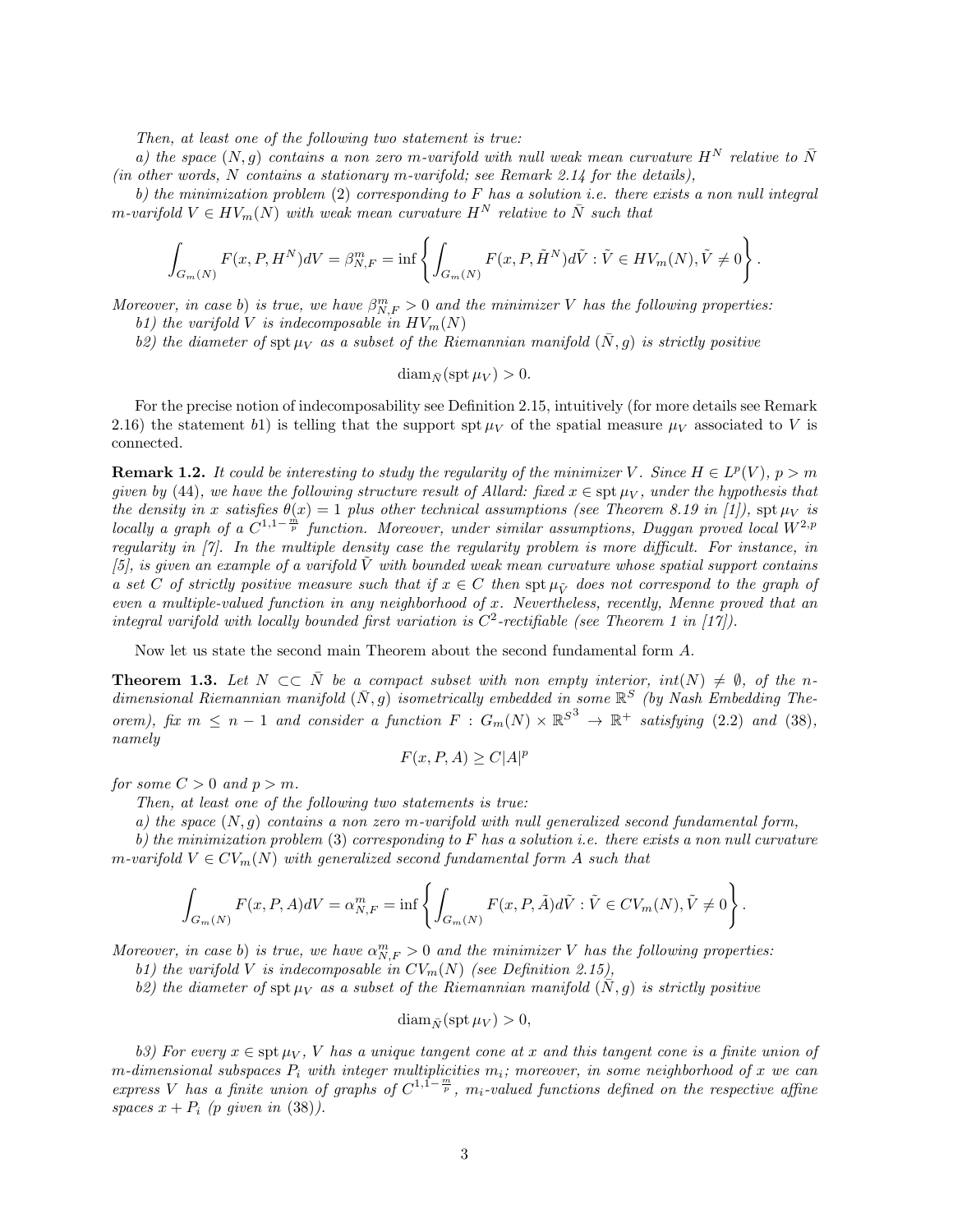Then, at least one of the following two statement is true:

a) the space  $(N, q)$  contains a non zero m-varifold with null weak mean curvature  $H^N$  relative to  $\bar{N}$ (in other words, N contains a stationary m-varifold; see Remark 2.14 for the details),

b) the minimization problem  $(2)$  corresponding to F has a solution i.e. there exists a non null integral m-varifold  $V \in HV_m(N)$  with weak mean curvature  $H^N$  relative to  $\overline{N}$  such that

$$
\int_{G_m(N)} F(x, P, H^N) dV = \beta_{N,F}^m = \inf \left\{ \int_{G_m(N)} F(x, P, \tilde{H}^N) d\tilde{V} : \tilde{V} \in HV_m(N), \tilde{V} \neq 0 \right\}.
$$

Moreover, in case b) is true, we have  $\beta_{N,F}^m > 0$  and the minimizer V has the following properties: b1) the varifold V is indecomposable in  $HV_m(N)$ 

b2) the diameter of spt  $\mu_V$  as a subset of the Riemannian manifold  $(\bar{N}, g)$  is strictly positive

$$
\operatorname{diam}_{\bar{N}}(\operatorname{spt} \mu_V) > 0.
$$

For the precise notion of indecomposability see Definition 2.15, intuitively (for more details see Remark 2.16) the statement b1) is telling that the support spt  $\mu_V$  of the spatial measure  $\mu_V$  associated to V is connected.

**Remark 1.2.** It could be interesting to study the regularity of the minimizer V. Since  $H \in L^p(V)$ ,  $p > m$ given by (44), we have the following structure result of Allard: fixed  $x \in \text{st } \mu_V$ , under the hypothesis that the density in x satisfies  $\theta(x) = 1$  plus other technical assumptions (see Theorem 8.19 in [1]),  $\text{spt}\,\mu_V$  is locally a graph of a  $C^{1,1-\frac{m}{p}}$  function. Moreover, under similar assumptions, Duggan proved local  $W^{2,p}$ regularity in [7]. In the multiple density case the regularity problem is more difficult. For instance, in [5], is given an example of a varifold  $\tilde{V}$  with bounded weak mean curvature whose spatial support contains a set C of strictly positive measure such that if  $x \in C$  then spt  $\mu_V$  does not correspond to the graph of even a multiple-valued function in any neighborhood of x. Nevertheless, recently, Menne proved that an integral varifold with locally bounded first variation is  $C^2$ -rectifiable (see Theorem 1 in [17]).

Now let us state the second main Theorem about the second fundamental form A.

**Theorem 1.3.** Let  $N \subset \overline{N}$  be a compact subset with non empty interior,  $int(N) \neq \emptyset$ , of the ndimensional Riemannian manifold  $(\bar{N}, g)$  isometrically embedded in some  $\mathbb{R}^S$  (by Nash Embedding Theorem), fix  $m \leq n-1$  and consider a function  $F: G_m(N) \times \mathbb{R}^{S^3} \to \mathbb{R}^+$  satisfying (2.2) and (38), namely

$$
F(x, P, A) \ge C|A|^p
$$

for some  $C > 0$  and  $p > m$ .

Then, at least one of the following two statements is true:

a) the space  $(N, q)$  contains a non zero m-varifold with null generalized second fundamental form,

b) the minimization problem  $(3)$  corresponding to F has a solution i.e. there exists a non null curvature m-varifold  $V \in CV_m(N)$  with generalized second fundamental form A such that

$$
\int_{G_m(N)} F(x, P, A)dV = \alpha_{N,F}^m = \inf \left\{ \int_{G_m(N)} F(x, P, \tilde{A}) d\tilde{V} : \tilde{V} \in CV_m(N), \tilde{V} \neq 0 \right\}.
$$

Moreover, in case b) is true, we have  $\alpha_{N,F}^m > 0$  and the minimizer V has the following properties:

b1) the varifold V is indecomposable in  $CV_m(N)$  (see Definition 2.15),

b2) the diameter of spt  $\mu_V$  as a subset of the Riemannian manifold  $(N, g)$  is strictly positive

$$
\operatorname{diam}_{\bar{N}}(\operatorname{spt} \mu_V) > 0,
$$

b3) For every  $x \in \operatorname{spt} \mu_V$ , V has a unique tangent cone at x and this tangent cone is a finite union of m-dimensional subspaces  $P_i$  with integer multiplicities  $m_i$ ; moreover, in some neighborhood of x we can express V has a finite union of graphs of  $C^{1,\overline{1}-\frac{m}{p}}$ ,  $m_i$ -valued functions defined on the respective affine spaces  $x + P_i$  (p given in (38)).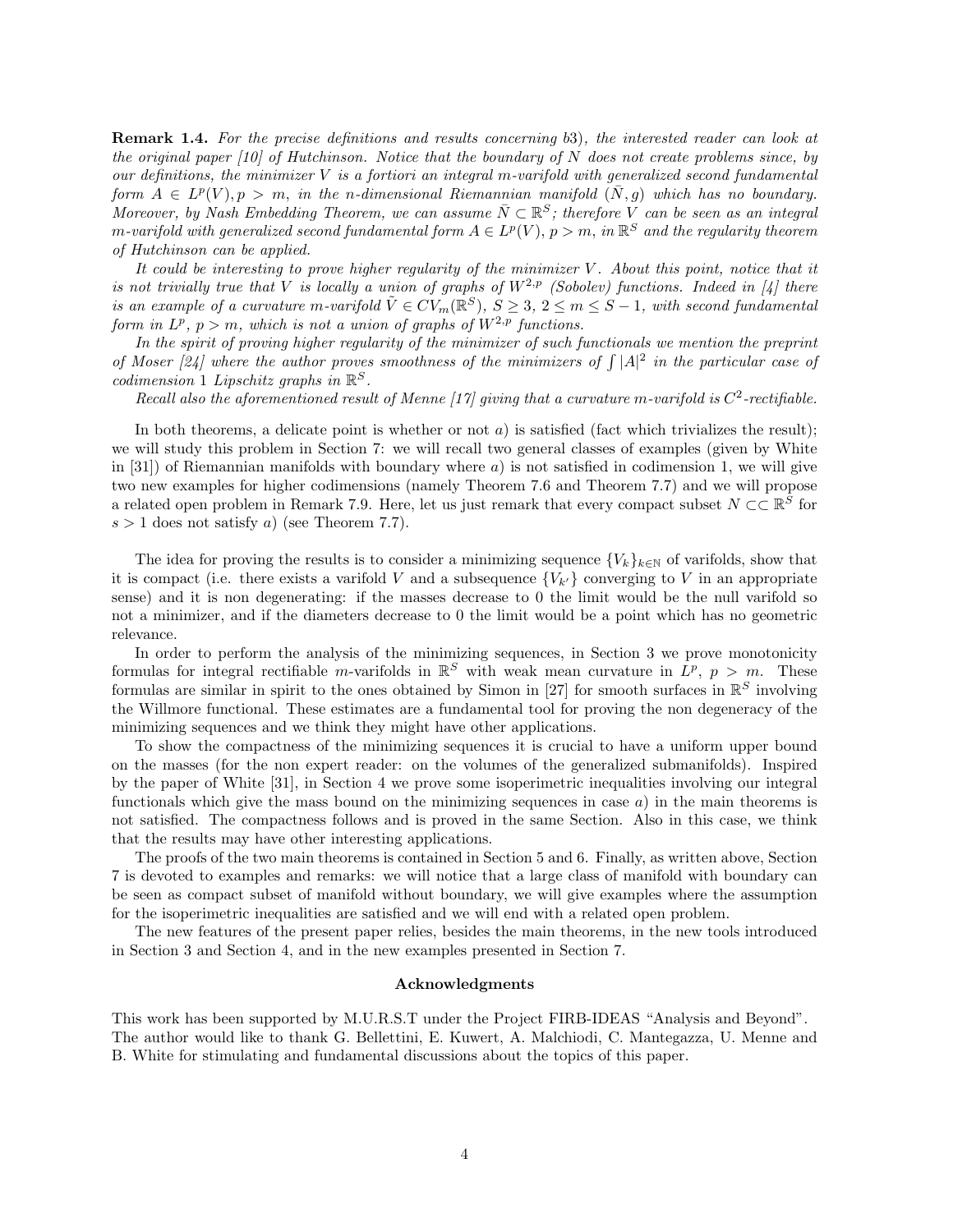Remark 1.4. For the precise definitions and results concerning b3), the interested reader can look at the original paper  $[10]$  of Hutchinson. Notice that the boundary of N does not create problems since, by our definitions, the minimizer  $V$  is a fortiori an integral m-varifold with generalized second fundamental form  $A \in L^p(V)$ ,  $p > m$ , in the n-dimensional Riemannian manifold  $(N, g)$  which has no boundary. Moreover, by Nash Embedding Theorem, we can assume  $\bar{N}\subset \mathbb{R}^S$ ; therefore V can be seen as an integral m-varifold with generalized second fundamental form  $A\in L^p(V),\, p>m,\,$  in  $\mathbb{R}^S$  and the regularity theorem of Hutchinson can be applied.

It could be interesting to prove higher regularity of the minimizer V . About this point, notice that it is not trivially true that V is locally a union of graphs of  $W^{2,p}$  (Sobolev) functions. Indeed in [4] there is an example of a curvature m-varifold  $\tilde{V} \in CV_m(\mathbb{R}^S)$ ,  $S \geq 3$ ,  $2 \leq m \leq S-1$ , with second fundamental form in  $L^p$ ,  $p > m$ , which is not a union of graphs of  $W^{2,p}$  functions.

In the spirit of proving higher regularity of the minimizer of such functionals we mention the preprint of Moser [24] where the author proves smoothness of the minimizers of  $\int |A|^2$  in the particular case of  $codimension 1$  Lipschitz graphs in  $\mathbb{R}^S$ .

Recall also the aforementioned result of Menne [17] giving that a curvature m-varifold is  $C^2$ -rectifiable.

In both theorems, a delicate point is whether or not  $a$ ) is satisfied (fact which trivializes the result); we will study this problem in Section 7: we will recall two general classes of examples (given by White in [31]) of Riemannian manifolds with boundary where  $a$ ) is not satisfied in codimension 1, we will give two new examples for higher codimensions (namely Theorem 7.6 and Theorem 7.7) and we will propose a related open problem in Remark 7.9. Here, let us just remark that every compact subset  $N \subset \mathbb{R}^S$  for  $s > 1$  does not satisfy a) (see Theorem 7.7).

The idea for proving the results is to consider a minimizing sequence  $\{V_k\}_{k\in\mathbb{N}}$  of varifolds, show that it is compact (i.e. there exists a varifold V and a subsequence  $\{V_{k'}\}$  converging to V in an appropriate sense) and it is non degenerating: if the masses decrease to 0 the limit would be the null varifold so not a minimizer, and if the diameters decrease to 0 the limit would be a point which has no geometric relevance.

In order to perform the analysis of the minimizing sequences, in Section 3 we prove monotonicity formulas for integral rectifiable m-varifolds in  $\mathbb{R}^S$  with weak mean curvature in  $L^p$ ,  $p > m$ . These formulas are similar in spirit to the ones obtained by Simon in [27] for smooth surfaces in  $\mathbb{R}^S$  involving the Willmore functional. These estimates are a fundamental tool for proving the non degeneracy of the minimizing sequences and we think they might have other applications.

To show the compactness of the minimizing sequences it is crucial to have a uniform upper bound on the masses (for the non expert reader: on the volumes of the generalized submanifolds). Inspired by the paper of White [31], in Section 4 we prove some isoperimetric inequalities involving our integral functionals which give the mass bound on the minimizing sequences in case  $a$ ) in the main theorems is not satisfied. The compactness follows and is proved in the same Section. Also in this case, we think that the results may have other interesting applications.

The proofs of the two main theorems is contained in Section 5 and 6. Finally, as written above, Section 7 is devoted to examples and remarks: we will notice that a large class of manifold with boundary can be seen as compact subset of manifold without boundary, we will give examples where the assumption for the isoperimetric inequalities are satisfied and we will end with a related open problem.

The new features of the present paper relies, besides the main theorems, in the new tools introduced in Section 3 and Section 4, and in the new examples presented in Section 7.

#### Acknowledgments

This work has been supported by M.U.R.S.T under the Project FIRB-IDEAS "Analysis and Beyond". The author would like to thank G. Bellettini, E. Kuwert, A. Malchiodi, C. Mantegazza, U. Menne and B. White for stimulating and fundamental discussions about the topics of this paper.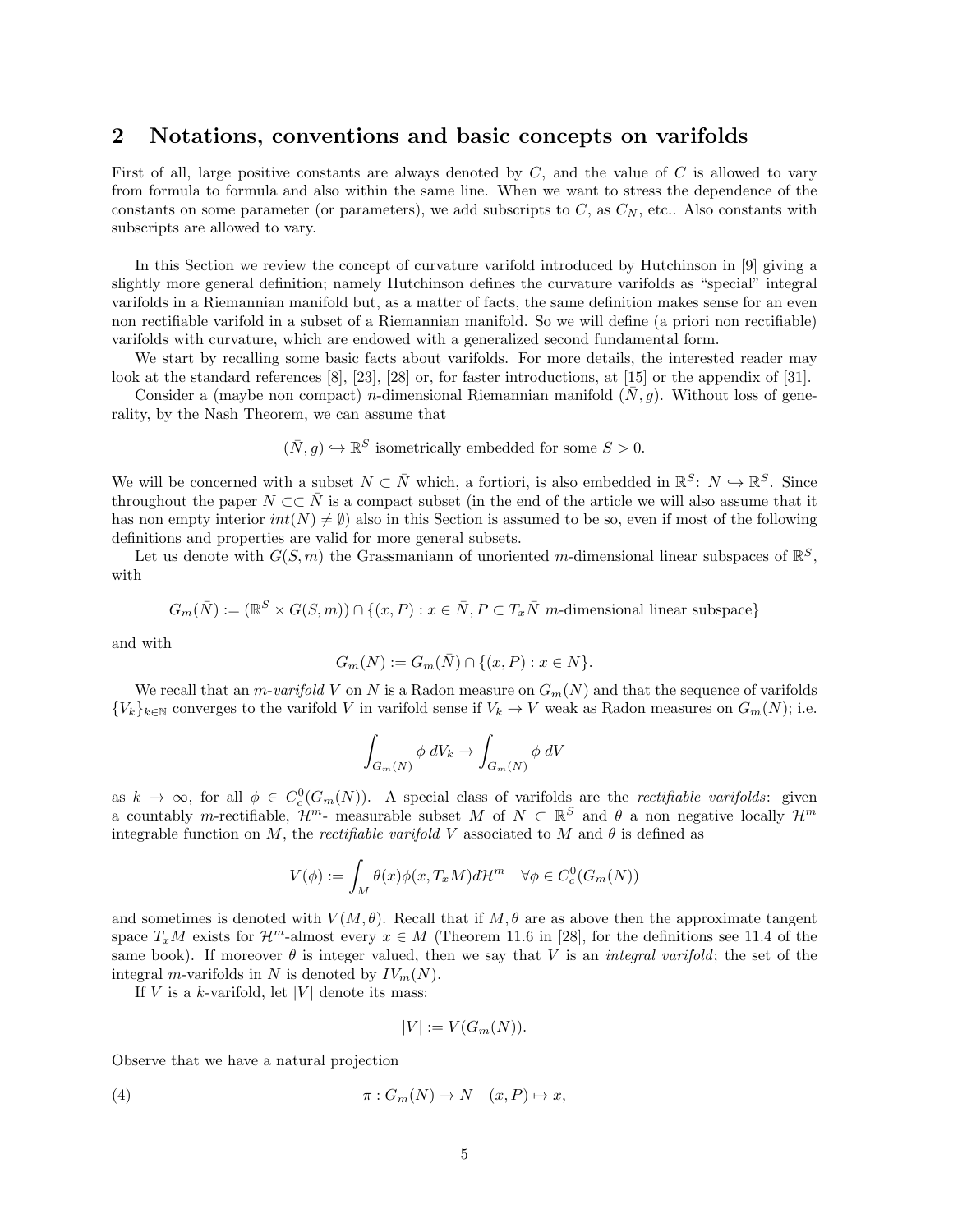### 2 Notations, conventions and basic concepts on varifolds

First of all, large positive constants are always denoted by  $C$ , and the value of  $C$  is allowed to vary from formula to formula and also within the same line. When we want to stress the dependence of the constants on some parameter (or parameters), we add subscripts to  $C$ , as  $C<sub>N</sub>$ , etc.. Also constants with subscripts are allowed to vary.

In this Section we review the concept of curvature varifold introduced by Hutchinson in [9] giving a slightly more general definition; namely Hutchinson defines the curvature varifolds as "special" integral varifolds in a Riemannian manifold but, as a matter of facts, the same definition makes sense for an even non rectifiable varifold in a subset of a Riemannian manifold. So we will define (a priori non rectifiable) varifolds with curvature, which are endowed with a generalized second fundamental form.

We start by recalling some basic facts about varifolds. For more details, the interested reader may look at the standard references [8], [23], [28] or, for faster introductions, at [15] or the appendix of [31].

Consider a (maybe non compact) n-dimensional Riemannian manifold  $(\bar{N}, g)$ . Without loss of generality, by the Nash Theorem, we can assume that

$$
(\bar{N}, g) \hookrightarrow \mathbb{R}^S
$$
 isometrically embedded for some  $S > 0$ .

We will be concerned with a subset  $N \subset \overline{N}$  which, a fortiori, is also embedded in  $\mathbb{R}^S: N \hookrightarrow \mathbb{R}^S$ . Since throughout the paper  $N \subset \subset \overline{N}$  is a compact subset (in the end of the article we will also assume that it has non empty interior  $int(N) \neq \emptyset$  also in this Section is assumed to be so, even if most of the following definitions and properties are valid for more general subsets.

Let us denote with  $G(S, m)$  the Grassmaniann of unoriented m-dimensional linear subspaces of  $\mathbb{R}^S$ , with

$$
G_m(\bar{N}) := (\mathbb{R}^S \times G(S,m)) \cap \{(x, P) : x \in \bar{N}, P \subset T_x \bar{N} \text{ m-dimensional linear subspace}\}
$$

and with

$$
G_m(N) := G_m(\bar{N}) \cap \{(x, P) : x \in N\}.
$$

We recall that an *m-varifold* V on N is a Radon measure on  $G_m(N)$  and that the sequence of varifolds  ${V_k}_{k \in \mathbb{N}}$  converges to the varifold V in varifold sense if  $V_k \to V$  weak as Radon measures on  $G_m(N)$ ; i.e.

$$
\int_{G_m(N)} \phi \, dV_k \to \int_{G_m(N)} \phi \, dV
$$

as  $k \to \infty$ , for all  $\phi \in C_c^0(G_m(N))$ . A special class of varifolds are the *rectifiable varifolds*: given a countably m-rectifiable,  $\mathcal{H}^m$ - measurable subset M of  $N \subset \mathbb{R}^S$  and  $\theta$  a non negative locally  $\mathcal{H}^m$ integrable function on M, the rectifiable varifold V associated to M and  $\theta$  is defined as

$$
V(\phi) := \int_M \theta(x)\phi(x,T_xM)d\mathcal{H}^m \quad \forall \phi \in C_c^0(G_m(N))
$$

and sometimes is denoted with  $V(M, \theta)$ . Recall that if  $M, \theta$  are as above then the approximate tangent space  $T_xM$  exists for  $\mathcal{H}^m$ -almost every  $x \in M$  (Theorem 11.6 in [28], for the definitions see 11.4 of the same book). If moreover  $\theta$  is integer valued, then we say that V is an *integral varifold*; the set of the integral *m*-varifolds in N is denoted by  $IV_m(N)$ .

If V is a k-varifold, let  $|V|$  denote its mass:

$$
|V| := V(G_m(N)).
$$

Observe that we have a natural projection

(4) 
$$
\pi: G_m(N) \to N \quad (x, P) \mapsto x,
$$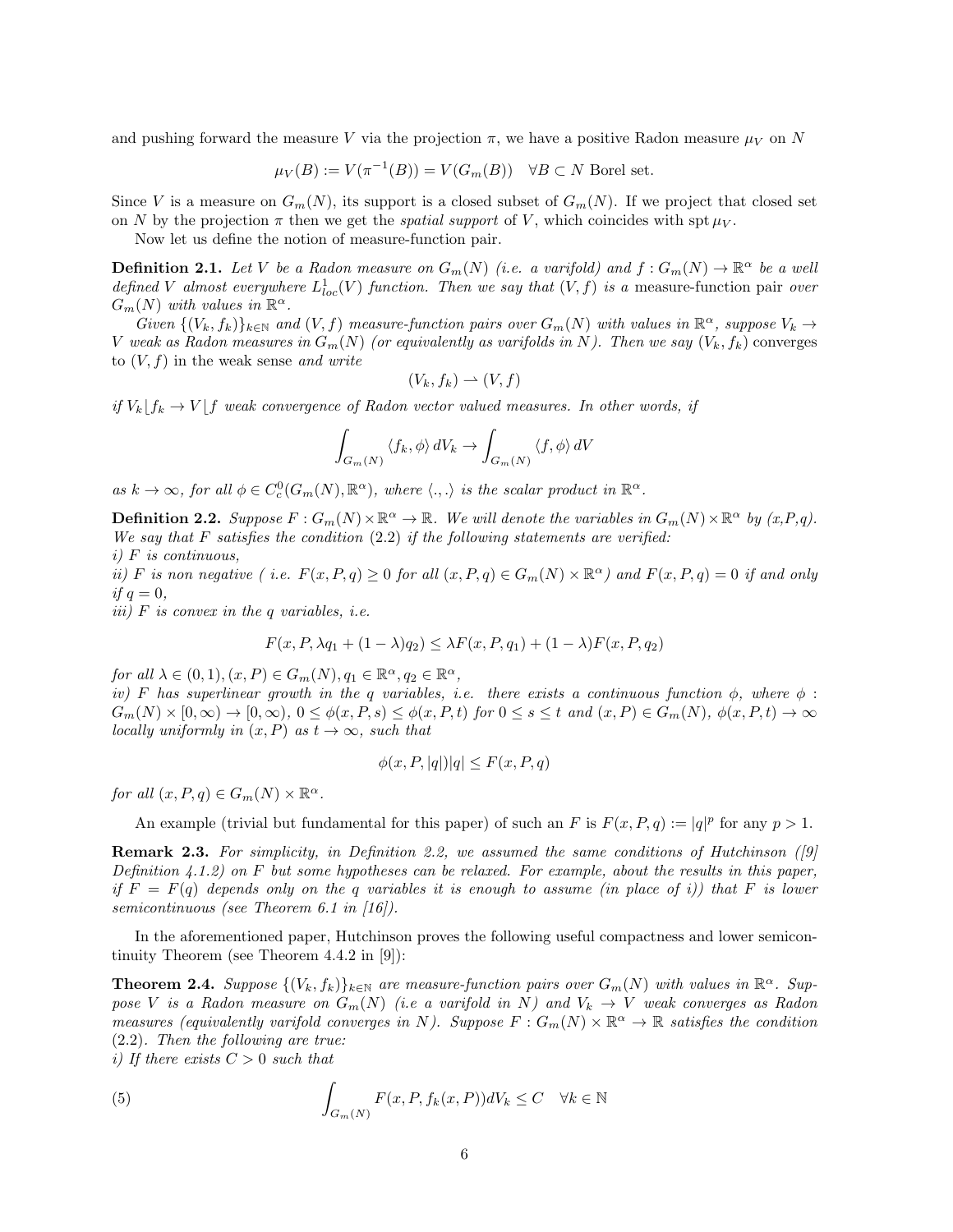and pushing forward the measure V via the projection  $\pi$ , we have a positive Radon measure  $\mu_V$  on N

$$
\mu_V(B) := V(\pi^{-1}(B)) = V(G_m(B)) \quad \forall B \subset N \text{ Borel set.}
$$

Since V is a measure on  $G_m(N)$ , its support is a closed subset of  $G_m(N)$ . If we project that closed set on N by the projection  $\pi$  then we get the *spatial support* of V, which coincides with spt  $\mu_V$ .

Now let us define the notion of measure-function pair.

**Definition 2.1.** Let V be a Radon measure on  $G_m(N)$  (i.e. a varifold) and  $f: G_m(N) \to \mathbb{R}^{\alpha}$  be a well defined V almost everywhere  $L_{loc}^1(V)$  function. Then we say that  $(V, f)$  is a measure-function pair over  $\overline{G}_m(N)$  with values in  $\mathbb{R}^{\alpha}$ .

Given  $\{(V_k, f_k)\}_{k\in\mathbb{N}}$  and  $(V, f)$  measure-function pairs over  $G_m(N)$  with values in  $\mathbb{R}^{\alpha}$ , suppose  $V_k \to$ V weak as Radon measures in  $G_m(N)$  (or equivalently as varifolds in N). Then we say  $(V_k, f_k)$  converges to  $(V, f)$  in the weak sense and write

$$
(V_k, f_k) \rightharpoonup (V, f)
$$

if  $V_k | f_k \to V | f$  weak convergence of Radon vector valued measures. In other words, if

$$
\int_{G_m(N)} \langle f_k, \phi \rangle dV_k \to \int_{G_m(N)} \langle f, \phi \rangle dV
$$

as  $k \to \infty$ , for all  $\phi \in C_c^0(G_m(N), \mathbb{R}^{\alpha})$ , where  $\langle ., . \rangle$  is the scalar product in  $\mathbb{R}^{\alpha}$ .

**Definition 2.2.** Suppose  $F: G_m(N) \times \mathbb{R}^{\alpha} \to \mathbb{R}$ . We will denote the variables in  $G_m(N) \times \mathbb{R}^{\alpha}$  by  $(x, P, q)$ . We say that F satisfies the condition  $(2.2)$  if the following statements are verified:  $i)$  F is continuous,

ii) F is non negative (i.e.  $F(x, P, q) \ge 0$  for all  $(x, P, q) \in G_m(N) \times \mathbb{R}^{\alpha}$ ) and  $F(x, P, q) = 0$  if and only if  $q=0$ ,

iii)  $F$  is convex in the q variables, i.e.

$$
F(x, P, \lambda q_1 + (1 - \lambda)q_2) \leq \lambda F(x, P, q_1) + (1 - \lambda)F(x, P, q_2)
$$

for all  $\lambda \in (0,1), (x, P) \in G_m(N), q_1 \in \mathbb{R}^{\alpha}, q_2 \in \mathbb{R}^{\alpha},$ 

iv) F has superlinear growth in the q variables, i.e. there exists a continuous function  $\phi$ , where  $\phi$ :  $G_m(N) \times [0, \infty) \to [0, \infty), 0 \leq \phi(x, P, s) \leq \phi(x, P, t)$  for  $0 \leq s \leq t$  and  $(x, P) \in G_m(N), \phi(x, P, t) \to \infty$ locally uniformly in  $(x, P)$  as  $t \to \infty$ , such that

$$
\phi(x, P, |q|)|q| \le F(x, P, q)
$$

for all  $(x, P, q) \in G_m(N) \times \mathbb{R}^{\alpha}$ .

An example (trivial but fundamental for this paper) of such an F is  $F(x, P, q) := |q|^p$  for any  $p > 1$ .

**Remark 2.3.** For simplicity, in Definition 2.2, we assumed the same conditions of Hutchinson ( $|9|$ Definition  $4.1.2$ ) on F but some hypotheses can be relaxed. For example, about the results in this paper, if  $F = F(q)$  depends only on the q variables it is enough to assume (in place of i)) that F is lower semicontinuous (see Theorem 6.1 in [16]).

In the aforementioned paper, Hutchinson proves the following useful compactness and lower semicontinuity Theorem (see Theorem 4.4.2 in [9]):

**Theorem 2.4.** Suppose  $\{(V_k, f_k)\}_{k\in\mathbb{N}}$  are measure-function pairs over  $G_m(N)$  with values in  $\mathbb{R}^{\alpha}$ . Suppose V is a Radon measure on  $G_m(N)$  (i.e a varifold in N) and  $V_k \to V$  weak converges as Radon measures (equivalently varifold converges in N). Suppose  $F: G_m(N) \times \mathbb{R}^{\alpha} \to \mathbb{R}$  satisfies the condition (2.2). Then the following are true:

i) If there exists  $C > 0$  such that

(5) 
$$
\int_{G_m(N)} F(x, P, f_k(x, P)) dV_k \leq C \quad \forall k \in \mathbb{N}
$$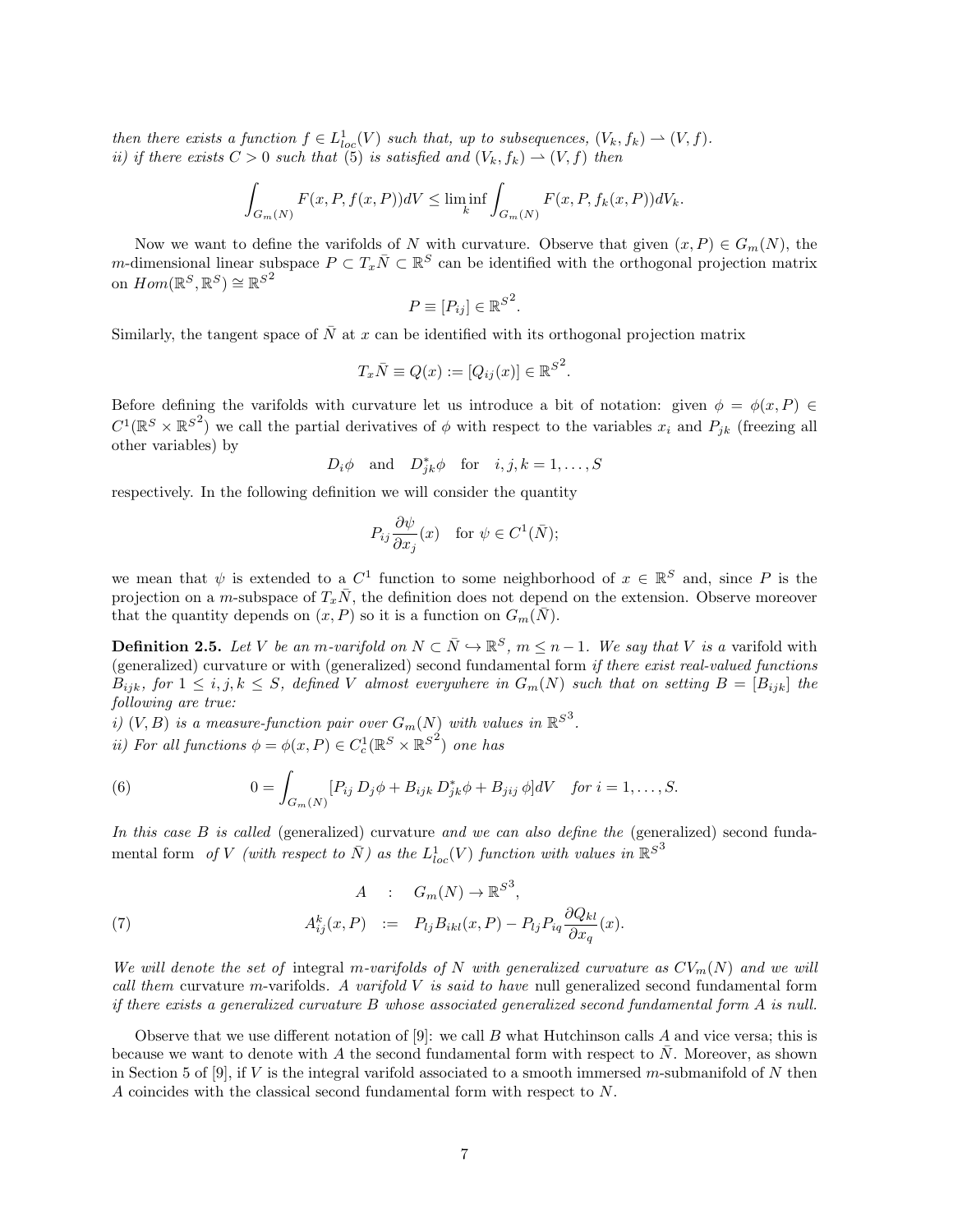then there exists a function  $f \in L^1_{loc}(V)$  such that, up to subsequences,  $(V_k, f_k) \rightharpoonup (V, f)$ . ii) if there exists  $C > 0$  such that (5) is satisfied and  $(V_k, f_k) \rightarrow (V, f)$  then

$$
\int_{G_m(N)} F(x, P, f(x, P))dV \le \liminf_k \int_{G_m(N)} F(x, P, f_k(x, P))dV_k.
$$

Now we want to define the varifolds of N with curvature. Observe that given  $(x, P) \in G_m(N)$ , the m-dimensional linear subspace  $P \subset T_x \overline{N} \subset \mathbb{R}^S$  can be identified with the orthogonal projection matrix on  $Hom(\mathbb{R}^S, \mathbb{R}^S) \cong \mathbb{R}^{S^2}$ 

$$
P \equiv [P_{ij}] \in \mathbb{R}^{S^2}.
$$

Similarly, the tangent space of  $\overline{N}$  at x can be identified with its orthogonal projection matrix

$$
T_x \overline{N} \equiv Q(x) := [Q_{ij}(x)] \in \mathbb{R}^{S^2}.
$$

Before defining the varifolds with curvature let us introduce a bit of notation: given  $\phi = \phi(x, P)$  $C^1(\mathbb{R}^S\times\mathbb{R}^{S^2})$  we call the partial derivatives of  $\phi$  with respect to the variables  $x_i$  and  $P_{jk}$  (freezing all other variables) by

$$
D_i \phi
$$
 and  $D_{jk}^* \phi$  for  $i, j, k = 1, ..., S$ 

respectively. In the following definition we will consider the quantity

$$
P_{ij}\frac{\partial\psi}{\partial x_j}(x) \quad \text{for } \psi \in C^1(\bar{N});
$$

we mean that  $\psi$  is extended to a  $C^1$  function to some neighborhood of  $x \in \mathbb{R}^S$  and, since P is the projection on a m-subspace of  $T_x\bar{N}$ , the definition does not depend on the extension. Observe moreover that the quantity depends on  $(x, P)$  so it is a function on  $G_m(\bar{N})$ .

**Definition 2.5.** Let V be an m-varifold on  $N \subset \overline{N} \hookrightarrow \mathbb{R}^S$ ,  $m \leq n-1$ . We say that V is a varifold with (generalized) curvature or with (generalized) second fundamental form if there exist real-valued functions  $B_{ijk}$ , for  $1 \leq i, j, k \leq S$ , defined V almost everywhere in  $G_m(N)$  such that on setting  $B = [B_{ijk}]$  the following are true:

i)  $(V, B)$  is a measure-function pair over  $G_m(N)$  with values in  $\mathbb{R}^{S^3}$ .

*ii*) For all functions  $\phi = \phi(x, P) \in C_c^1(\mathbb{R}^S \times \mathbb{R}^{S^2})$  one has

(6) 
$$
0 = \int_{G_m(N)} [P_{ij} D_j \phi + B_{ijk} D_{jk}^* \phi + B_{jij} \phi] dV \text{ for } i = 1, ..., S.
$$

In this case B is called (generalized) curvature and we can also define the (generalized) second fundamental form of V (with respect to  $\bar{N}$ ) as the  $L^1_{loc}(V)$  function with values in  $\mathbb{R}^{S^3}$ 

(7) 
$$
A : G_m(N) \to \mathbb{R}^{S^3},
$$

$$
A_{ij}^k(x, P) := P_{ij} B_{ikl}(x, P) - P_{lj} P_{iq} \frac{\partial Q_{kl}}{\partial x_q}(x).
$$

We will denote the set of integral m-varifolds of N with generalized curvature as  $CV_m(N)$  and we will call them curvature m-varifolds. A varifold  $V$  is said to have null generalized second fundamental form if there exists a generalized curvature  $B$  whose associated generalized second fundamental form  $A$  is null.

Observe that we use different notation of  $[9]$ : we call B what Hutchinson calls A and vice versa; this is because we want to denote with A the second fundamental form with respect to  $N$ . Moreover, as shown in Section 5 of [9], if V is the integral varifold associated to a smooth immersed m-submanifold of N then A coincides with the classical second fundamental form with respect to N.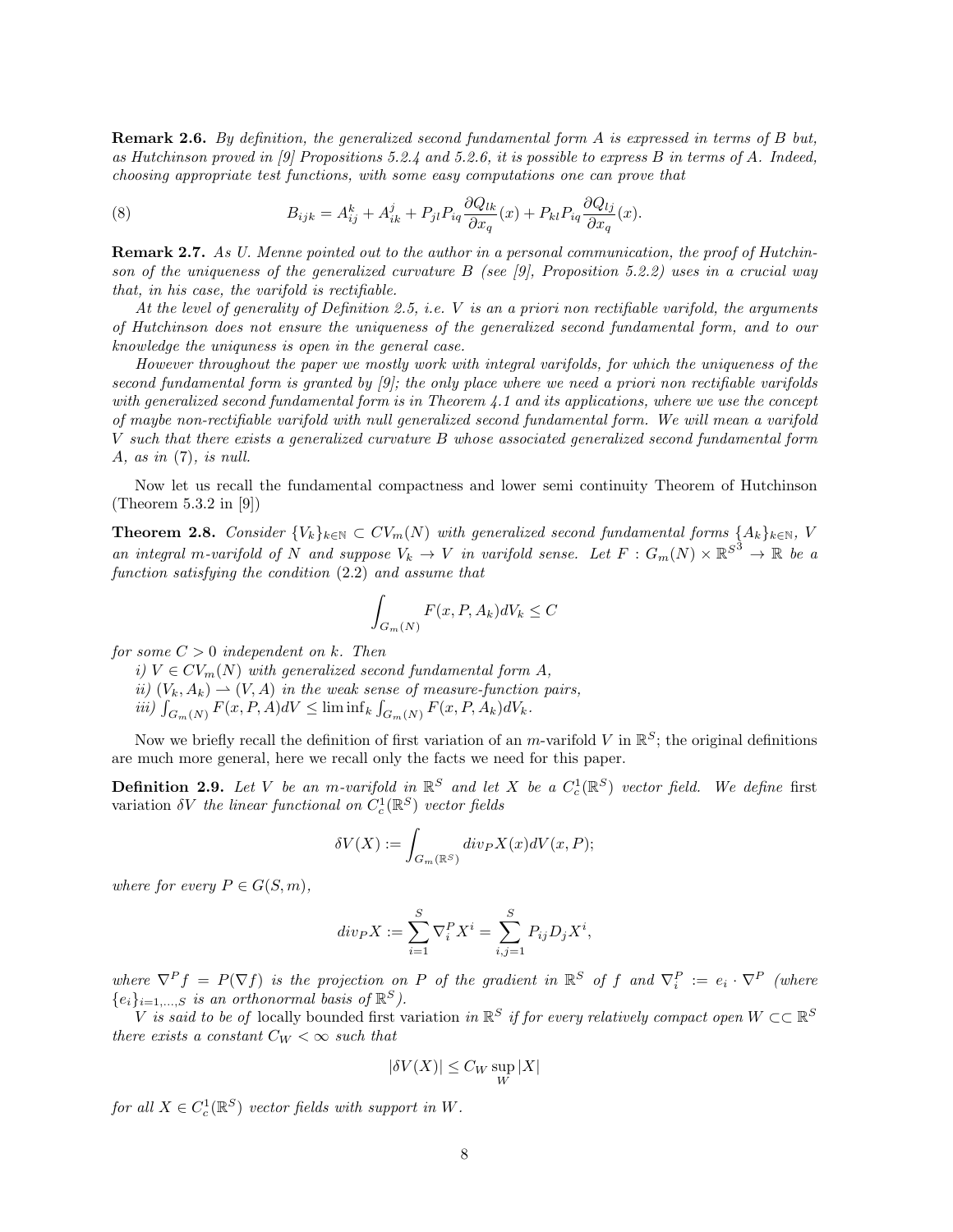**Remark 2.6.** By definition, the generalized second fundamental form A is expressed in terms of B but, as Hutchinson proved in [9] Propositions 5.2.4 and 5.2.6, it is possible to express B in terms of A. Indeed, choosing appropriate test functions, with some easy computations one can prove that

(8) 
$$
B_{ijk} = A_{ij}^k + A_{ik}^j + P_{jl} P_{iq} \frac{\partial Q_{lk}}{\partial x_q}(x) + P_{kl} P_{iq} \frac{\partial Q_{lj}}{\partial x_q}(x).
$$

**Remark 2.7.** As U. Menne pointed out to the author in a personal communication, the proof of Hutchinson of the uniqueness of the generalized curvature  $B$  (see [9], Proposition 5.2.2) uses in a crucial way that, in his case, the varifold is rectifiable.

At the level of generality of Definition 2.5, i.e. V is an a priori non rectifiable varifold, the arguments of Hutchinson does not ensure the uniqueness of the generalized second fundamental form, and to our knowledge the uniquness is open in the general case.

However throughout the paper we mostly work with integral varifolds, for which the uniqueness of the second fundamental form is granted by [9]; the only place where we need a priori non rectifiable varifolds with generalized second fundamental form is in Theorem 4.1 and its applications, where we use the concept of maybe non-rectifiable varifold with null generalized second fundamental form. We will mean a varifold V such that there exists a generalized curvature B whose associated generalized second fundamental form A, as in  $(7)$ , is null.

Now let us recall the fundamental compactness and lower semi continuity Theorem of Hutchinson (Theorem 5.3.2 in [9])

**Theorem 2.8.** Consider  ${V_k}_{k \in \mathbb{N}} \subset CV_m(N)$  with generalized second fundamental forms  ${A_k}_{k \in \mathbb{N}}$ , V an integral m-varifold of N and suppose  $V_k \to V$  in varifold sense. Let  $F: G_m(N) \times \mathbb{R}^{S^3} \to \mathbb{R}$  be a function satisfying the condition (2.2) and assume that

$$
\int_{G_m(N)} F(x, P, A_k)dV_k \le C
$$

for some  $C > 0$  independent on k. Then

i)  $V \in CV_m(N)$  with generalized second fundamental form A, ii)  $(V_k, A_k) \rightharpoonup (V, A)$  in the weak sense of measure-function pairs, iii)  $\int_{G_m(N)} F(x, P, A) dV \leq \liminf_k \int_{G_m(N)} F(x, P, A_k) dV_k.$ 

Now we briefly recall the definition of first variation of an m-varifold V in  $\mathbb{R}^S$ ; the original definitions are much more general, here we recall only the facts we need for this paper.

**Definition 2.9.** Let V be an m-varifold in  $\mathbb{R}^S$  and let X be a  $C_c^1(\mathbb{R}^S)$  vector field. We define first variation  $\delta V$  the linear functional on  $C_c^1(\mathbb{R}^S)$  vector fields

$$
\delta V(X) := \int_{G_m(\mathbb{R}^S)} div_P X(x) dV(x, P);
$$

where for every  $P \in G(S,m)$ ,

$$
div_P X := \sum_{i=1}^{S} \nabla_i^P X^i = \sum_{i,j=1}^{S} P_{ij} D_j X^i,
$$

where  $\nabla^P f = P(\nabla f)$  is the projection on P of the gradient in  $\mathbb{R}^S$  of f and  $\nabla_i^P := e_i \cdot \nabla^P$  (where  $\{e_i\}_{i=1,\dots,S}$  is an orthonormal basis of  $\mathbb{R}^S$ ).

V is said to be of locally bounded first variation in  $\mathbb{R}^S$  if for every relatively compact open  $W\subset\subset \mathbb{R}^S$ there exists a constant  $C_W < \infty$  such that

$$
|\delta V(X)| \leq C_W \sup_W |X|
$$

for all  $X \in C_c^1(\mathbb{R}^S)$  vector fields with support in W.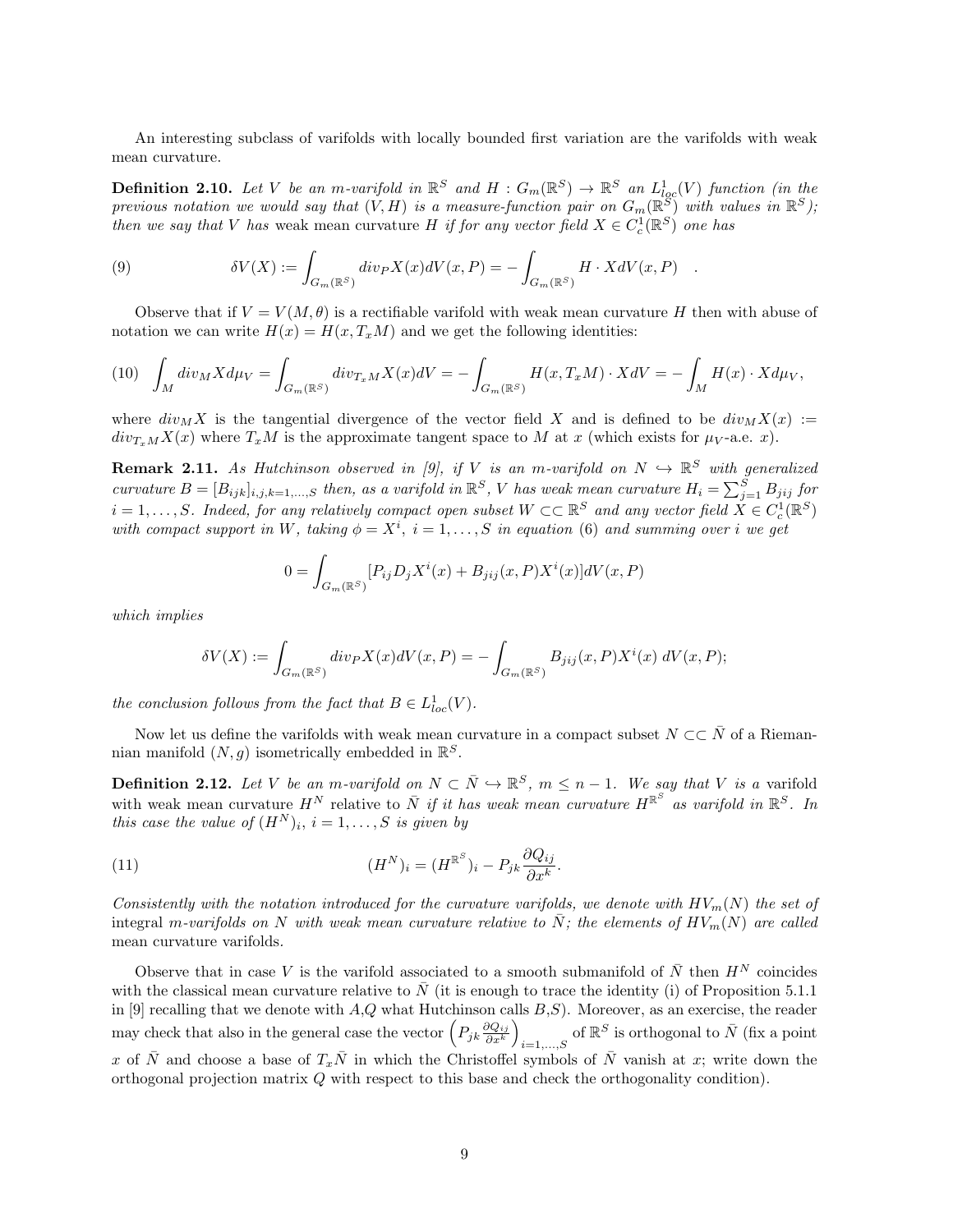An interesting subclass of varifolds with locally bounded first variation are the varifolds with weak mean curvature.

**Definition 2.10.** Let V be an m-varifold in  $\mathbb{R}^S$  and  $H: G_m(\mathbb{R}^S) \to \mathbb{R}^S$  an  $L^1_{loc}(V)$  function (in the previous notation we would say that  $(V, H)$  is a measure-function pair on  $G_m(\mathbb{R}^S)$  with values in  $\mathbb{R}^S$ ); then we say that V has weak mean curvature H if for any vector field  $X \in C_c^1(\mathbb{R}^S)$  one has

(9) 
$$
\delta V(X) := \int_{G_m(\mathbb{R}^S)} div_P X(x) dV(x, P) = - \int_{G_m(\mathbb{R}^S)} H \cdot X dV(x, P) .
$$

Observe that if  $V = V(M, \theta)$  is a rectifiable varifold with weak mean curvature H then with abuse of notation we can write  $H(x) = H(x, T_xM)$  and we get the following identities:

$$
(10)\quad \int_M \operatorname{div}_M X d\mu_V = \int_{G_m(\mathbb{R}^S)} \operatorname{div}_{T_x M} X(x) dV = -\int_{G_m(\mathbb{R}^S)} H(x, T_x M) \cdot X dV = -\int_M H(x) \cdot X d\mu_V,
$$

where  $div_M X$  is the tangential divergence of the vector field X and is defined to be  $div_M X(x) :=$  $div_{T_xM}X(x)$  where  $T_xM$  is the approximate tangent space to M at x (which exists for  $\mu_V$ -a.e. x).

**Remark 2.11.** As Hutchinson observed in [9], if V is an m-varifold on  $N \hookrightarrow \mathbb{R}^S$  with generalized curvature  $B = [B_{ijk}]_{i,j,k=1,...,S}$  then, as a varifold in  $\mathbb{R}^S$ , V has weak mean curvature  $H_i = \sum_{j=1}^S B_{jij}$  for  $i=1,\ldots,S.$  Indeed, for any relatively compact open subset  $W\subset\subset\mathbb{R}^S$  and any vector field  $\check{X}\in C^1_c(\mathbb{R}^S)$ with compact support in W, taking  $\phi = X^i$ ,  $i = 1, \ldots, S$  in equation (6) and summing over i we get

$$
0 = \int_{G_m(\mathbb{R}^S)} [P_{ij} D_j X^i(x) + B_{jij}(x, P) X^i(x)] dV(x, P)
$$

which implies

$$
\delta V(X) := \int_{G_m(\mathbb{R}^S)} \operatorname{div}_P X(x) dV(x, P) = - \int_{G_m(\mathbb{R}^S)} B_{jij}(x, P) X^i(x) dV(x, P);
$$

the conclusion follows from the fact that  $B \in L^1_{loc}(V)$ .

Now let us define the varifolds with weak mean curvature in a compact subset  $N \subset \subset \overline{N}$  of a Riemannian manifold  $(N, g)$  isometrically embedded in  $\mathbb{R}^S$ .

**Definition 2.12.** Let V be an m-varifold on  $N \subset \overline{N} \hookrightarrow \mathbb{R}^S$ ,  $m \leq n-1$ . We say that V is a varifold with weak mean curvature  $H^N$  relative to  $\bar{N}$  if it has weak mean curvature  $H^{\mathbb{R}^S}$  as varifold in  $\mathbb{R}^S$ . In this case the value of  $(H^N)_i$ ,  $i = 1, \ldots, S$  is given by

(11) 
$$
(H^N)_i = (H^{\mathbb{R}^S})_i - P_{jk} \frac{\partial Q_{ij}}{\partial x^k}.
$$

Consistently with the notation introduced for the curvature varifolds, we denote with  $HV_m(N)$  the set of integral m-varifolds on N with weak mean curvature relative to  $\bar{N}$ ; the elements of  $HV_m(N)$  are called mean curvature varifolds.

Observe that in case V is the varifold associated to a smooth submanifold of  $\bar{N}$  then  $H^N$  coincides with the classical mean curvature relative to  $\bar{N}$  (it is enough to trace the identity (i) of Proposition 5.1.1 in [9] recalling that we denote with  $A,Q$  what Hutchinson calls  $B,S$ ). Moreover, as an exercise, the reader may check that also in the general case the vector  $\left(P_{jk}\frac{\partial Q_{ij}}{\partial x^k}\right)$  $\frac{\partial Q_{ij}}{\partial x^k}\bigg)$  $\sum_{i=1,...,S}$  of  $\mathbb{R}^S$  is orthogonal to  $\bar{N}$  (fix a point x of  $\bar{N}$  and choose a base of  $T_x\bar{N}$  in which the Christoffel symbols of  $\bar{N}$  vanish at x; write down the orthogonal projection matrix Q with respect to this base and check the orthogonality condition).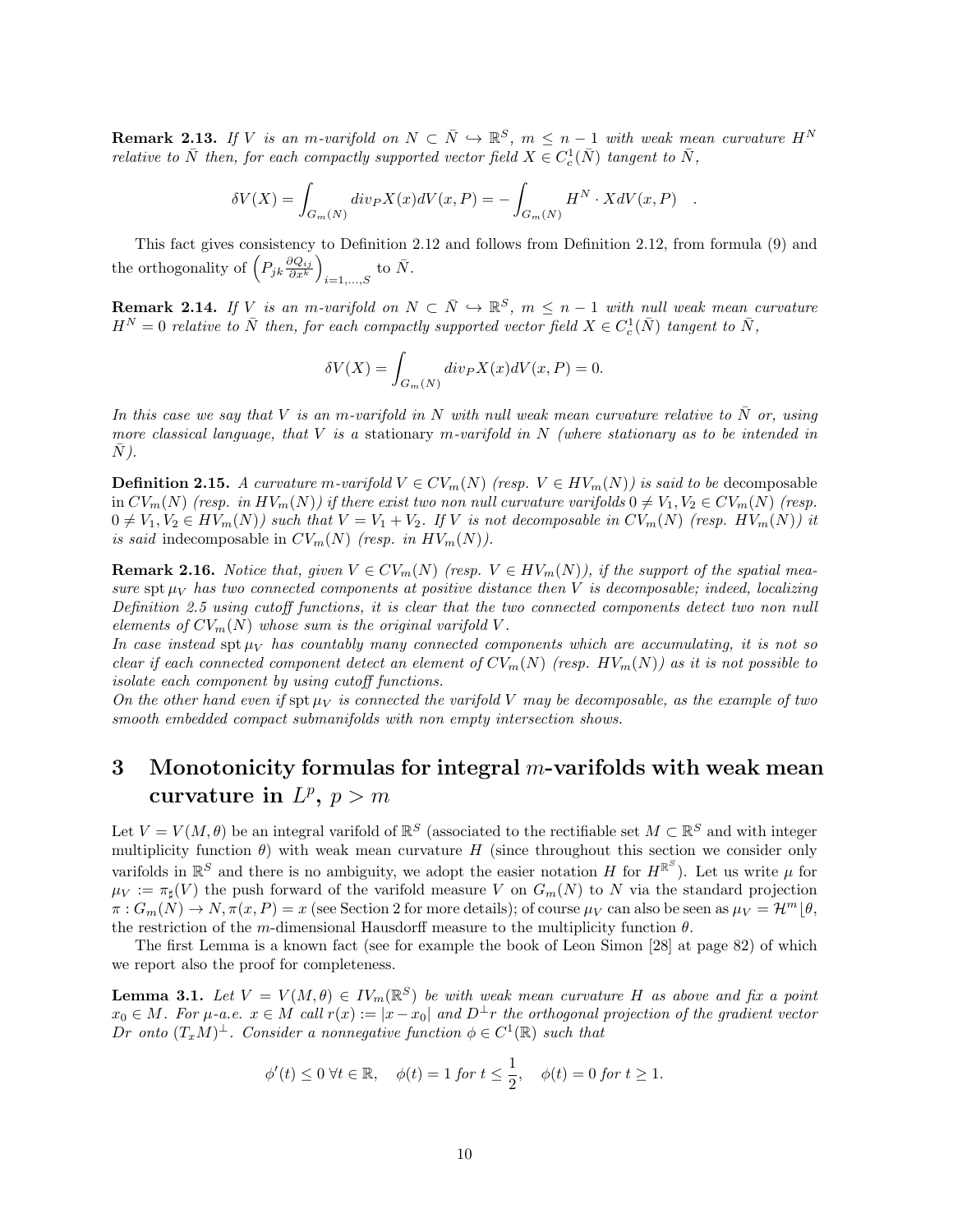**Remark 2.13.** If V is an m-varifold on  $N \subset \overline{N} \hookrightarrow \mathbb{R}^S$ ,  $m \leq n-1$  with weak mean curvature  $H^N$ relative to  $\bar{N}$  then, for each compactly supported vector field  $X \in C_c^1(\bar{N})$  tangent to  $\bar{N}$ ,

$$
\delta V(X) = \int_{G_m(N)} \operatorname{div}_P X(x) dV(x, P) = - \int_{G_m(N)} H^N \cdot X dV(x, P) .
$$

This fact gives consistency to Definition 2.12 and follows from Definition 2.12, from formula (9) and the orthogonality of  $\left(P_{jk}\frac{\partial Q_{ij}}{\partial x^k}\right)$  $\frac{\partial Q_{ij}}{\partial x^k}\bigg)$  $_{i=1,...,S}$  to  $\bar{N}$ .

**Remark 2.14.** If V is an m-varifold on  $N \subset \overline{N} \hookrightarrow \mathbb{R}^S$ ,  $m \leq n-1$  with null weak mean curvature  $H^N=0$  relative to  $\bar{N}$  then, for each compactly supported vector field  $X\in C_c^1(\bar{N})$  tangent to  $\bar{N},$ 

$$
\delta V(X) = \int_{G_m(N)} \operatorname{div}_P X(x) dV(x, P) = 0.
$$

In this case we say that V is an m-varifold in N with null weak mean curvature relative to  $\bar{N}$  or, using more classical language, that  $V$  is a stationary m-varifold in  $N$  (where stationary as to be intended in  $\overline{N}$ ).

**Definition 2.15.** A curvature m-varifold  $V \in CV_m(N)$  (resp.  $V \in HV_m(N)$ ) is said to be decomposable in  $CV_m(N)$  (resp. in  $HV_m(N)$ ) if there exist two non null curvature varifolds  $0 \neq V_1, V_2 \in CV_m(N)$  (resp.  $0 \neq V_1, V_2 \in HV_m(N)$  such that  $V = V_1 + V_2$ . If V is not decomposable in  $CV_m(N)$  (resp.  $HV_m(N)$ ) it is said indecomposable in  $CV_m(N)$  (resp. in  $HV_m(N)$ ).

**Remark 2.16.** Notice that, given  $V \in CV_m(N)$  (resp.  $V \in HV_m(N)$ ), if the support of the spatial measure spt  $\mu_V$  has two connected components at positive distance then V is decomposable; indeed, localizing Definition 2.5 using cutoff functions, it is clear that the two connected components detect two non null elements of  $CV_m(N)$  whose sum is the original varifold V.

In case instead  $\text{spt }\mu_V$  has countably many connected components which are accumulating, it is not so clear if each connected component detect an element of  $CV_m(N)$  (resp.  $HV_m(N)$ ) as it is not possible to isolate each component by using cutoff functions.

On the other hand even if  $\text{spt }\mu_V$  is connected the varifold V may be decomposable, as the example of two smooth embedded compact submanifolds with non empty intersection shows.

## 3 Monotonicity formulas for integral  $m$ -varifolds with weak mean curvature in  $L^p$ ,  $p > m$

Let  $V = V(M, \theta)$  be an integral varifold of  $\mathbb{R}^S$  (associated to the rectifiable set  $M \subset \mathbb{R}^S$  and with integer multiplicity function  $\theta$ ) with weak mean curvature H (since throughout this section we consider only varifolds in  $\mathbb{R}^S$  and there is no ambiguity, we adopt the easier notation H for  $H^{\mathbb{R}^S}$ ). Let us write  $\mu$  for  $\mu_V := \pi_\sharp(V)$  the push forward of the varifold measure V on  $G_m(N)$  to N via the standard projection  $\pi: G_m(N) \to N, \pi(x, P) = x$  (see Section 2 for more details); of course  $\mu_V$  can also be seen as  $\mu_V = \mathcal{H}^m(\theta, \theta)$ the restriction of the m-dimensional Hausdorff measure to the multiplicity function  $\theta$ .

The first Lemma is a known fact (see for example the book of Leon Simon [28] at page 82) of which we report also the proof for completeness.

**Lemma 3.1.** Let  $V = V(M, \theta) \in IV_m(\mathbb{R}^S)$  be with weak mean curvature H as above and fix a point  $x_0 \in M$ . For  $\mu$ -a.e.  $x \in M$  call  $r(x) := |x - x_0|$  and  $D^{\perp}r$  the orthogonal projection of the gradient vector Dr onto  $(T_xM)^{\perp}$ . Consider a nonnegative function  $\phi \in C^1(\mathbb{R})$  such that

$$
\phi'(t) \le 0 \,\forall t \in \mathbb{R}, \quad \phi(t) = 1 \text{ for } t \le \frac{1}{2}, \quad \phi(t) = 0 \text{ for } t \ge 1.
$$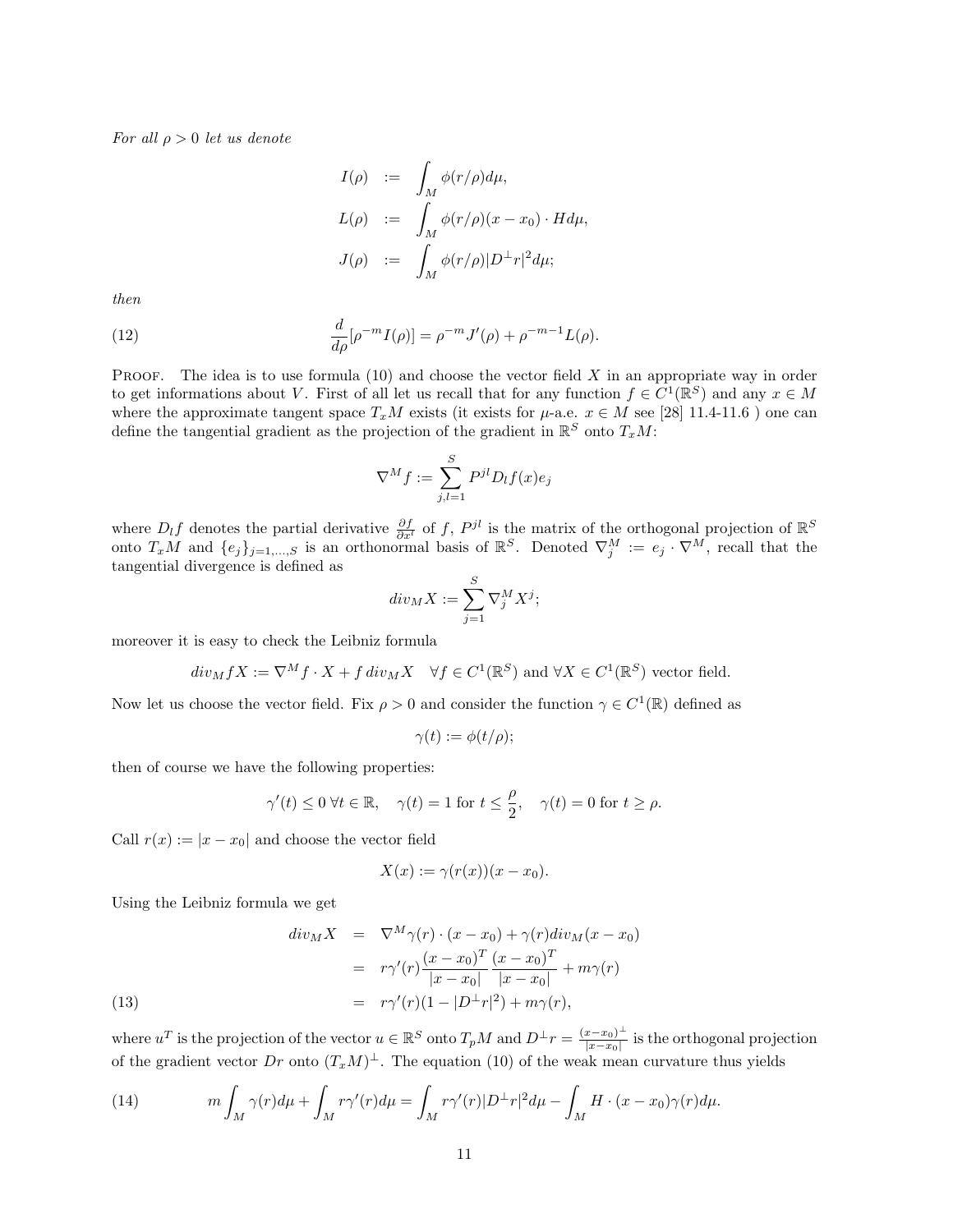For all  $\rho > 0$  let us denote

$$
I(\rho) := \int_M \phi(r/\rho) d\mu,
$$
  
\n
$$
L(\rho) := \int_M \phi(r/\rho)(x - x_0) \cdot H d\mu,
$$
  
\n
$$
J(\rho) := \int_M \phi(r/\rho) |D^{\perp}r|^2 d\mu;
$$

then

(12) 
$$
\frac{d}{d\rho}[\rho^{-m}I(\rho)] = \rho^{-m}J'(\rho) + \rho^{-m-1}L(\rho).
$$

PROOF. The idea is to use formula  $(10)$  and choose the vector field X in an appropriate way in order to get informations about V. First of all let us recall that for any function  $f \in C^1(\mathbb{R}^S)$  and any  $x \in M$ where the approximate tangent space  $T_xM$  exists (it exists for  $\mu$ -a.e.  $x \in M$  see [28] 11.4-11.6 ) one can define the tangential gradient as the projection of the gradient in  $\mathbb{R}^S$  onto  $T_xM$ :

$$
\nabla^M f := \sum_{j,l=1}^S P^{jl} D_l f(x) e_j
$$

where  $D_l f$  denotes the partial derivative  $\frac{\partial f}{\partial x^l}$  of f,  $P^{jl}$  is the matrix of the orthogonal projection of  $\mathbb{R}^S$ onto  $T_xM$  and  $\{e_j\}_{j=1,\dots,S}$  is an orthonormal basis of  $\mathbb{R}^S$ . Denoted  $\nabla_j^M := e_j \cdot \nabla^M$ , recall that the tangential divergence is defined as

$$
div_M X := \sum_{j=1}^S \nabla_j^M X^j;
$$

moreover it is easy to check the Leibniz formula

$$
div_M f X := \nabla^M f \cdot X + f \, div_M X \quad \forall f \in C^1(\mathbb{R}^S) \text{ and } \forall X \in C^1(\mathbb{R}^S) \text{ vector field.}
$$

Now let us choose the vector field. Fix  $\rho > 0$  and consider the function  $\gamma \in C^1(\mathbb{R})$  defined as

$$
\gamma(t) := \phi(t/\rho);
$$

then of course we have the following properties:

$$
\gamma'(t) \le 0 \ \forall t \in \mathbb{R}, \quad \gamma(t) = 1 \text{ for } t \le \frac{\rho}{2}, \quad \gamma(t) = 0 \text{ for } t \ge \rho.
$$

Call  $r(x) := |x - x_0|$  and choose the vector field

$$
X(x) := \gamma(r(x))(x - x_0).
$$

Using the Leibniz formula we get

(13)  
\n
$$
div_M X = \nabla^M \gamma(r) \cdot (x - x_0) + \gamma(r)div_M(x - x_0)
$$
\n
$$
= r\gamma'(r) \frac{(x - x_0)^T}{|x - x_0|} \frac{(x - x_0)^T}{|x - x_0|} + m\gamma(r)
$$
\n
$$
= r\gamma'(r)(1 - |D^{\perp}r|^2) + m\gamma(r),
$$

where  $u^T$  is the projection of the vector  $u \in \mathbb{R}^S$  onto  $T_pM$  and  $D^{\perp}r = \frac{(x-x_0)^{\perp}}{|x-x_0|}$  $\frac{x-x_0)^{-}}{|x-x_0|}$  is the orthogonal projection of the gradient vector Dr onto  $(T_xM)^{\perp}$ . The equation (10) of the weak mean curvature thus yields

(14) 
$$
m \int_M \gamma(r) d\mu + \int_M r \gamma'(r) d\mu = \int_M r \gamma'(r) |D^\perp r|^2 d\mu - \int_M H \cdot (x - x_0) \gamma(r) d\mu.
$$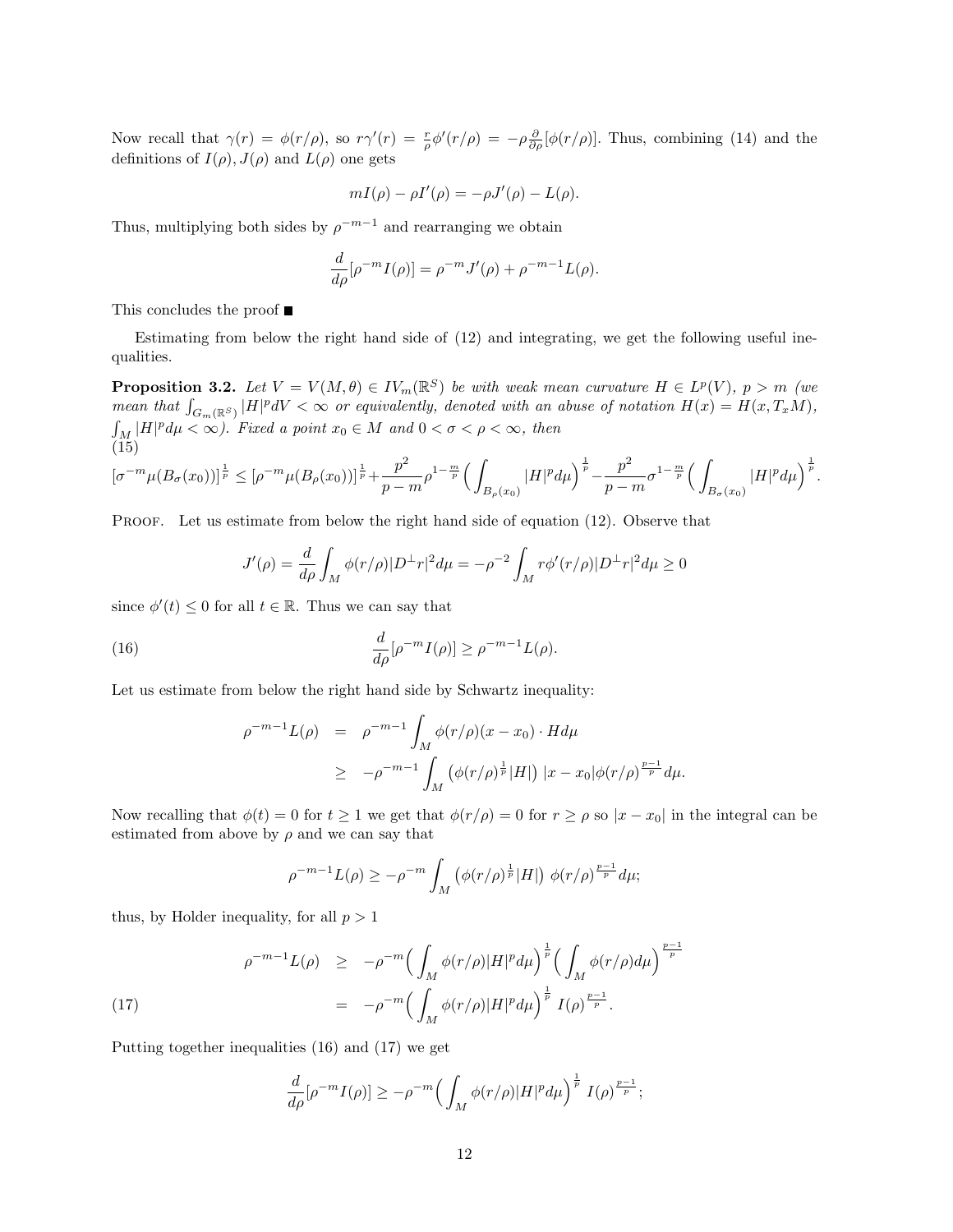Now recall that  $\gamma(r) = \phi(r/\rho)$ , so  $r\gamma'(r) = \frac{r}{\rho}\phi'(r/\rho) = -\rho \frac{\partial}{\partial \rho}[\phi(r/\rho)]$ . Thus, combining (14) and the definitions of  $I(\rho)$ ,  $J(\rho)$  and  $L(\rho)$  one gets

$$
mI(\rho) - \rho I'(\rho) = -\rho J'(\rho) - L(\rho).
$$

Thus, multiplying both sides by  $\rho^{-m-1}$  and rearranging we obtain

$$
\frac{d}{d\rho}[\rho^{-m}I(\rho)] = \rho^{-m}J'(\rho) + \rho^{-m-1}L(\rho).
$$

This concludes the proof  $\blacksquare$ 

Estimating from below the right hand side of (12) and integrating, we get the following useful inequalities.

**Proposition 3.2.** Let  $V = V(M, \theta) \in IV_m(\mathbb{R}^S)$  be with weak mean curvature  $H \in L^p(V)$ ,  $p > m$  (we mean that  $\int_{G_m(\mathbb{R}^S)} |H|^p dV < \infty$  or equivalently, denoted with an abuse of notation  $H(x) = H(x, T_xM)$ ,  $\int_M |H|^p d\mu < \infty$ ). Fixed a point  $x_0 \in M$  and  $0 < \sigma < \rho < \infty$ , then (15)

$$
[\sigma^{-m}\mu(B_{\sigma}(x_0))]^{\frac{1}{p}} \leq [\rho^{-m}\mu(B_{\rho}(x_0))]^{\frac{1}{p}} + \frac{p^2}{p-m}\rho^{1-\frac{m}{p}}\Big(\int_{B_{\rho}(x_0)}|H|^p d\mu\Big)^{\frac{1}{p}} - \frac{p^2}{p-m}\sigma^{1-\frac{m}{p}}\Big(\int_{B_{\sigma}(x_0)}|H|^p d\mu\Big)^{\frac{1}{p}}.
$$

PROOF. Let us estimate from below the right hand side of equation (12). Observe that

$$
J'(\rho) = \frac{d}{d\rho} \int_M \phi(r/\rho) |D^\perp r|^2 d\mu = -\rho^{-2} \int_M r \phi'(r/\rho) |D^\perp r|^2 d\mu \ge 0
$$

since  $\phi'(t) \leq 0$  for all  $t \in \mathbb{R}$ . Thus we can say that

(16) 
$$
\frac{d}{d\rho}[\rho^{-m}I(\rho)] \geq \rho^{-m-1}L(\rho).
$$

Let us estimate from below the right hand side by Schwartz inequality:

$$
\rho^{-m-1}L(\rho) = \rho^{-m-1} \int_M \phi(r/\rho)(x - x_0) \cdot H d\mu
$$
  
 
$$
\geq -\rho^{-m-1} \int_M (\phi(r/\rho)^{\frac{1}{p}}|H|) |x - x_0| \phi(r/\rho)^{\frac{p-1}{p}} d\mu.
$$

Now recalling that  $\phi(t) = 0$  for  $t \ge 1$  we get that  $\phi(r/\rho) = 0$  for  $r \ge \rho$  so  $|x - x_0|$  in the integral can be estimated from above by  $\rho$  and we can say that

$$
\rho^{-m-1}L(\rho) \ge -\rho^{-m} \int_M \left( \phi(r/\rho)^{\frac{1}{p}} |H| \right) \phi(r/\rho)^{\frac{p-1}{p}} d\mu;
$$

thus, by Holder inequality, for all  $p > 1$ 

(17) 
$$
\rho^{-m-1} L(\rho) \geq -\rho^{-m} \Big( \int_M \phi(r/\rho) |H|^p d\mu \Big)^{\frac{1}{p}} \Big( \int_M \phi(r/\rho) d\mu \Big)^{\frac{p-1}{p}} \n= -\rho^{-m} \Big( \int_M \phi(r/\rho) |H|^p d\mu \Big)^{\frac{1}{p}} I(\rho)^{\frac{p-1}{p}}.
$$

Putting together inequalities (16) and (17) we get

$$
\frac{d}{d\rho}[\rho^{-m}I(\rho)] \geq -\rho^{-m}\Big(\int_M \phi(r/\rho)|H|^p d\mu\Big)^{\frac{1}{p}}I(\rho)^{\frac{p-1}{p}};
$$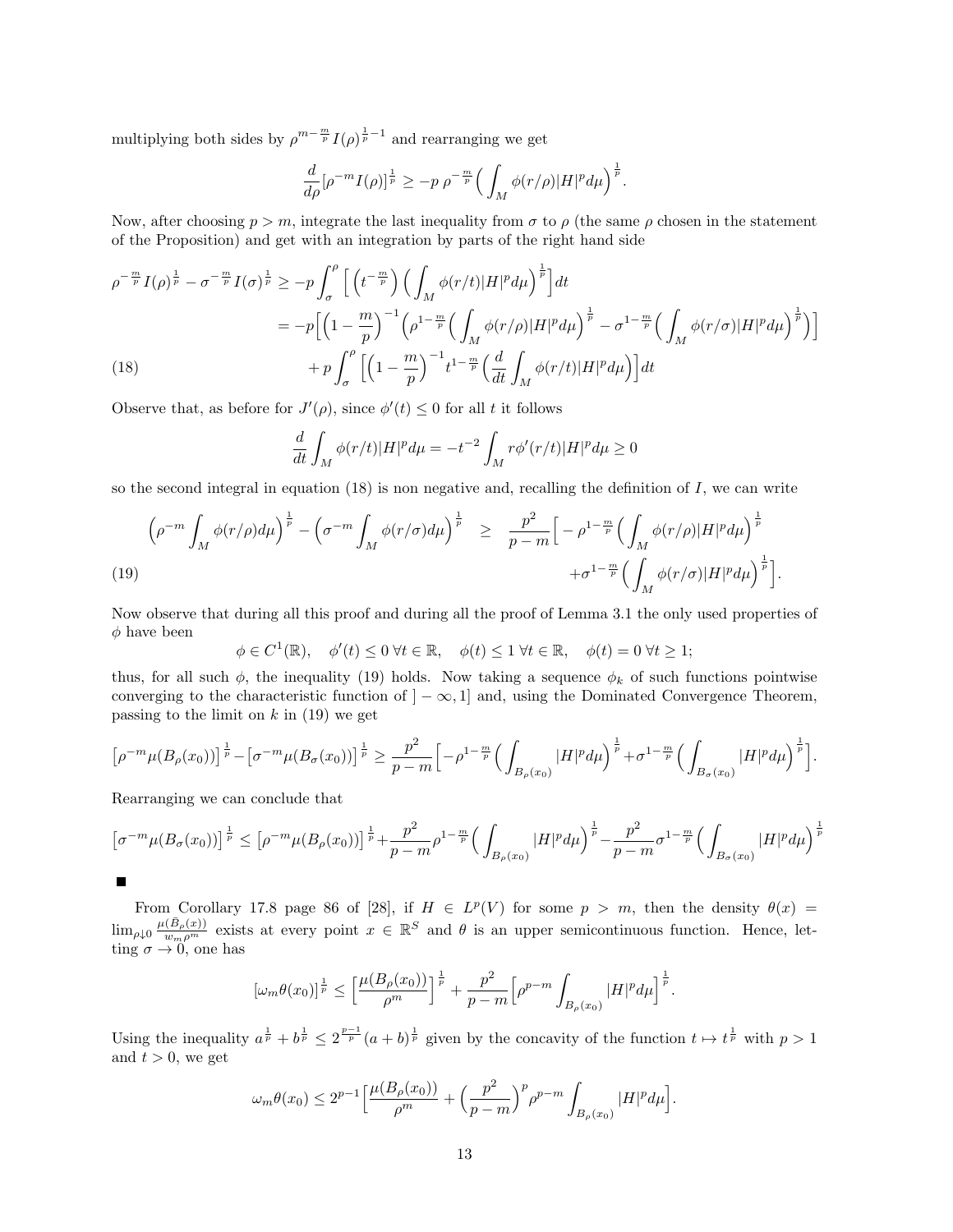multiplying both sides by  $\rho^{m-\frac{m}{p}}I(\rho)^{\frac{1}{p}-1}$  and rearranging we get

$$
\frac{d}{d\rho}[\rho^{-m}I(\rho)]^{\frac{1}{p}} \ge -p \ \rho^{-\frac{m}{p}} \Big(\int_M \phi(r/\rho)|H|^p d\mu\Big)^{\frac{1}{p}}.
$$

Now, after choosing  $p > m$ , integrate the last inequality from  $\sigma$  to  $\rho$  (the same  $\rho$  chosen in the statement of the Proposition) and get with an integration by parts of the right hand side

$$
\rho^{-\frac{m}{p}} I(\rho)^{\frac{1}{p}} - \sigma^{-\frac{m}{p}} I(\sigma)^{\frac{1}{p}} \ge -p \int_{\sigma}^{\rho} \left[ \left( t^{-\frac{m}{p}} \right) \left( \int_{M} \phi(r/t) |H|^{p} d\mu \right)^{\frac{1}{p}} \right] dt
$$
  
\n
$$
= -p \left[ \left( 1 - \frac{m}{p} \right)^{-1} \left( \rho^{1 - \frac{m}{p}} \left( \int_{M} \phi(r/\rho) |H|^{p} d\mu \right)^{\frac{1}{p}} - \sigma^{1 - \frac{m}{p}} \left( \int_{M} \phi(r/\sigma) |H|^{p} d\mu \right)^{\frac{1}{p}} \right) \right]
$$
  
\n(18) 
$$
+ p \int_{\sigma}^{\rho} \left[ \left( 1 - \frac{m}{p} \right)^{-1} t^{1 - \frac{m}{p}} \left( \frac{d}{dt} \int_{M} \phi(r/t) |H|^{p} d\mu \right) \right] dt
$$

Observe that, as before for  $J'(\rho)$ , since  $\phi'(t) \leq 0$  for all t it follows

$$
\frac{d}{dt} \int_M \phi(r/t) |H|^p d\mu = -t^{-2} \int_M r\phi'(r/t) |H|^p d\mu \ge 0
$$

so the second integral in equation  $(18)$  is non negative and, recalling the definition of I, we can write

$$
\left(\rho^{-m}\int_M \phi(r/\rho)d\mu\right)^{\frac{1}{p}} - \left(\sigma^{-m}\int_M \phi(r/\sigma)d\mu\right)^{\frac{1}{p}} \ge \frac{p^2}{p-m}\left[-\rho^{1-\frac{m}{p}}\left(\int_M \phi(r/\rho)|H|^p d\mu\right)^{\frac{1}{p}} + \sigma^{1-\frac{m}{p}}\left(\int_M \phi(r/\sigma)|H|^p d\mu\right)^{\frac{1}{p}}\right].
$$
\n(19)

Now observe that during all this proof and during all the proof of Lemma 3.1 the only used properties of  $\phi$  have been

$$
\phi \in C^1(\mathbb{R}), \quad \phi'(t) \le 0 \,\forall t \in \mathbb{R}, \quad \phi(t) \le 1 \,\forall t \in \mathbb{R}, \quad \phi(t) = 0 \,\forall t \ge 1;
$$

thus, for all such  $\phi$ , the inequality (19) holds. Now taking a sequence  $\phi_k$  of such functions pointwise converging to the characteristic function of  $] - \infty, 1]$  and, using the Dominated Convergence Theorem, passing to the limit on  $k$  in (19) we get

$$
\left[\rho^{-m}\mu(B_{\rho}(x_0))\right]^{\frac{1}{p}} - \left[\sigma^{-m}\mu(B_{\sigma}(x_0))\right]^{\frac{1}{p}} \ge \frac{p^2}{p-m}\left[-\rho^{1-\frac{m}{p}}\left(\int_{B_{\rho}(x_0)}|H|^p d\mu\right)^{\frac{1}{p}} + \sigma^{1-\frac{m}{p}}\left(\int_{B_{\sigma}(x_0)}|H|^p d\mu\right)^{\frac{1}{p}}\right].
$$

Rearranging we can conclude that

$$
\left[\sigma^{-m}\mu(B_{\sigma}(x_0))\right]^{\frac{1}{p}} \leq \left[\rho^{-m}\mu(B_{\rho}(x_0))\right]^{\frac{1}{p}} + \frac{p^2}{p-m}\rho^{1-\frac{m}{p}}\left(\int_{B_{\rho}(x_0)}|H|^p d\mu\right)^{\frac{1}{p}} - \frac{p^2}{p-m}\sigma^{1-\frac{m}{p}}\left(\int_{B_{\sigma}(x_0)}|H|^p d\mu\right)^{\frac{1}{p}}
$$

From Corollary 17.8 page 86 of [28], if  $H \in L^p(V)$  for some  $p > m$ , then the density  $\theta(x) =$  $\lim_{\rho\downarrow 0} \frac{\mu(\bar{B}_{\rho}(x))}{w_m \rho^m}$  exists at every point  $x \in \mathbb{R}^S$  and  $\theta$  is an upper semicontinuous function. Hence, letting  $\sigma \to 0$ , one has

$$
[\omega_m \theta(x_0)]^{\frac{1}{p}} \leq \left[\frac{\mu(B_{\rho}(x_0))}{\rho^m}\right]^{\frac{1}{p}} + \frac{p^2}{p-m} \left[\rho^{p-m} \int_{B_{\rho}(x_0)} |H|^p d\mu\right]^{\frac{1}{p}}.
$$

Using the inequality  $a^{\frac{1}{p}} + b^{\frac{1}{p}} \leq 2^{\frac{p-1}{p}} (a+b)^{\frac{1}{p}}$  given by the concavity of the function  $t \mapsto t^{\frac{1}{p}}$  with  $p > 1$ and  $t > 0$ , we get

$$
\omega_m \theta(x_0) \le 2^{p-1} \Big[ \frac{\mu(B_\rho(x_0))}{\rho^m} + \Big(\frac{p^2}{p-m}\Big)^p \rho^{p-m} \int_{B_\rho(x_0)} |H|^p d\mu \Big].
$$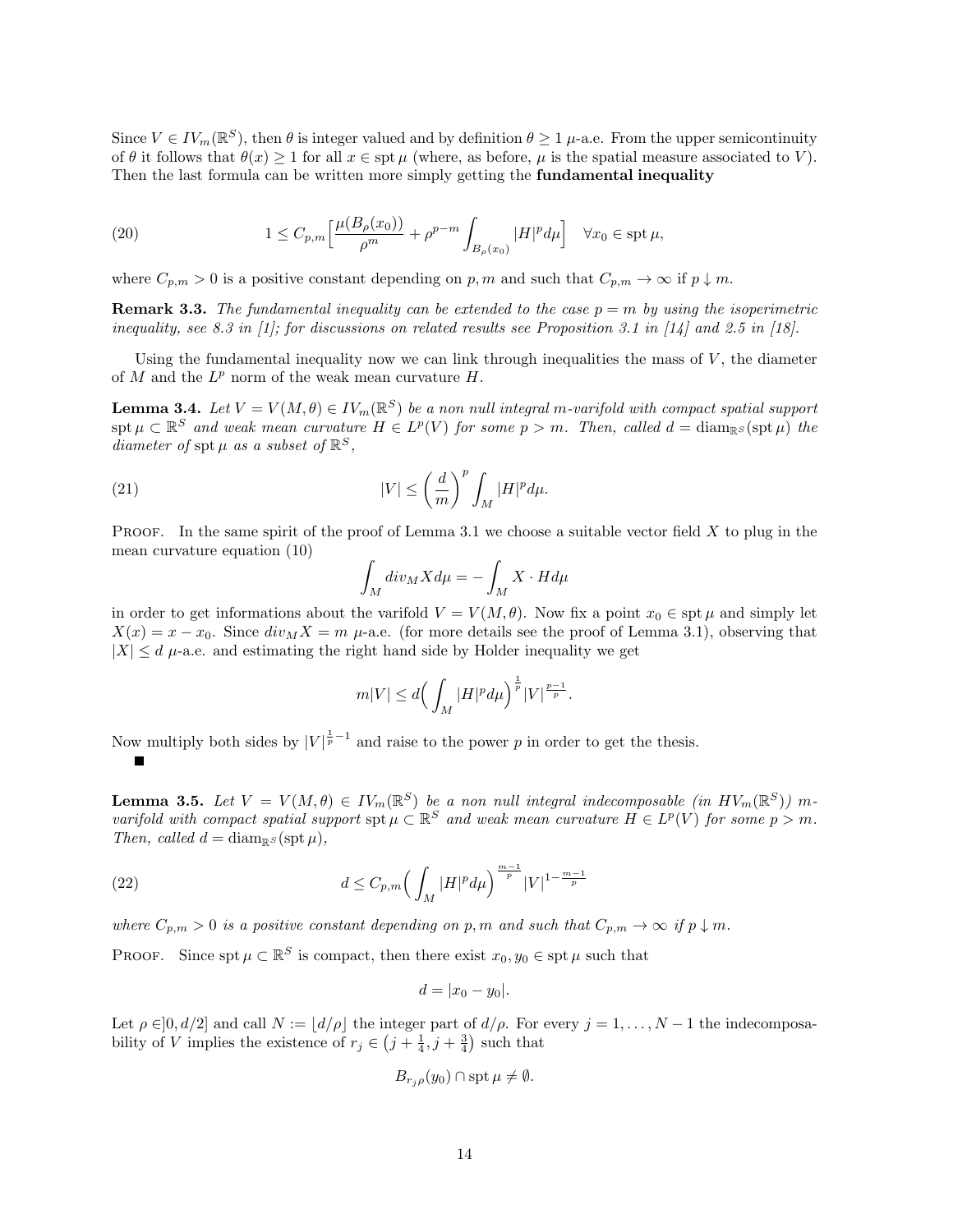Since  $V \in IV_m(\mathbb{R}^S)$ , then  $\theta$  is integer valued and by definition  $\theta \geq 1$   $\mu$ -a.e. From the upper semicontinuity of  $\theta$  it follows that  $\theta(x) \geq 1$  for all  $x \in \text{spt } \mu$  (where, as before,  $\mu$  is the spatial measure associated to V). Then the last formula can be written more simply getting the **fundamental inequality** 

(20) 
$$
1 \leq C_{p,m} \left[ \frac{\mu(B_{\rho}(x_0))}{\rho^m} + \rho^{p-m} \int_{B_{\rho}(x_0)} |H|^p d\mu \right] \quad \forall x_0 \in \operatorname{spt} \mu,
$$

where  $C_{p,m} > 0$  is a positive constant depending on p, m and such that  $C_{p,m} \to \infty$  if  $p \downarrow m$ .

**Remark 3.3.** The fundamental inequality can be extended to the case  $p = m$  by using the isoperimetric inequality, see 8.3 in [1]; for discussions on related results see Proposition 3.1 in [14] and 2.5 in [18].

Using the fundamental inequality now we can link through inequalities the mass of  $V$ , the diameter of  $M$  and the  $L^p$  norm of the weak mean curvature  $H$ .

**Lemma 3.4.** Let  $V = V(M, \theta) \in IV_m(\mathbb{R}^S)$  be a non null integral m-varifold with compact spatial support spt  $\mu \subset \mathbb{R}^S$  and weak mean curvature  $H \in L^p(V)$  for some  $p > m$ . Then, called  $d = \text{diam}_{\mathbb{R}^S}(\text{spt}\,\mu)$  the diameter of spt  $\mu$  as a subset of  $\mathbb{R}^S$ ,

(21) 
$$
|V| \leq \left(\frac{d}{m}\right)^p \int_M |H|^p d\mu.
$$

**PROOF.** In the same spirit of the proof of Lemma 3.1 we choose a suitable vector field  $X$  to plug in the mean curvature equation (10)

$$
\int_M \operatorname{div}_M X d\mu = -\int_M X \cdot H d\mu
$$

in order to get informations about the varifold  $V = V(M, \theta)$ . Now fix a point  $x_0 \in \operatorname{spt} \mu$  and simply let  $X(x) = x - x_0$ . Since  $div_M X = m$   $\mu$ -a.e. (for more details see the proof of Lemma 3.1), observing that  $|X| \le d$   $\mu$ -a.e. and estimating the right hand side by Holder inequality we get

$$
m|V| \le d\Big(\int_M |H|^p d\mu\Big)^{\frac{1}{p}}|V|^{\frac{p-1}{p}}.
$$

Now multiply both sides by  $|V|^{\frac{1}{p}-1}$  and raise to the power p in order to get the thesis.

**Lemma 3.5.** Let  $V = V(M, \theta) \in IV_m(\mathbb{R}^S)$  be a non null integral indecomposable (in  $HV_m(\mathbb{R}^S)$ ) mvarifold with compact spatial support spt  $\mu \subset \mathbb{R}^S$  and weak mean curvature  $H \in L^p(V)$  for some  $p > m$ . Then, called  $d = \text{diam}_{\mathbb{R}^S}(\text{spt}\,\mu),$ 

(22) 
$$
d \leq C_{p,m} \left( \int_M |H|^p d\mu \right)^{\frac{m-1}{p}} |V|^{1-\frac{m-1}{p}}
$$

where  $C_{p,m} > 0$  is a positive constant depending on p, m and such that  $C_{p,m} \to \infty$  if  $p \downarrow m$ .

PROOF. Since spt  $\mu \subset \mathbb{R}^S$  is compact, then there exist  $x_0, y_0 \in \text{spt } \mu$  such that

$$
d=|x_0-y_0|.
$$

Let  $\rho \in ]0, d/2]$  and call  $N := \lfloor d/\rho \rfloor$  the integer part of  $d/\rho$ . For every  $j = 1, ..., N - 1$  the indecomposability of V implies the existence of  $r_j \in (j + \frac{1}{4}, j + \frac{3}{4})$  such that

$$
B_{r_j\rho}(y_0) \cap \operatorname{spt} \mu \neq \emptyset.
$$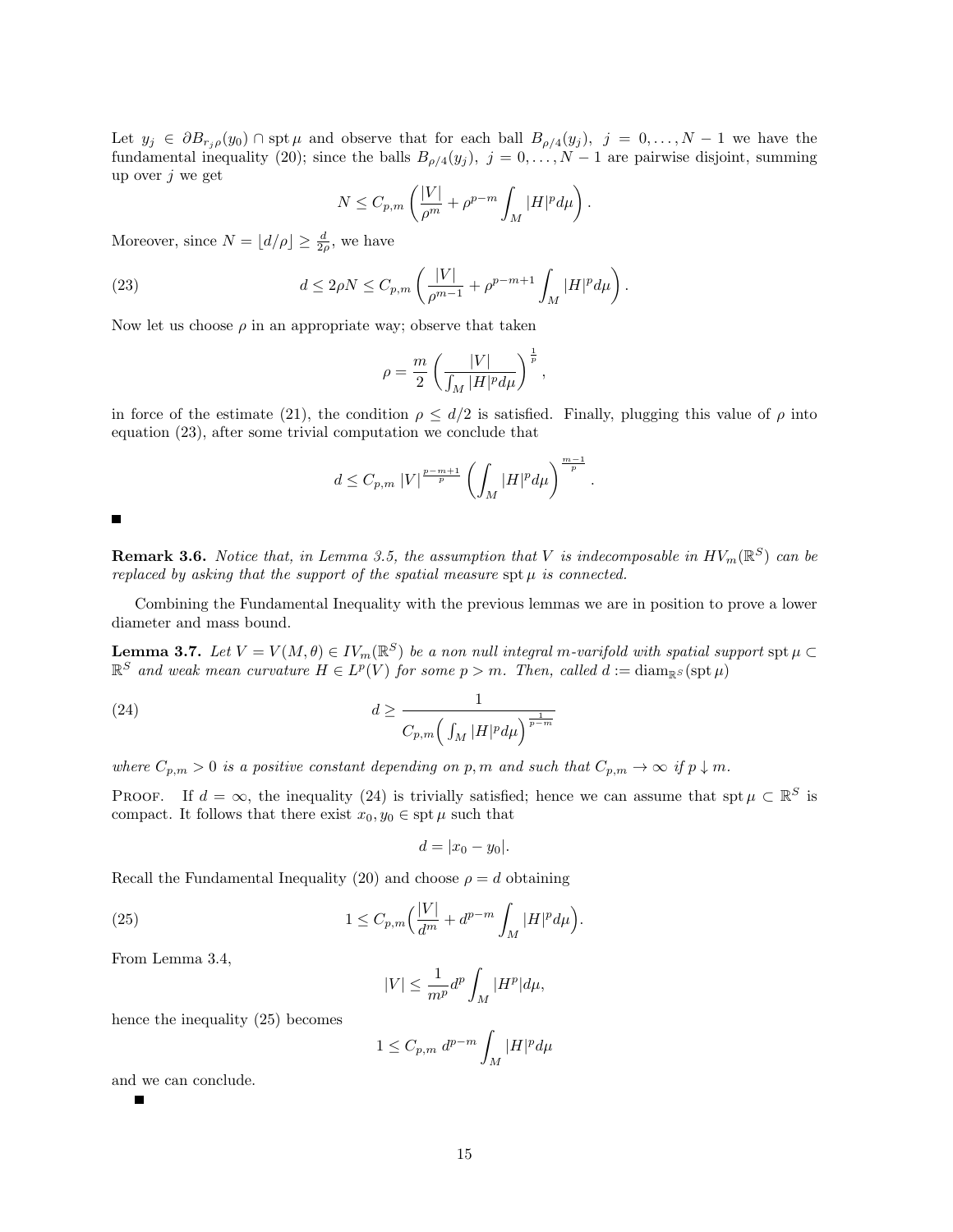Let  $y_j \in \partial B_{r_j,\rho}(y_0) \cap \text{spt }\mu$  and observe that for each ball  $B_{\rho/4}(y_j)$ ,  $j = 0,\ldots,N-1$  we have the fundamental inequality (20); since the balls  $B_{\rho/4}(y_j)$ ,  $j = 0, \ldots, N-1$  are pairwise disjoint, summing up over  $j$  we get

$$
N \leq C_{p,m} \left( \frac{|V|}{\rho^m} + \rho^{p-m} \int_M |H|^p d\mu \right).
$$

Moreover, since  $N = \lfloor d/\rho \rfloor \ge \frac{d}{2\rho}$ , we have

(23) 
$$
d \le 2\rho N \le C_{p,m} \left( \frac{|V|}{\rho^{m-1}} + \rho^{p-m+1} \int_M |H|^p d\mu \right).
$$

Now let us choose  $\rho$  in an appropriate way; observe that taken

$$
\rho = \frac{m}{2} \left( \frac{|V|}{\int_M |H|^p d\mu} \right)^{\frac{1}{p}},
$$

in force of the estimate (21), the condition  $\rho \leq d/2$  is satisfied. Finally, plugging this value of  $\rho$  into equation (23), after some trivial computation we conclude that

$$
d \leq C_{p,m} \left| V \right|^{\frac{p-m+1}{p}} \left( \int_M |H|^p d\mu \right)^{\frac{m-1}{p}}.
$$

 $\blacksquare$ 

**Remark 3.6.** Notice that, in Lemma 3.5, the assumption that V is indecomposable in  $HV_m(\mathbb{R}^S)$  can be replaced by asking that the support of the spatial measure spt  $\mu$  is connected.

Combining the Fundamental Inequality with the previous lemmas we are in position to prove a lower diameter and mass bound.

**Lemma 3.7.** Let  $V = V(M, \theta) \in IV_m(\mathbb{R}^S)$  be a non null integral m-varifold with spatial support  $\text{spt }\mu \subset \mathbb{R}$  $\mathbb{R}^S$  and weak mean curvature  $H \in L^p(V)$  for some  $p > m$ . Then, called  $d := \text{diam}_{\mathbb{R}^S}(\text{spt}\,\mu)$ 

(24) 
$$
d \ge \frac{1}{C_{p,m}\left(\int_M |H|^p d\mu\right)^{\frac{1}{p-m}}}
$$

where  $C_{p,m} > 0$  is a positive constant depending on p, m and such that  $C_{p,m} \to \infty$  if  $p \downarrow m$ .

PROOF. If  $d = \infty$ , the inequality (24) is trivially satisfied; hence we can assume that spt  $\mu \subset \mathbb{R}^S$  is compact. It follows that there exist  $x_0, y_0 \in \text{spt } \mu$  such that

$$
d=|x_0-y_0|.
$$

Recall the Fundamental Inequality (20) and choose  $\rho = d$  obtaining

(25) 
$$
1 \leq C_{p,m} \left( \frac{|V|}{d^m} + d^{p-m} \int_M |H|^p d\mu \right).
$$

From Lemma 3.4,

$$
|V| \le \frac{1}{m^p} d^p \int_M |H^p| d\mu,
$$

hence the inequality (25) becomes

$$
1 \leq C_{p,m} d^{p-m} \int_M |H|^p d\mu
$$

and we can conclude.

Г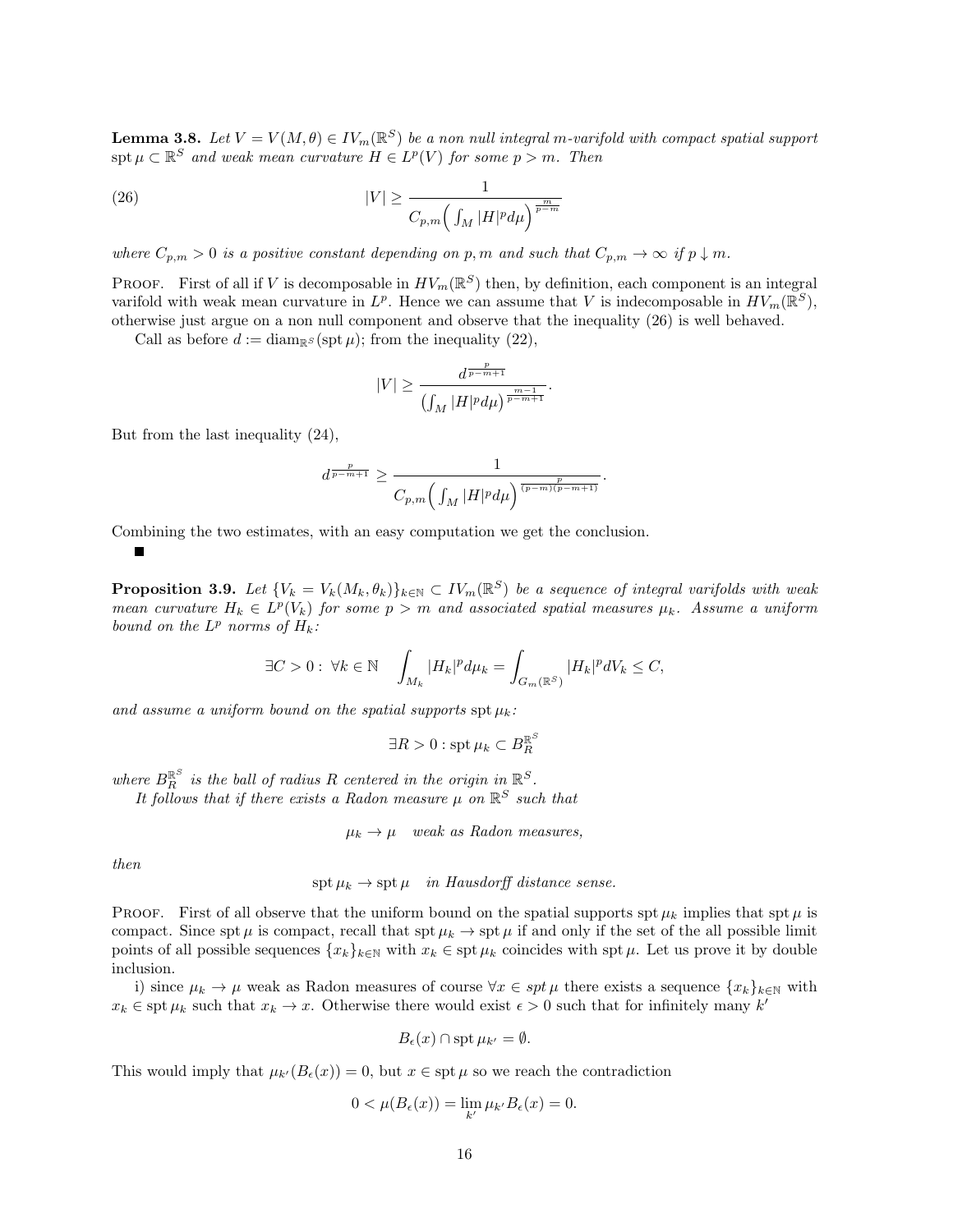**Lemma 3.8.** Let  $V = V(M, \theta) \in IV_m(\mathbb{R}^S)$  be a non null integral m-varifold with compact spatial support  $\text{spt }\mu\subset\mathbb{R}^S$  and weak mean curvature  $H\in L^p(V)$  for some  $p>m$ . Then

(26) 
$$
|V| \ge \frac{1}{C_{p,m} \left(\int_M |H|^p d\mu\right)^{\frac{m}{p-m}}}
$$

where  $C_{p,m} > 0$  is a positive constant depending on p, m and such that  $C_{p,m} \to \infty$  if  $p \downarrow m$ .

**PROOF.** First of all if V is decomposable in  $HV_m(\mathbb{R}^S)$  then, by definition, each component is an integral varifold with weak mean curvature in  $L^p$ . Hence we can assume that V is indecomposable in  $HV_m(\mathbb{R}^S)$ , otherwise just argue on a non null component and observe that the inequality (26) is well behaved.

Call as before  $d := \text{diam}_{\mathbb{R}^S}(\text{spt}\,\mu)$ ; from the inequality (22),

$$
|V|\geq \frac{d^{\frac{p}{p-m+1}}}{\left(\int_M |H|^p d\mu\right)^{\frac{m-1}{p-m+1}}}
$$

.

But from the last inequality (24),

$$
d^{\frac{p}{p-m+1}} \geq \frac{1}{C_{p,m}\Big(\int_{M}|H|^{p}d\mu\Big)^{\frac{p}{(p-m)(p-m+1)}}}.
$$

Combining the two estimates, with an easy computation we get the conclusion.

$$
\blacksquare
$$

**Proposition 3.9.** Let  $\{V_k = V_k(M_k, \theta_k)\}_{k \in \mathbb{N}} \subset IV_m(\mathbb{R}^S)$  be a sequence of integral varifolds with weak mean curvature  $H_k \in L^p(V_k)$  for some  $p > m$  and associated spatial measures  $\mu_k$ . Assume a uniform bound on the  $L^p$  norms of  $H_k$ :

$$
\exists C>0:\ \forall k\in\mathbb{N}\quad \int_{M_k}|H_k|^pd\mu_k=\int_{G_m(\mathbb{R}^S)}|H_k|^pdV_k\leq C,
$$

and assume a uniform bound on the spatial supports  $\text{spt }\mu_k$ :

$$
\exists R > 0 : \operatorname{spt} \mu_k \subset B_R^{\mathbb{R}^S}
$$

where  $B_{R}^{\mathbb{R}^{S}}$  is the ball of radius R centered in the origin in  $\mathbb{R}^{S}$ .

It follows that if there exists a Radon measure  $\mu$  on  $\mathbb{R}^S$  such that

 $\mu_k \to \mu$  weak as Radon measures,

then

spt  $\mu_k \to$  spt  $\mu$  in Hausdorff distance sense.

**PROOF.** First of all observe that the uniform bound on the spatial supports spt  $\mu_k$  implies that spt  $\mu$  is compact. Since spt  $\mu$  is compact, recall that spt  $\mu_k \to \text{spt } \mu$  if and only if the set of the all possible limit points of all possible sequences  $\{x_k\}_{k\in\mathbb{N}}$  with  $x_k \in \text{spt } \mu_k$  coincides with spt  $\mu$ . Let us prove it by double inclusion.

i) since  $\mu_k \to \mu$  weak as Radon measures of course  $\forall x \in spt \mu$  there exists a sequence  $\{x_k\}_{k\in\mathbb{N}}$  with  $x_k \in \operatorname{spt} \mu_k$  such that  $x_k \to x$ . Otherwise there would exist  $\epsilon > 0$  such that for infinitely many k'

$$
B_{\epsilon}(x) \cap \operatorname{spt} \mu_{k'} = \emptyset.
$$

This would imply that  $\mu_{k'}(B_{\epsilon}(x)) = 0$ , but  $x \in \text{spt } \mu$  so we reach the contradiction

$$
0 < \mu(B_{\epsilon}(x)) = \lim_{k'} \mu_{k'} B_{\epsilon}(x) = 0.
$$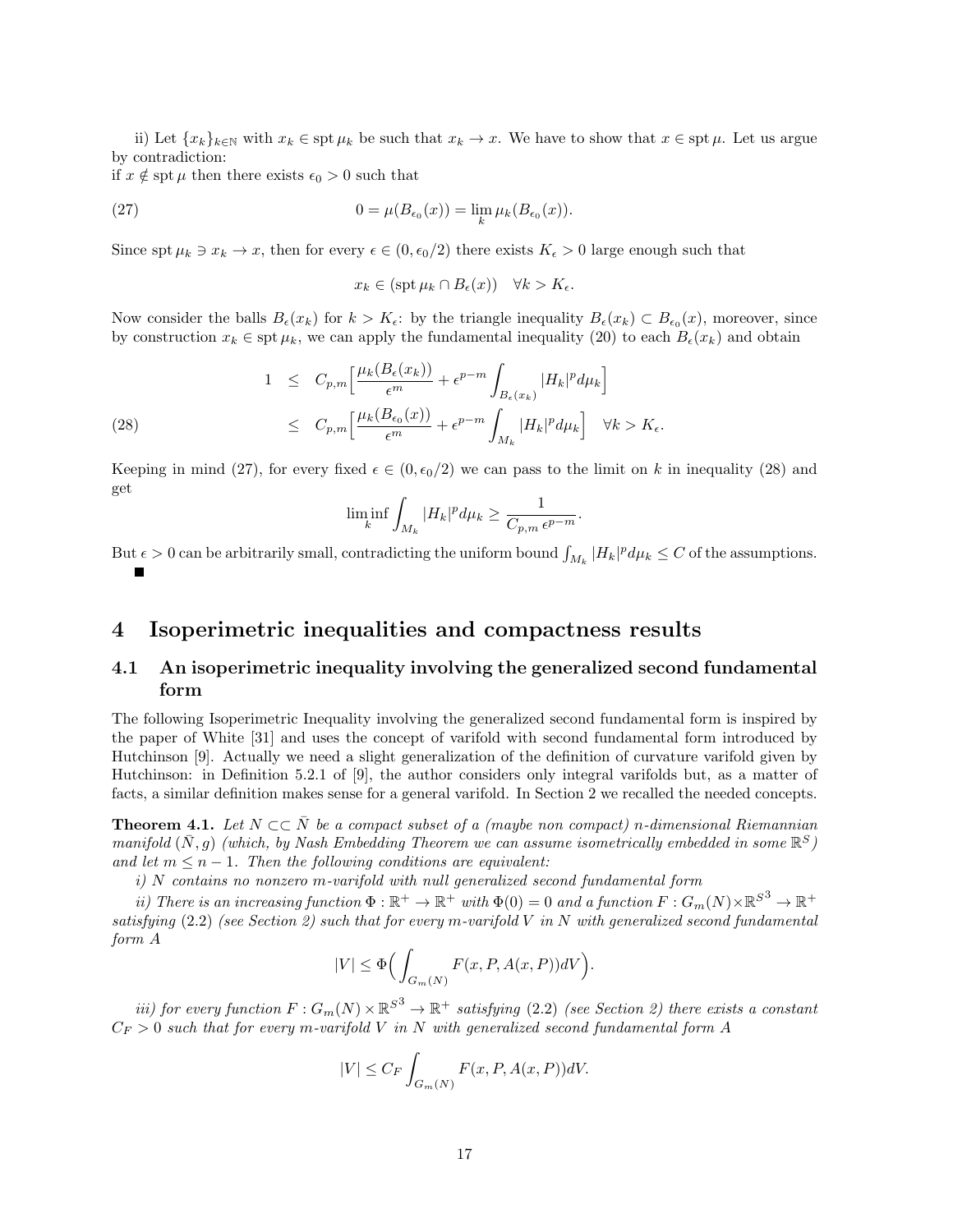ii) Let  $\{x_k\}_{k\in\mathbb{N}}$  with  $x_k \in \operatorname{spt} \mu_k$  be such that  $x_k \to x$ . We have to show that  $x \in \operatorname{spt} \mu$ . Let us argue by contradiction:

if  $x \notin \operatorname{spt} \mu$  then there exists  $\epsilon_0 > 0$  such that

(27) 
$$
0 = \mu(B_{\epsilon_0}(x)) = \lim_{k} \mu_k(B_{\epsilon_0}(x)).
$$

Since spt  $\mu_k \ni x_k \to x$ , then for every  $\epsilon \in (0, \epsilon_0/2)$  there exists  $K_{\epsilon} > 0$  large enough such that

$$
x_k \in (\operatorname{spt} \mu_k \cap B_{\epsilon}(x)) \quad \forall k > K_{\epsilon}.
$$

Now consider the balls  $B_{\epsilon}(x_k)$  for  $k > K_{\epsilon}$ : by the triangle inequality  $B_{\epsilon}(x_k) \subset B_{\epsilon_0}(x)$ , moreover, since by construction  $x_k \in \text{spt } \mu_k$ , we can apply the fundamental inequality (20) to each  $B_\epsilon(x_k)$  and obtain

(28) 
$$
1 \leq C_{p,m} \left[ \frac{\mu_k(B_{\epsilon}(x_k))}{\epsilon^m} + \epsilon^{p-m} \int_{B_{\epsilon}(x_k)} |H_k|^p d\mu_k \right] \leq C_{p,m} \left[ \frac{\mu_k(B_{\epsilon_0}(x))}{\epsilon^m} + \epsilon^{p-m} \int_{M_k} |H_k|^p d\mu_k \right] \quad \forall k > K_{\epsilon}.
$$

Keeping in mind (27), for every fixed  $\epsilon \in (0, \epsilon_0/2)$  we can pass to the limit on k in inequality (28) and get

$$
\liminf_{k} \int_{M_k} |H_k|^p d\mu_k \ge \frac{1}{C_{p,m} \epsilon^{p-m}}.
$$

But  $\epsilon > 0$  can be arbitrarily small, contradicting the uniform bound  $\int_{M_k} |H_k|^p d\mu_k \leq C$  of the assumptions.

### 4 Isoperimetric inequalities and compactness results

### 4.1 An isoperimetric inequality involving the generalized second fundamental form

The following Isoperimetric Inequality involving the generalized second fundamental form is inspired by the paper of White [31] and uses the concept of varifold with second fundamental form introduced by Hutchinson [9]. Actually we need a slight generalization of the definition of curvature varifold given by Hutchinson: in Definition 5.2.1 of [9], the author considers only integral varifolds but, as a matter of facts, a similar definition makes sense for a general varifold. In Section 2 we recalled the needed concepts.

**Theorem 4.1.** Let  $N \subset \overline{N}$  be a compact subset of a (maybe non compact) n-dimensional Riemannian manifold  $(\bar{N}, g)$  (which, by Nash Embedding Theorem we can assume isometrically embedded in some  $\mathbb{R}^S$ ) and let  $m \leq n - 1$ . Then the following conditions are equivalent:

i) N contains no nonzero m-varifold with null generalized second fundamental form

ii) There is an increasing function  $\Phi : \mathbb{R}^+ \to \mathbb{R}^+$  with  $\Phi(0) = 0$  and a function  $F : G_m(N) \times \mathbb{R}^{S^3} \to \mathbb{R}^+$ satisfying  $(2.2)$  (see Section 2) such that for every m-varifold V in N with generalized second fundamental form A

$$
|V| \le \Phi\Big(\int_{G_m(N)} F(x, P, A(x, P))dV\Big).
$$

iii) for every function  $F: G_m(N) \times \mathbb{R}^{S^3} \to \mathbb{R}^+$  satisfying (2.2) (see Section 2) there exists a constant  $C_F > 0$  such that for every m-varifold V in N with generalized second fundamental form A

$$
|V| \le C_F \int_{G_m(N)} F(x, P, A(x, P))dV.
$$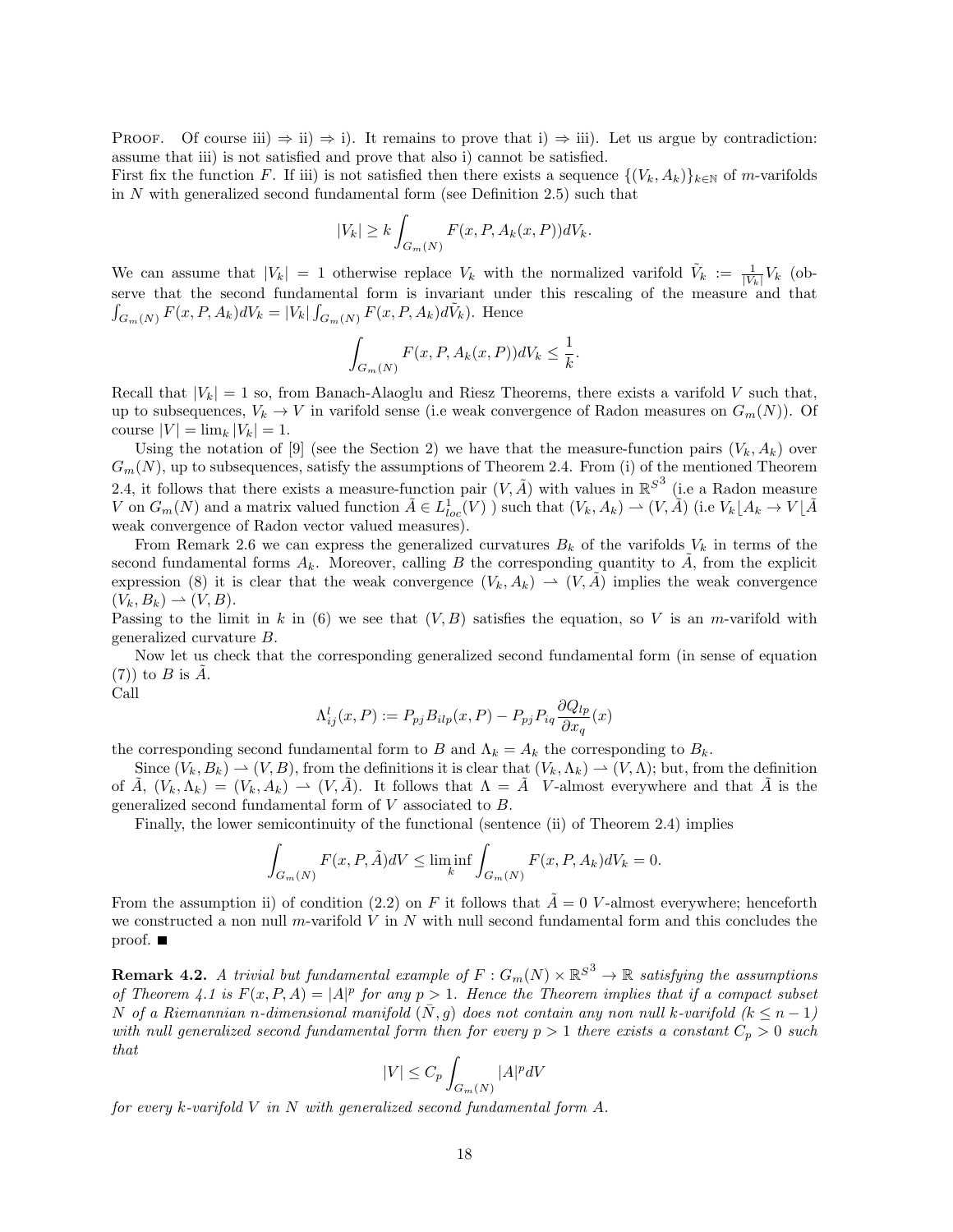PROOF. Of course iii)  $\Rightarrow$  ii)  $\Rightarrow$  i). It remains to prove that i)  $\Rightarrow$  iii). Let us argue by contradiction: assume that iii) is not satisfied and prove that also i) cannot be satisfied.

First fix the function F. If iii) is not satisfied then there exists a sequence  $\{(V_k, A_k)\}_{k\in\mathbb{N}}$  of m-varifolds in  $N$  with generalized second fundamental form (see Definition 2.5) such that

$$
|V_k| \ge k \int_{G_m(N)} F(x, P, A_k(x, P)) dV_k.
$$

We can assume that  $|V_k| = 1$  otherwise replace  $V_k$  with the normalized varifold  $\tilde{V}_k := \frac{1}{|V_k|} V_k$  (observe that the second fundamental form is invariant under this rescaling of the measure and that  $\int_{G_m(N)} F(x, P, A_k) dV_k = |V_k| \int_{G_m(N)} F(x, P, A_k) d\tilde{V}_k$ . Hence

$$
\int_{G_m(N)} F(x, P, A_k(x, P))dV_k \leq \frac{1}{k}.
$$

Recall that  $|V_k| = 1$  so, from Banach-Alaoglu and Riesz Theorems, there exists a varifold V such that, up to subsequences,  $V_k \to V$  in varifold sense (i.e weak convergence of Radon measures on  $G_m(N)$ ). Of course  $|V| = \lim_{k} |V_k| = 1$ .

Using the notation of [9] (see the Section 2) we have that the measure-function pairs  $(V_k, A_k)$  over  $G_m(N)$ , up to subsequences, satisfy the assumptions of Theorem 2.4. From (i) of the mentioned Theorem 2.4, it follows that there exists a measure-function pair  $(V, \tilde{A})$  with values in  $\mathbb{R}^{S^3}$  (i.e a Radon measure V on  $G_m(N)$  and a matrix valued function  $\tilde{A} \in L^1_{loc}(V)$  ) such that  $(V_k, A_k) \to (V, \tilde{A})$  (i.e  $V_k\lfloor A_k \to V\lfloor \tilde{A} \rfloor$ ) weak convergence of Radon vector valued measures).

From Remark 2.6 we can express the generalized curvatures  $B_k$  of the varifolds  $V_k$  in terms of the second fundamental forms  $A_k$ . Moreover, calling B the corresponding quantity to  $\tilde{A}$ , from the explicit expression (8) it is clear that the weak convergence  $(V_k, A_k) \rightharpoonup (V, \tilde{A})$  implies the weak convergence  $(V_k, B_k) \rightharpoonup (V, B).$ 

Passing to the limit in k in (6) we see that  $(V, B)$  satisfies the equation, so V is an m-varifold with generalized curvature B.

Now let us check that the corresponding generalized second fundamental form (in sense of equation  $(7)$ ) to B is A.

Call

$$
\Lambda_{ij}^l(x,P) := P_{pj} B_{ilp}(x,P) - P_{pj} P_{iq} \frac{\partial Q_{lp}}{\partial x_q}(x)
$$

the corresponding second fundamental form to B and  $\Lambda_k = A_k$  the corresponding to  $B_k$ .

Since  $(V_k, B_k) \to (V, B)$ , from the definitions it is clear that  $(V_k, \Lambda_k) \to (V, \Lambda)$ ; but, from the definition of  $\tilde{A}$ ,  $(V_k, \Lambda_k) = (V_k, A_k) \to (V, \tilde{A})$ . It follows that  $\Lambda = \tilde{A}$  V-almost everywhere and that  $\tilde{A}$  is the generalized second fundamental form of V associated to B.

Finally, the lower semicontinuity of the functional (sentence (ii) of Theorem 2.4) implies

$$
\int_{G_m(N)} F(x, P, \tilde{A}) dV \le \liminf_k \int_{G_m(N)} F(x, P, A_k) dV_k = 0.
$$

From the assumption ii) of condition (2.2) on F it follows that  $\tilde{A} = 0$  V-almost everywhere; henceforth we constructed a non null m-varifold  $V$  in  $N$  with null second fundamental form and this concludes the proof.  $\blacksquare$ 

**Remark 4.2.** A trivial but fundamental example of  $F: G_m(N) \times \mathbb{R}^{S^3} \to \mathbb{R}$  satisfying the assumptions of Theorem 4.1 is  $F(x, P, A) = |A|^p$  for any  $p > 1$ . Hence the Theorem implies that if a compact subset N of a Riemannian n-dimensional manifold  $(N, g)$  does not contain any non null k-varifold  $(k \leq n-1)$ with null generalized second fundamental form then for every  $p > 1$  there exists a constant  $C_p > 0$  such that

$$
|V| \le C_p \int_{G_m(N)} |A|^p dV
$$

for every k-varifold  $V$  in  $N$  with generalized second fundamental form  $A$ .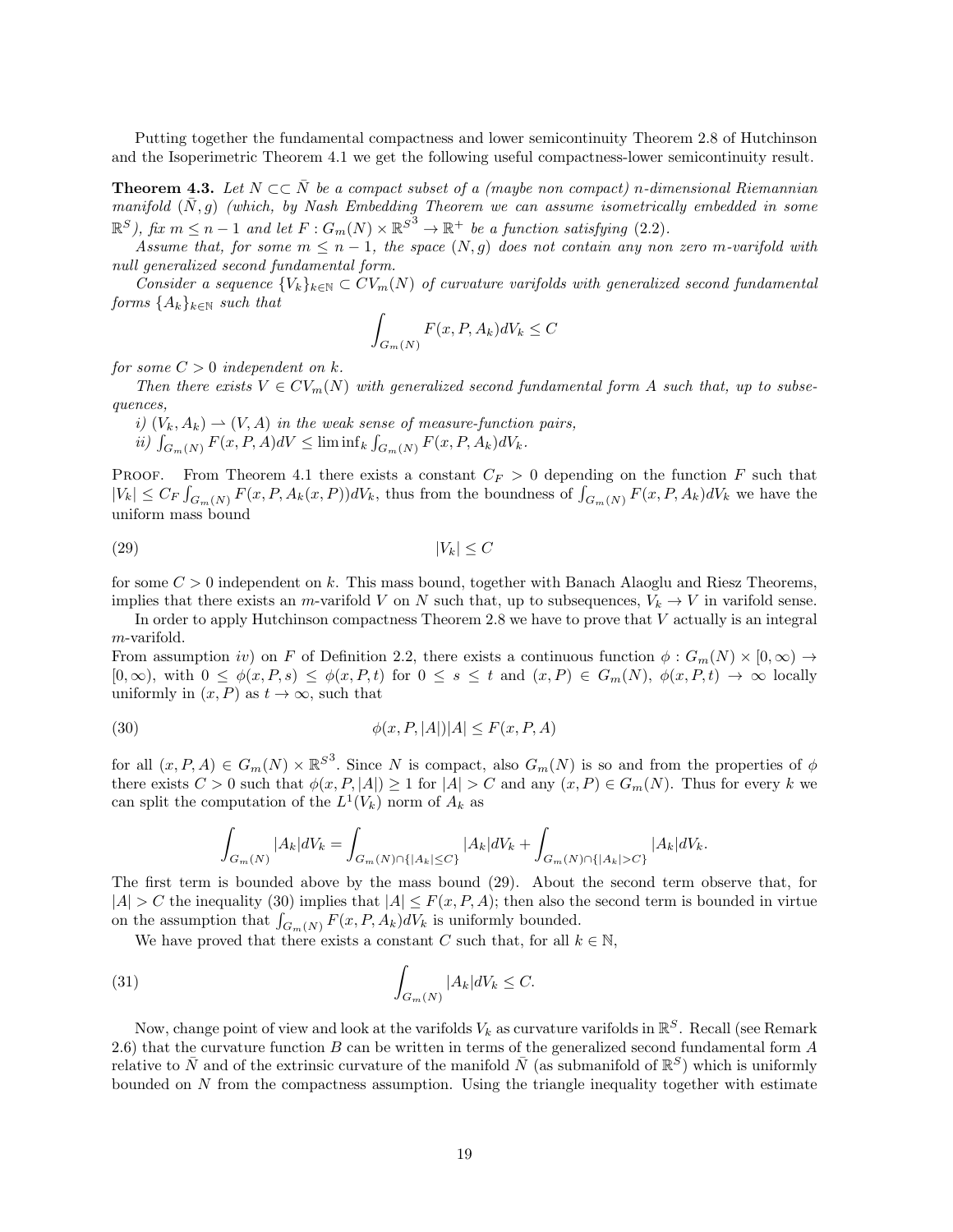Putting together the fundamental compactness and lower semicontinuity Theorem 2.8 of Hutchinson and the Isoperimetric Theorem 4.1 we get the following useful compactness-lower semicontinuity result.

**Theorem 4.3.** Let  $N \subset \overline{N}$  be a compact subset of a (maybe non compact) n-dimensional Riemannian manifold  $(\bar{N}, g)$  (which, by Nash Embedding Theorem we can assume isometrically embedded in some  $\mathbb{R}^S$ ), fix  $m \leq n-1$  and let  $F: G_m(N) \times \mathbb{R}^{S^3} \to \mathbb{R}^+$  be a function satisfying (2.2).

Assume that, for some  $m \leq n-1$ , the space  $(N, g)$  does not contain any non zero m-varifold with null generalized second fundamental form.

Consider a sequence  ${V_k}_{k\in\mathbb{N}} \subset CV_m(N)$  of curvature varifolds with generalized second fundamental forms  $\{A_k\}_{k\in\mathbb{N}}$  such that

$$
\int_{G_m(N)} F(x, P, A_k) dV_k \le C
$$

for some  $C > 0$  independent on k.

Then there exists  $V \in CV_m(N)$  with generalized second fundamental form A such that, up to subsequences,

i)  $(V_k, A_k) \rightharpoonup (V, A)$  in the weak sense of measure-function pairs, ii)  $\int_{G_m(N)} F(x, P, A) dV \leq \liminf_k \int_{G_m(N)} F(x, P, A_k) dV_k.$ 

PROOF. From Theorem 4.1 there exists a constant  $C_F > 0$  depending on the function F such that  $|V_k| \leq C_F \int_{G_m(N)} F(x, P, A_k(x, P)) dV_k$ , thus from the boundness of  $\int_{G_m(N)} F(x, P, A_k) dV_k$  we have the uniform mass bound

$$
(29) \t\t\t |V_k| \le C
$$

for some  $C > 0$  independent on k. This mass bound, together with Banach Alaoglu and Riesz Theorems, implies that there exists an m-varifold V on N such that, up to subsequences,  $V_k \to V$  in varifold sense.

In order to apply Hutchinson compactness Theorem 2.8 we have to prove that V actually is an integral m-varifold.

From assumption iv) on F of Definition 2.2, there exists a continuous function  $\phi: G_m(N) \times [0, \infty) \to$  $[0,\infty)$ , with  $0 \leq \phi(x,P,s) \leq \phi(x,P,t)$  for  $0 \leq s \leq t$  and  $(x,P) \in G_m(N)$ ,  $\phi(x,P,t) \to \infty$  locally uniformly in  $(x, P)$  as  $t \to \infty$ , such that

$$
\phi(x, P, |A|)|A| \le F(x, P, A)
$$

for all  $(x, P, A) \in G_m(N) \times \mathbb{R}^{S^3}$ . Since N is compact, also  $G_m(N)$  is so and from the properties of  $\phi$ there exists  $C > 0$  such that  $\phi(x, P, |A|) \ge 1$  for  $|A| > C$  and any  $(x, P) \in G_m(N)$ . Thus for every k we can split the computation of the  $L^1(V_k)$  norm of  $A_k$  as

$$
\int_{G_m(N)} |A_k| dV_k = \int_{G_m(N) \cap \{|A_k| \le C\}} |A_k| dV_k + \int_{G_m(N) \cap \{|A_k| > C\}} |A_k| dV_k.
$$

The first term is bounded above by the mass bound (29). About the second term observe that, for  $|A| > C$  the inequality (30) implies that  $|A| \leq F(x, P, A)$ ; then also the second term is bounded in virtue on the assumption that  $\int_{G_m(N)} F(x, P, A_k) dV_k$  is uniformly bounded.

We have proved that there exists a constant C such that, for all  $k \in \mathbb{N}$ ,

(31) 
$$
\int_{G_m(N)} |A_k| dV_k \leq C.
$$

Now, change point of view and look at the varifolds  $V_k$  as curvature varifolds in  $\mathbb{R}^S$ . Recall (see Remark 2.6) that the curvature function B can be written in terms of the generalized second fundamental form A relative to  $\bar{N}$  and of the extrinsic curvature of the manifold  $\bar{N}$  (as submanifold of  $\mathbb{R}^S$ ) which is uniformly bounded on  $N$  from the compactness assumption. Using the triangle inequality together with estimate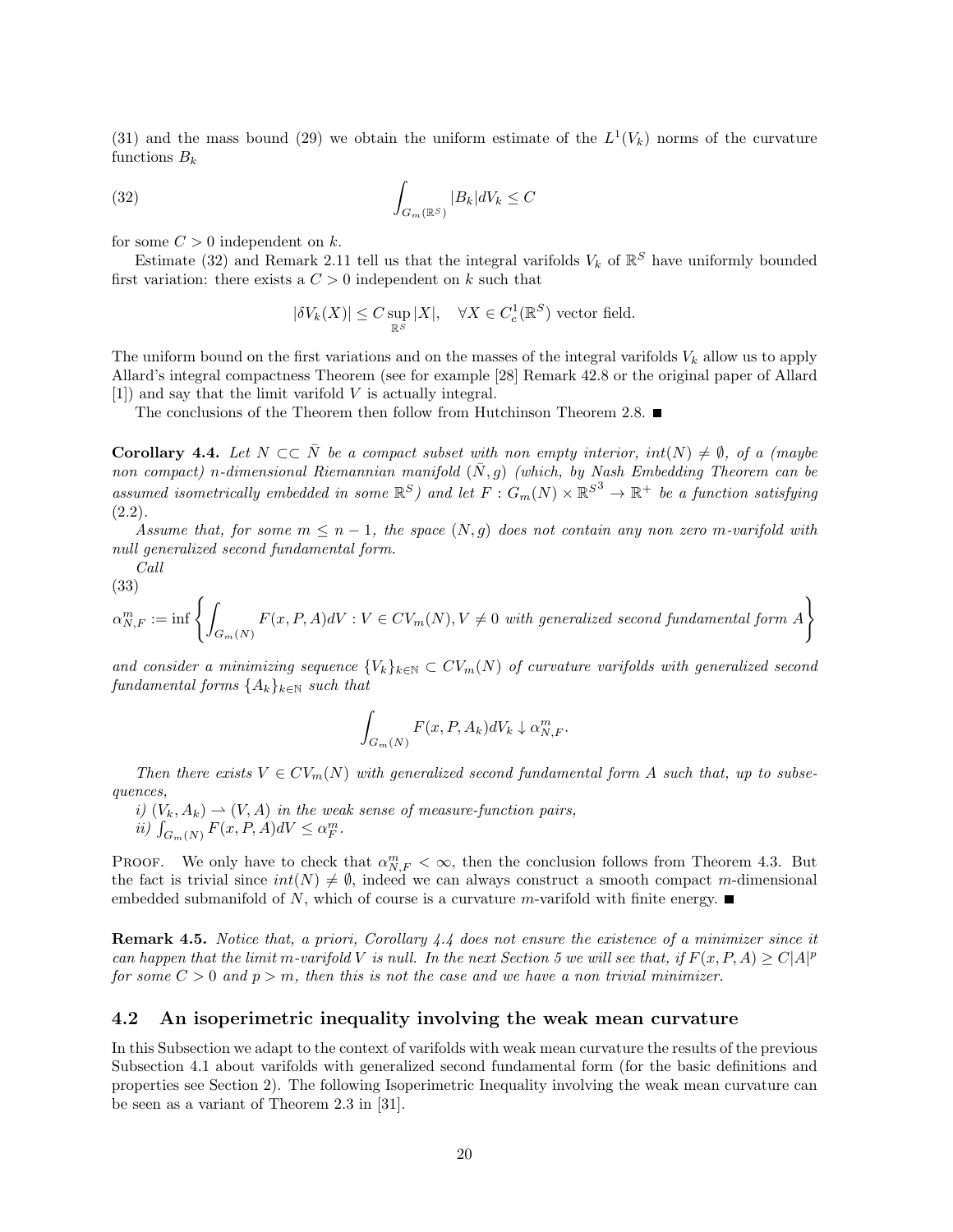(31) and the mass bound (29) we obtain the uniform estimate of the  $L^1(V_k)$  norms of the curvature functions  $B_k$ 

(32) 
$$
\int_{G_m(\mathbb{R}^S)} |B_k| dV_k \leq C
$$

for some  $C > 0$  independent on k.

Estimate (32) and Remark 2.11 tell us that the integral varifolds  $V_k$  of  $\mathbb{R}^S$  have uniformly bounded first variation: there exists a  $C > 0$  independent on k such that

 $|\delta V_k(X)| \leq C \sup_{\mathbb{R}^S} |X|, \quad \forall X \in C_c^1(\mathbb{R}^S)$  vector field.

The uniform bound on the first variations and on the masses of the integral varifolds  $V_k$  allow us to apply Allard's integral compactness Theorem (see for example [28] Remark 42.8 or the original paper of Allard [1]) and say that the limit varifold V is actually integral.

The conclusions of the Theorem then follow from Hutchinson Theorem 2.8.  $\blacksquare$ 

**Corollary 4.4.** Let  $N \subset\subset \overline{N}$  be a compact subset with non empty interior,  $int(N) \neq \emptyset$ , of a (maybe non compact) n-dimensional Riemannian manifold  $(\bar{N}, g)$  (which, by Nash Embedding Theorem can be assumed isometrically embedded in some  $\mathbb{R}^S$ ) and let  $F: G_m(N) \times \mathbb{R}^{S^3} \to \mathbb{R}^+$  be a function satisfying  $(2.2).$ 

Assume that, for some  $m \leq n-1$ , the space  $(N, g)$  does not contain any non zero m-varifold with null generalized second fundamental form.

Call (33)

$$
\alpha_{N,F}^m := \inf \left\{ \int_{G_m(N)} F(x, P, A) dV : V \in CV_m(N), V \neq 0 \text{ with generalized second fundamental form } A \right\}
$$

and consider a minimizing sequence  ${V_k}_{k\in\mathbb{N}} \subset CV_m(N)$  of curvature varifolds with generalized second fundamental forms  $\{A_k\}_{k\in\mathbb{N}}$  such that

$$
\int_{G_m(N)} F(x, P, A_k) dV_k \downarrow \alpha_{N,F}^m.
$$

Then there exists  $V \in CV_m(N)$  with generalized second fundamental form A such that, up to subsequences,

i)  $(V_k, A_k) \rightharpoonup (V, A)$  in the weak sense of measure-function pairs, ii)  $\int_{G_m(N)} F(x, P, A)dV \leq \alpha_F^m$ .

PROOF. We only have to check that  $\alpha_{N,F}^m < \infty$ , then the conclusion follows from Theorem 4.3. But the fact is trivial since  $int(N) \neq \emptyset$ , indeed we can always construct a smooth compact m-dimensional embedded submanifold of N, which of course is a curvature m-varifold with finite energy.

Remark 4.5. Notice that, a priori, Corollary 4.4 does not ensure the existence of a minimizer since it can happen that the limit m-varifold V is null. In the next Section 5 we will see that, if  $F(x, P, A) \ge C|A|^p$ for some  $C > 0$  and  $p > m$ , then this is not the case and we have a non trivial minimizer.

### 4.2 An isoperimetric inequality involving the weak mean curvature

In this Subsection we adapt to the context of varifolds with weak mean curvature the results of the previous Subsection 4.1 about varifolds with generalized second fundamental form (for the basic definitions and properties see Section 2). The following Isoperimetric Inequality involving the weak mean curvature can be seen as a variant of Theorem 2.3 in [31].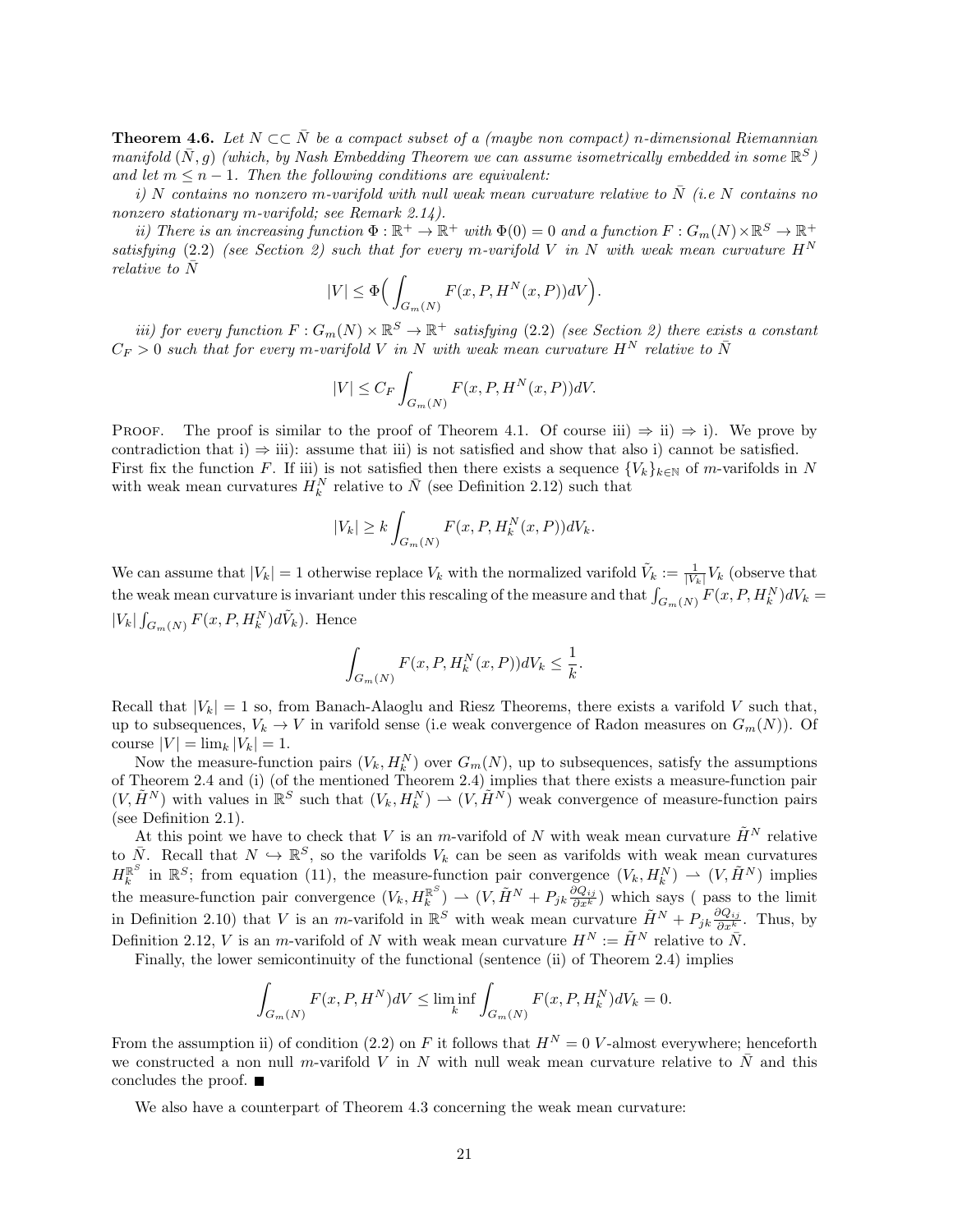**Theorem 4.6.** Let  $N \subset \overline{N}$  be a compact subset of a (maybe non compact) n-dimensional Riemannian manifold  $(\bar{N}, g)$  (which, by Nash Embedding Theorem we can assume isometrically embedded in some  $\mathbb{R}^S$ ) and let  $m \leq n - 1$ . Then the following conditions are equivalent:

i) N contains no nonzero m-varifold with null weak mean curvature relative to  $\overline{N}$  (i.e N contains no nonzero stationary m-varifold; see Remark 2.14).

ii) There is an increasing function  $\Phi : \mathbb{R}^+ \to \mathbb{R}^+$  with  $\Phi(0) = 0$  and a function  $F : G_m(N) \times \mathbb{R}^S \to \mathbb{R}^+$ satisfying (2.2) (see Section 2) such that for every m-varifold V in N with weak mean curvature  $H^N$ relative to N¯

$$
|V| \le \Phi\Big(\int_{G_m(N)} F(x, P, H^N(x, P))dV\Big).
$$

iii) for every function  $F: G_m(N) \times \mathbb{R}^S \to \mathbb{R}^+$  satisfying (2.2) (see Section 2) there exists a constant  $C_F > 0$  such that for every m-varifold V in N with weak mean curvature  $H^N$  relative to  $\bar{N}$ 

$$
|V| \le C_F \int_{G_m(N)} F(x, P, H^N(x, P)) dV.
$$

**PROOF.** The proof is similar to the proof of Theorem 4.1. Of course iii)  $\Rightarrow$  ii)  $\Rightarrow$  i). We prove by contradiction that i)  $\Rightarrow$  iii): assume that iii) is not satisfied and show that also i) cannot be satisfied. First fix the function F. If iii) is not satisfied then there exists a sequence  $\{V_k\}_{k\in\mathbb{N}}$  of m-varifolds in N with weak mean curvatures  $H_k^N$  relative to  $\bar{N}$  (see Definition 2.12) such that

$$
|V_k| \ge k \int_{G_m(N)} F(x, P, H_k^N(x, P)) dV_k.
$$

We can assume that  $|V_k| = 1$  otherwise replace  $V_k$  with the normalized varifold  $\tilde{V}_k := \frac{1}{|V_k|} V_k$  (observe that the weak mean curvature is invariant under this rescaling of the measure and that  $\int_{G_m(N)} F(x, P, H_k^N) dV_k =$  $|V_k| \int_{G_m(N)} F(x, P, H_k^N) d\tilde{V}_k$ ). Hence

$$
\int_{G_m(N)} F(x, P, H_k^N(x, P)) dV_k \leq \frac{1}{k}.
$$

Recall that  $|V_k| = 1$  so, from Banach-Alaoglu and Riesz Theorems, there exists a varifold V such that, up to subsequences,  $V_k \to V$  in varifold sense (i.e weak convergence of Radon measures on  $G_m(N)$ ). Of course  $|V| = \lim_{k} |V_k| = 1$ .

Now the measure-function pairs  $(V_k, H_k^N)$  over  $G_m(N)$ , up to subsequences, satisfy the assumptions of Theorem 2.4 and (i) (of the mentioned Theorem 2.4) implies that there exists a measure-function pair  $(V, \tilde{H}^N)$  with values in  $\mathbb{R}^S$  such that  $(V_k, H_k^N) \to (V, \tilde{H}^N)$  weak convergence of measure-function pairs (see Definition 2.1).

At this point we have to check that V is an m-varifold of N with weak mean curvature  $\tilde{H}^N$  relative to  $\bar{N}$ . Recall that  $N \hookrightarrow \mathbb{R}^S$ , so the varifolds  $V_k$  can be seen as varifolds with weak mean curvatures  $H_k^{\mathbb{R}^S}$  in  $\mathbb{R}^S$ ; from equation (11), the measure-function pair convergence  $(V_k, H_k^N) \rightharpoonup (V, \tilde{H}^N)$  implies the measure-function pair convergence  $(V_k, H_k^{\mathbb{R}^S}) \rightharpoonup (V, \tilde{H}^N + P_{jk} \frac{\partial Q_{ij}}{\partial x^k})$  which says (pass to the limit in Definition 2.10) that V is an m-varifold in  $\mathbb{R}^S$  with weak mean curvature  $\tilde{H}^N + P_{jk} \frac{\partial Q_{ij}}{\partial x^k}$ . Thus, by Definition 2.12, V is an m-varifold of N with weak mean curvature  $H^N := \tilde{H}^N$  relative to  $\bar{N}$ .

Finally, the lower semicontinuity of the functional (sentence (ii) of Theorem 2.4) implies

$$
\int_{G_m(N)} F(x, P, H^N)dV \le \liminf_k \int_{G_m(N)} F(x, P, H_k^N)dV_k = 0.
$$

From the assumption ii) of condition (2.2) on F it follows that  $H^N = 0$  V-almost everywhere; henceforth we constructed a non null m-varifold V in N with null weak mean curvature relative to  $\bar{N}$  and this concludes the proof.

We also have a counterpart of Theorem 4.3 concerning the weak mean curvature: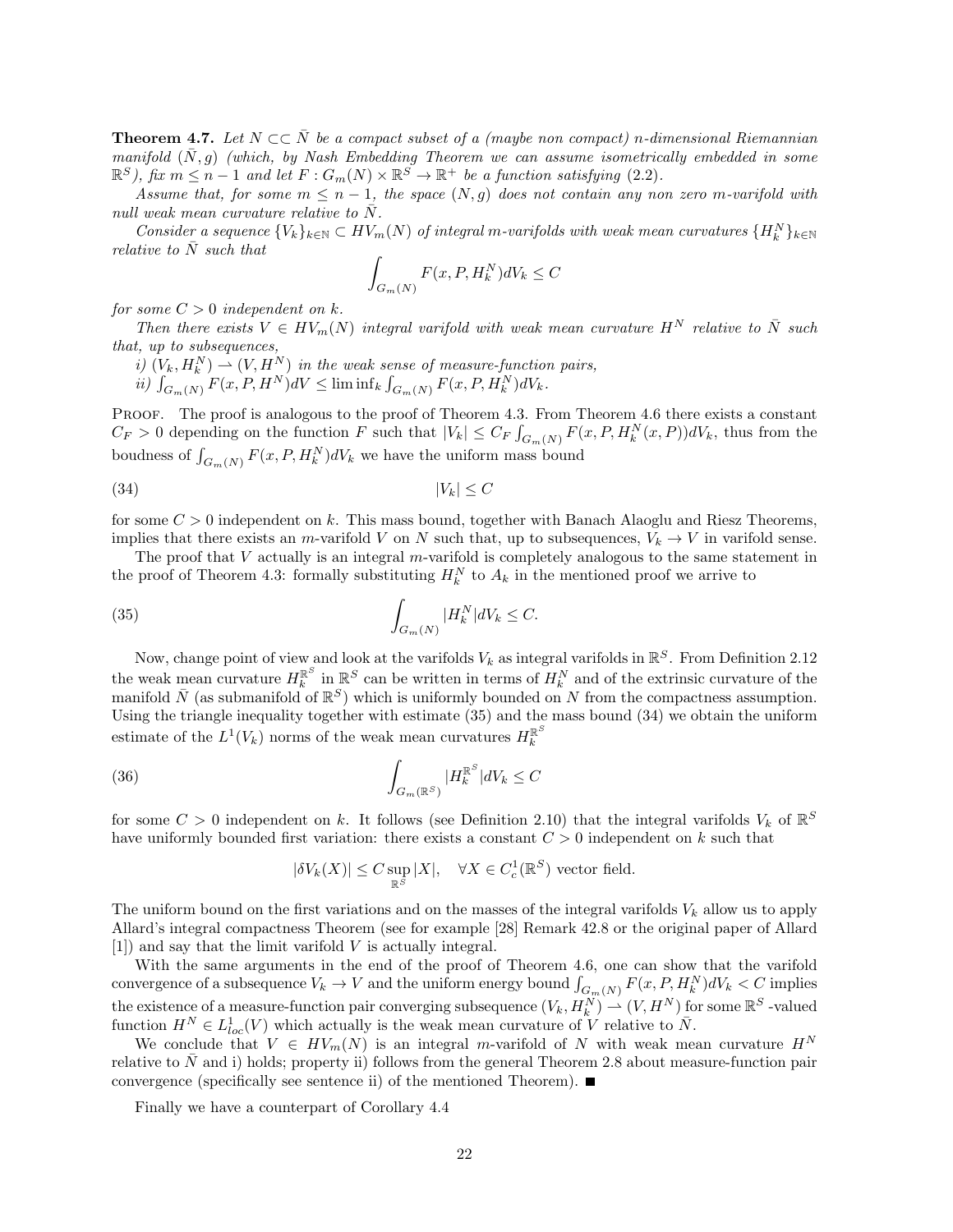**Theorem 4.7.** Let  $N \subset \overline{N}$  be a compact subset of a (maybe non compact) n-dimensional Riemannian manifold  $(\bar{N}, g)$  (which, by Nash Embedding Theorem we can assume isometrically embedded in some  $\mathbb{R}^S$ ), fix  $m \leq n-1$  and let  $F: G_m(N) \times \mathbb{R}^S \to \mathbb{R}^+$  be a function satisfying (2.2).

Assume that, for some  $m \leq n-1$ , the space  $(N, g)$  does not contain any non zero m-varifold with null weak mean curvature relative to  $N$ .

Consider a sequence  $\{V_k\}_{k\in\mathbb{N}}\subset HV_m(N)$  of integral m-varifolds with weak mean curvatures  $\{H_k^N\}_{k\in\mathbb{N}}$ relative to  $N$  such that

$$
\int_{G_m(N)} F(x, P, H_k^N)dV_k \le C
$$

for some  $C > 0$  independent on k.

Then there exists  $V \in HV_m(N)$  integral varifold with weak mean curvature  $H^N$  relative to  $\overline{N}$  such that, up to subsequences,

i)  $(V_k, H_k^N) \rightharpoonup (V, H^N)$  in the weak sense of measure-function pairs,

 $ii)$   $\int_{G_m(N)} F(x, P, H^N) dV \leq \liminf_k \int_{G_m(N)} F(x, P, H_k^N) dV_k.$ 

PROOF. The proof is analogous to the proof of Theorem 4.3. From Theorem 4.6 there exists a constant  $C_F > 0$  depending on the function F such that  $|V_k| \leq C_F \int_{G_m(N)} F(x, P, H_k^N(x, P)) dV_k$ , thus from the boudness of  $\int_{G_m(N)} F(x, P, H_k^N) dV_k$  we have the uniform mass bound

$$
(34) \t\t\t |V_k| \le C
$$

for some  $C > 0$  independent on k. This mass bound, together with Banach Alaoglu and Riesz Theorems, implies that there exists an m-varifold V on N such that, up to subsequences,  $V_k \to V$  in varifold sense.

The proof that  $V$  actually is an integral  $m$ -varifold is completely analogous to the same statement in the proof of Theorem 4.3: formally substituting  $H_k^N$  to  $A_k$  in the mentioned proof we arrive to

(35) 
$$
\int_{G_m(N)} |H_k^N| dV_k \leq C.
$$

Now, change point of view and look at the varifolds  $V_k$  as integral varifolds in  $\mathbb{R}^S$ . From Definition 2.12 the weak mean curvature  $H_k^{\mathbb{R}^S}$  in  $\mathbb{R}^S$  can be written in terms of  $H_k^N$  and of the extrinsic curvature of the manifold  $\bar{N}$  (as submanifold of  $\mathbb{R}^S$ ) which is uniformly bounded on N from the compactness assumption. Using the triangle inequality together with estimate (35) and the mass bound (34) we obtain the uniform estimate of the  $L^1(V_k)$  norms of the weak mean curvatures  $H_k^{\mathbb{R}^S}$ 

(36) 
$$
\int_{G_m(\mathbb{R}^S)} |H_k^{\mathbb{R}^S}|dV_k \leq C
$$

for some  $C > 0$  independent on k. It follows (see Definition 2.10) that the integral varifolds  $V_k$  of  $\mathbb{R}^S$ have uniformly bounded first variation: there exists a constant  $C > 0$  independent on k such that

$$
|\delta V_k(X)| \leq C \sup_{\mathbb{R}^S} |X|, \quad \forall X \in C_c^1(\mathbb{R}^S) \text{ vector field.}
$$

The uniform bound on the first variations and on the masses of the integral varifolds  $V_k$  allow us to apply Allard's integral compactness Theorem (see for example [28] Remark 42.8 or the original paper of Allard [1]) and say that the limit varifold V is actually integral.

With the same arguments in the end of the proof of Theorem 4.6, one can show that the varifold convergence of a subsequence  $V_k \to V$  and the uniform energy bound  $\int_{G_m(N)} F(x, P, H_k^N) dV_k < C$  implies the existence of a measure-function pair converging subsequence  $(V_k, H_k^N) \rightharpoonup (V, H^N)$  for some  $\mathbb{R}^S$  -valued function  $H^N \in L^1_{loc}(V)$  which actually is the weak mean curvature of V relative to  $\bar{N}$ .

We conclude that  $V \in HV_m(N)$  is an integral m-varifold of N with weak mean curvature  $H^N$ relative to  $\bar{N}$  and i) holds; property ii) follows from the general Theorem 2.8 about measure-function pair convergence (specifically see sentence ii) of the mentioned Theorem).  $\blacksquare$ 

Finally we have a counterpart of Corollary 4.4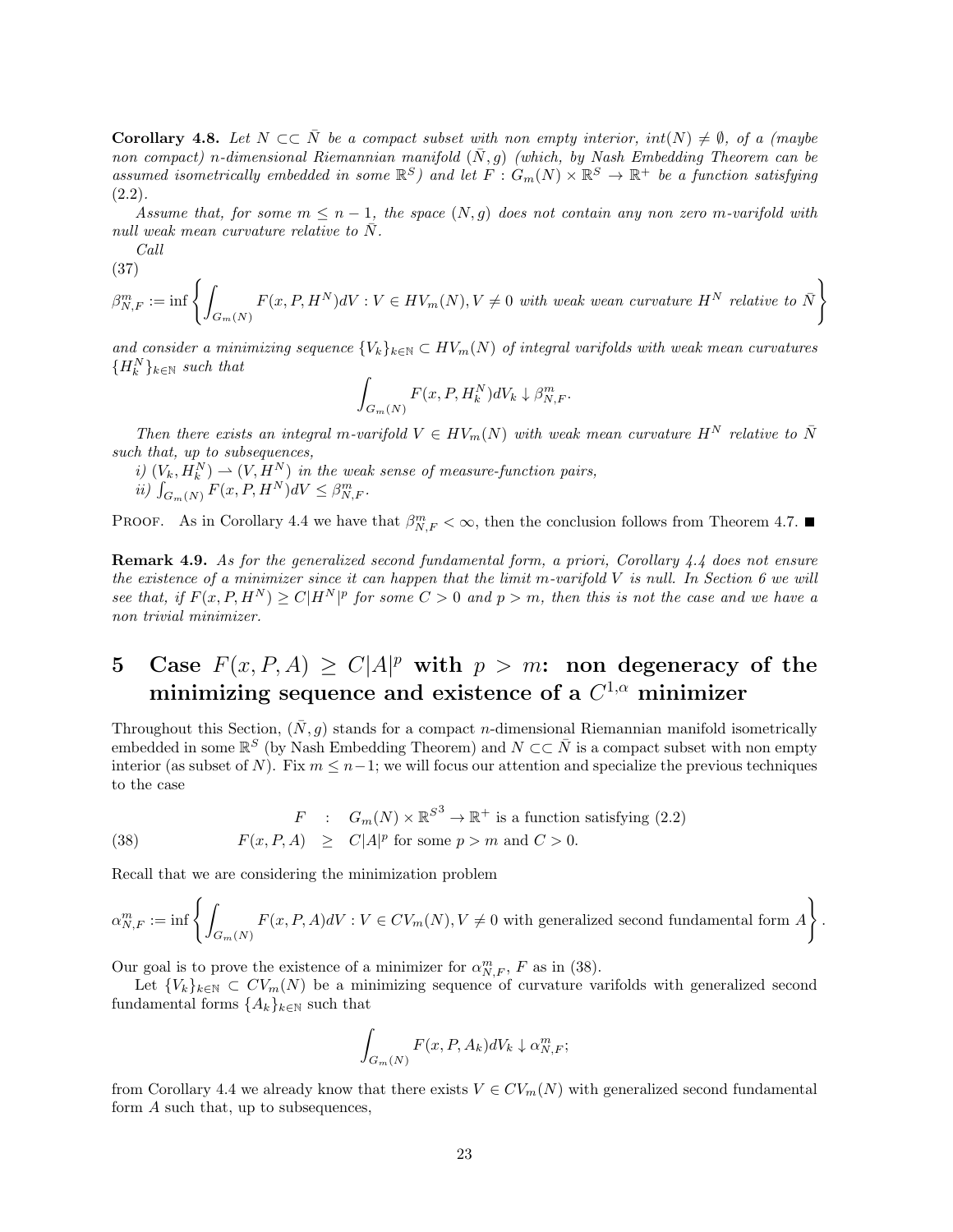**Corollary 4.8.** Let  $N \subset \overline{N}$  be a compact subset with non empty interior,  $int(N) \neq \emptyset$ , of a (maybe non compact) n-dimensional Riemannian manifold  $(\bar{N}, g)$  (which, by Nash Embedding Theorem can be assumed isometrically embedded in some  $\mathbb{R}^S$ ) and let  $F: G_m(N) \times \mathbb{R}^S \to \mathbb{R}^+$  be a function satisfying  $(2.2).$ 

Assume that, for some  $m \leq n-1$ , the space  $(N, g)$  does not contain any non zero m-varifold with null weak mean curvature relative to  $N$ .

Call

(37)  

$$
\beta_{N,F}^m := \inf \left\{ \int_{G_m(N)} F(x, P, H^N) dV : V \in HV_m(N), V \neq 0 \text{ with weak mean curvature } H^N \text{ relative to } \bar{N} \right\}
$$

and consider a minimizing sequence  $\{V_k\}_{k\in\mathbb{N}} \subset HV_m(N)$  of integral varifolds with weak mean curvatures  ${H_{k}^{N}}_{k\in\mathbb{N}}$  such that

$$
\int_{G_m(N)} F(x, P, H_k^N) dV_k \downarrow \beta_{N,F}^m.
$$

Then there exists an integral m-varifold  $V \in HV_m(N)$  with weak mean curvature  $H^N$  relative to  $\bar{N}$ such that, up to subsequences,

i)  $(V_k, H_k^N) \rightharpoonup (V, H_{\infty}^N)$  in the weak sense of measure-function pairs, ii)  $\int_{G_m(N)} F(x, P, H^N) dV \leq \beta_{N,F}^m$ .

**PROOF.** As in Corollary 4.4 we have that  $\beta_{N,F}^m < \infty$ , then the conclusion follows from Theorem 4.7.

**Remark 4.9.** As for the generalized second fundamental form, a priori, Corollary 4.4 does not ensure the existence of a minimizer since it can happen that the limit m-varifold  $V$  is null. In Section 6 we will see that, if  $F(x, P, H^N) \ge C|H^N|^p$  for some  $C > 0$  and  $p > m$ , then this is not the case and we have a non trivial minimizer.

## 5 Case  $F(x, P, A) \ge C|A|^p$  with  $p > m$ : non degeneracy of the minimizing sequence and existence of a  $C^{1,\alpha}$  minimizer

Throughout this Section,  $(\bar{N}, g)$  stands for a compact *n*-dimensional Riemannian manifold isometrically embedded in some  $\mathbb{R}^S$  (by Nash Embedding Theorem) and  $N \subset \subset \overline{N}$  is a compact subset with non empty interior (as subset of N). Fix  $m \leq n-1$ ; we will focus our attention and specialize the previous techniques to the case

(38) 
$$
F : G_m(N) \times \mathbb{R}^{S^3} \to \mathbb{R}^+ \text{ is a function satisfying (2.2)}
$$

$$
F(x, P, A) \ge C|A|^p \text{ for some } p > m \text{ and } C > 0.
$$

Recall that we are considering the minimization problem

$$
\alpha_{N,F}^m := \inf \left\{ \int_{G_m(N)} F(x, P, A) dV : V \in CV_m(N), V \neq 0 \text{ with generalized second fundamental form } A \right\}.
$$

Our goal is to prove the existence of a minimizer for  $\alpha_{N,F}^m$ , F as in (38).

Let  ${V_k}_{k\in\mathbb{N}}\subset CV_m(N)$  be a minimizing sequence of curvature varifolds with generalized second fundamental forms  $\{A_k\}_{k\in\mathbb{N}}$  such that

$$
\int_{G_m(N)} F(x, P, A_k)dV_k \downarrow \alpha_{N,F}^m;
$$

from Corollary 4.4 we already know that there exists  $V \in CV_m(N)$  with generalized second fundamental form A such that, up to subsequences,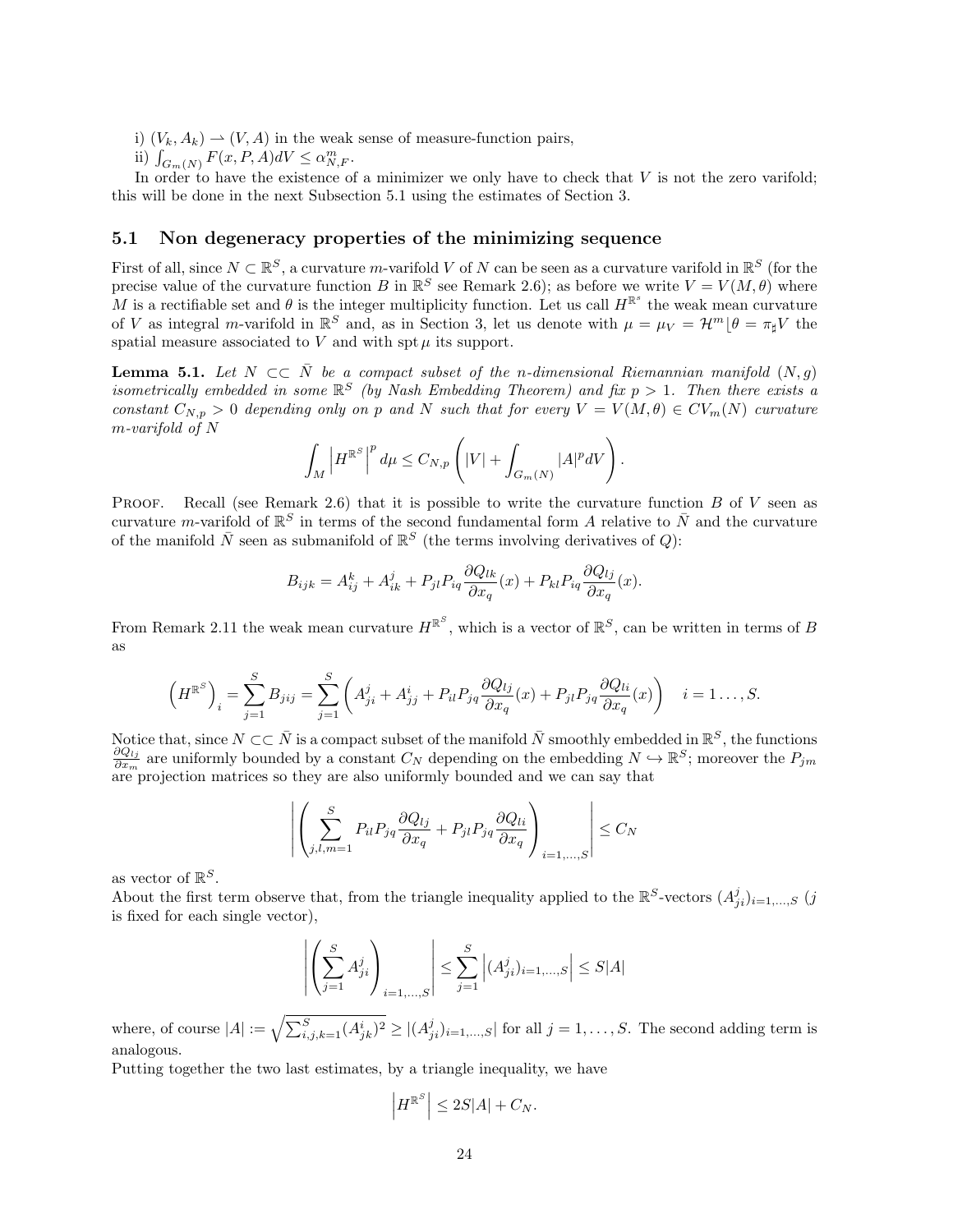i)  $(V_k, A_k) \rightarrow (V, A)$  in the weak sense of measure-function pairs,

ii)  $\int_{G_m(N)} F(x, P, A) dV \leq \alpha_{N,F}^m$ .

In order to have the existence of a minimizer we only have to check that  $V$  is not the zero varifold; this will be done in the next Subsection 5.1 using the estimates of Section 3.

### 5.1 Non degeneracy properties of the minimizing sequence

First of all, since  $N \subset \mathbb{R}^S$ , a curvature m-varifold V of N can be seen as a curvature varifold in  $\mathbb{R}^S$  (for the precise value of the curvature function B in  $\mathbb{R}^S$  see Remark 2.6); as before we write  $V = V(M, \theta)$  where M is a rectifiable set and  $\theta$  is the integer multiplicity function. Let us call  $H^{\mathbb{R}^s}$  the weak mean curvature of V as integral m-varifold in  $\mathbb{R}^S$  and, as in Section 3, let us denote with  $\mu = \mu_V = \mathcal{H}^m \lfloor \theta = \pi_\sharp V$  the spatial measure associated to  $V$  and with spt  $\mu$  its support.

**Lemma 5.1.** Let  $N \subset \overline{N}$  be a compact subset of the n-dimensional Riemannian manifold  $(N, g)$ isometrically embedded in some  $\mathbb{R}^S$  (by Nash Embedding Theorem) and fix  $p > 1$ . Then there exists a constant  $C_{N,p} > 0$  depending only on p and N such that for every  $V = V(M, \theta) \in CV_m(N)$  curvature m-varifold of N

$$
\int_M \left| H^{\mathbb{R}^S} \right|^p d\mu \leq C_{N,p} \left( |V| + \int_{G_m(N)} |A|^p dV \right).
$$

PROOF. Recall (see Remark 2.6) that it is possible to write the curvature function  $B$  of  $V$  seen as curvature *m*-varifold of  $\mathbb{R}^S$  in terms of the second fundamental form A relative to  $\bar{N}$  and the curvature of the manifold  $\bar{N}$  seen as submanifold of  $\mathbb{R}^S$  (the terms involving derivatives of Q):

$$
B_{ijk} = A_{ij}^k + A_{ik}^j + P_{jl} P_{iq} \frac{\partial Q_{lk}}{\partial x_q}(x) + P_{kl} P_{iq} \frac{\partial Q_{lj}}{\partial x_q}(x).
$$

From Remark 2.11 the weak mean curvature  $H^{\mathbb{R}^S}$ , which is a vector of  $\mathbb{R}^S$ , can be written in terms of B as

$$
\left(H^{\mathbb{R}^S}\right)_i = \sum_{j=1}^S B_{jij} = \sum_{j=1}^S \left(A_{ji}^j + A_{jj}^i + P_{il}P_{jq}\frac{\partial Q_{lj}}{\partial x_q}(x) + P_{jl}P_{jq}\frac{\partial Q_{li}}{\partial x_q}(x)\right) \quad i = 1 \dots, S.
$$

Notice that, since  $N\subset\subset\bar{N}$  is a compact subset of the manifold  $\bar{N}$  smoothly embedded in  $\mathbb{R}^S$ , the functions  $\partial Q_{lj}$  $\frac{\partial Q_{lj}}{\partial x_m}$  are uniformly bounded by a constant  $C_N$  depending on the embedding  $N \hookrightarrow \mathbb{R}^S$ ; moreover the  $P_{jm}$ are projection matrices so they are also uniformly bounded and we can say that

$$
\left| \left( \sum_{j,l,m=1}^{S} P_{il} P_{jq} \frac{\partial Q_{lj}}{\partial x_q} + P_{jl} P_{jq} \frac{\partial Q_{li}}{\partial x_q} \right)_{i=1,\dots,S} \right| \le C_N
$$

as vector of  $\mathbb{R}^S$ .

About the first term observe that, from the triangle inequality applied to the  $\mathbb{R}^S$ -vectors  $(A^j_{ji})_{i=1,\dots,S}$  (j is fixed for each single vector),

$$
\left| \left( \sum_{j=1}^{S} A_{ji}^{j} \right)_{i=1,...,S} \right| \leq \sum_{j=1}^{S} \left| (A_{ji}^{j})_{i=1,...,S} \right| \leq S|A|
$$

where, of course  $|A| := \sqrt{\sum_{i,j,k=1}^S (A_{jk}^i)^2} \geq |(A_{ji}^j)_{i=1,\ldots,S}|$  for all  $j = 1,\ldots,S$ . The second adding term is analogous.

Putting together the two last estimates, by a triangle inequality, we have

$$
\left|H^{\mathbb{R}^S}\right| \leq 2S|A| + C_N.
$$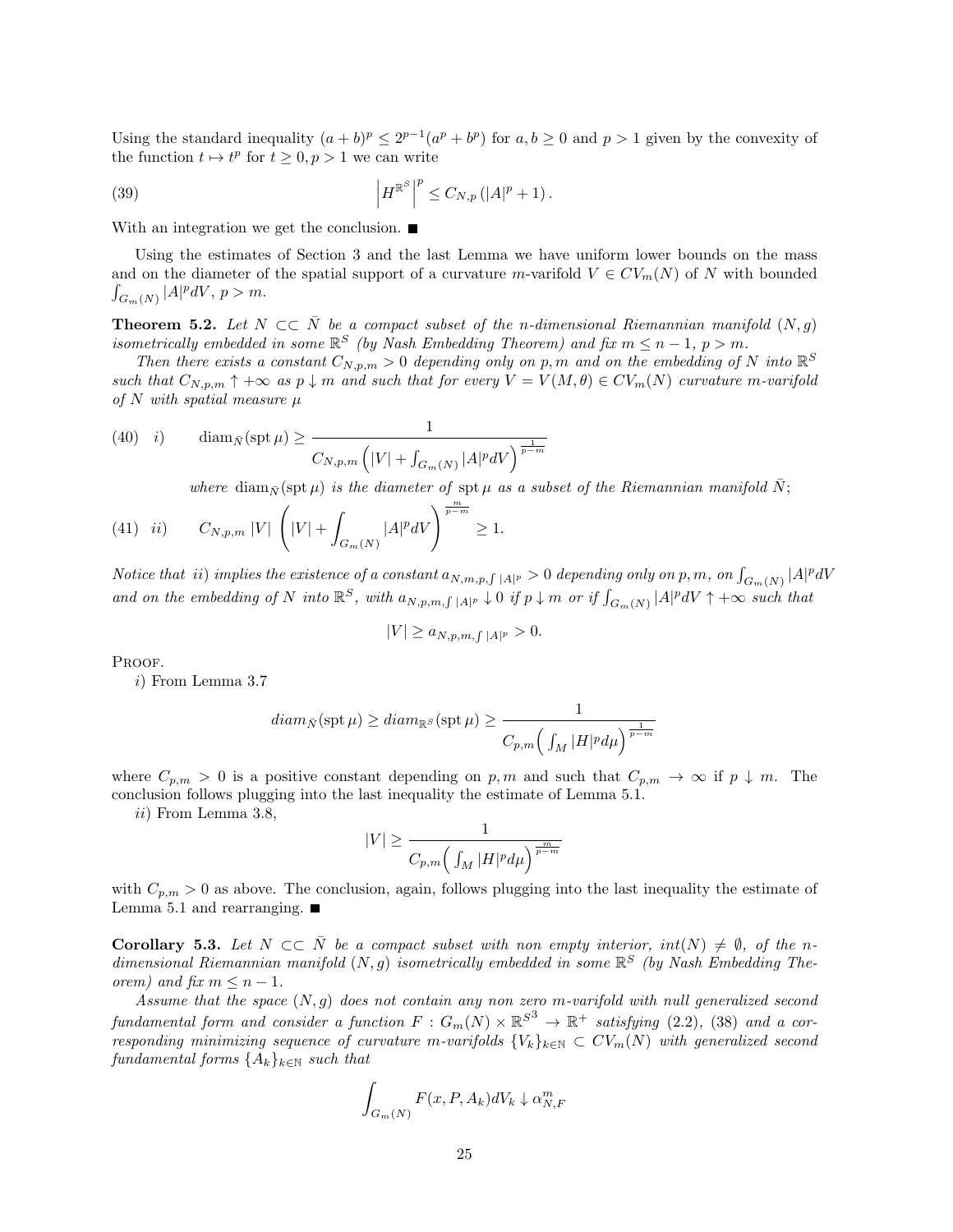Using the standard inequality  $(a + b)^p \leq 2^{p-1}(a^p + b^p)$  for  $a, b \geq 0$  and  $p > 1$  given by the convexity of the function  $t \mapsto t^p$  for  $t \geq 0, p > 1$  we can write

(39) 
$$
\left| H^{\mathbb{R}^S} \right|^p \leq C_{N,p} \left( |A|^p + 1 \right).
$$

With an integration we get the conclusion.

Using the estimates of Section 3 and the last Lemma we have uniform lower bounds on the mass and on the diameter of the spatial support of a curvature m-varifold  $V \in CV_m(N)$  of N with bounded  $\int_{G_m(N)} |A|^p dV, p > m.$ 

**Theorem 5.2.** Let  $N \subset \overline{N}$  be a compact subset of the n-dimensional Riemannian manifold  $(N, g)$ isometrically embedded in some  $\mathbb{R}^S$  (by Nash Embedding Theorem) and fix  $m \leq n-1$ ,  $p > m$ .

Then there exists a constant  $C_{N,p,m} > 0$  depending only on p, m and on the embedding of N into  $\mathbb{R}^S$ such that  $C_{N,p,m} \uparrow +\infty$  as  $p \downarrow m$  and such that for every  $V = V(M,\theta) \in CV_m(N)$  curvature m-varifold of N with spatial measure  $\mu$ 

(40) *i*) 
$$
\operatorname{diam}_{\bar{N}}(\operatorname{spt} \mu) \ge \frac{1}{C_{N,p,m} \left( |V| + \int_{G_m(N)} |A|^p dV \right)^{\frac{1}{p-m}}}
$$

where diam<sub>N</sub> $(\text{spt }\mu)$  is the diameter of  $\text{spt }\mu$  as a subset of the Riemannian manifold N;

(41) *ii*) 
$$
C_{N,p,m} |V| \left( |V| + \int_{G_m(N)} |A|^p dV \right)^{\frac{m}{p-m}} \ge 1.
$$

Notice that  $ii)$  implies the existence of a constant  $a_{N,m,p,\int|A|^p}>0$  depending only on p, m, on  $\int_{G_m(N)}|A|^p dV$ and on the embedding of N into  $\mathbb{R}^S$ , with  $a_{N,p,m,\int|A|^p} \downarrow 0$  if  $p \downarrow m$  or if  $\int_{G_m(N)} |A|^p dV \uparrow +\infty$  such that

$$
|V| \ge a_{N,p,m,\int |A|^p} > 0.
$$

PROOF.

i) From Lemma 3.7

$$
diam_{\bar{N}}(\operatorname{spt} \mu) \geq diam_{\mathbb{R}^S}(\operatorname{spt} \mu) \geq \frac{1}{C_{p,m}\left(\int_M |H|^p d\mu\right)^{\frac{1}{p-m}}}
$$

where  $C_{p,m} > 0$  is a positive constant depending on p, m and such that  $C_{p,m} \to \infty$  if  $p \downarrow m$ . The conclusion follows plugging into the last inequality the estimate of Lemma 5.1.

ii) From Lemma 3.8,

$$
|V|\geq \frac{1}{C_{p,m}\Big(\int_M |H|^p d\mu\Big)^{\frac{m}{p-m}}}
$$

with  $C_{p,m} > 0$  as above. The conclusion, again, follows plugging into the last inequality the estimate of Lemma 5.1 and rearranging.  $\blacksquare$ 

**Corollary 5.3.** Let  $N \subset \overline{N}$  be a compact subset with non empty interior,  $int(N) \neq \emptyset$ , of the ndimensional Riemannian manifold  $(N, g)$  isometrically embedded in some  $\mathbb{R}^S$  (by Nash Embedding Theorem) and fix  $m \leq n-1$ .

Assume that the space  $(N, g)$  does not contain any non zero m-varifold with null generalized second fundamental form and consider a function  $F: G_m(N) \times \mathbb{R}^{S^3} \to \mathbb{R}^+$  satisfying (2.2), (38) and a corresponding minimizing sequence of curvature m-varifolds  ${V_k}_{k\in\mathbb{N}} \subset CV_m(N)$  with generalized second fundamental forms  ${A_k}_{k \in \mathbb{N}}$  such that

$$
\int_{G_m(N)} F(x, P, A_k) dV_k \downarrow \alpha_{N,F}^m
$$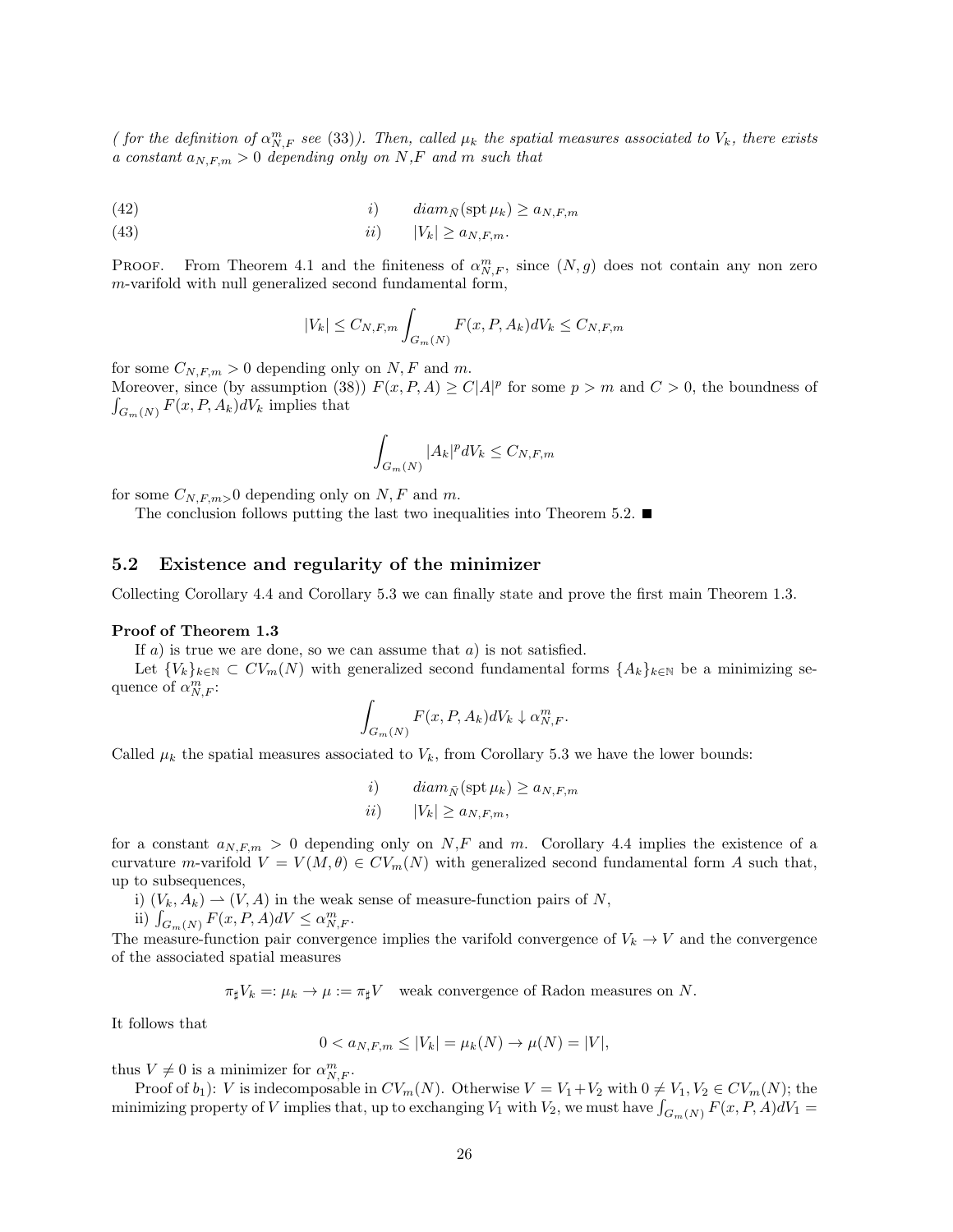( for the definition of  $\alpha_{N,F}^{m}$  see (33)). Then, called  $\mu_k$  the spatial measures associated to  $V_k$ , there exists a constant  $a_{N,F,m} > 0$  depending only on N,F and m such that

(42) 
$$
i) \qquad diam_{\bar{N}}(\operatorname{spt} \mu_k) \ge a_{N,F,m}
$$

(43) ii) |Vk| ≥ aN,F,m.

**PROOF.** From Theorem 4.1 and the finiteness of  $\alpha_{N,F}^m$ , since  $(N, g)$  does not contain any non zero m-varifold with null generalized second fundamental form,

$$
|V_k| \leq C_{N,F,m} \int_{G_m(N)} F(x, P, A_k) dV_k \leq C_{N,F,m}
$$

for some  $C_{N,F,m} > 0$  depending only on N, F and m.

Moreover, since (by assumption (38))  $F(x, P, A) \ge C|A|^p$  for some  $p > m$  and  $C > 0$ , the boundness of  $\int_{G_m(N)} F(x, P, A_k) dV_k$  implies that

$$
\int_{G_m(N)} |A_k|^p dV_k \le C_{N,F,m}
$$

for some  $C_{N,F,m}>0$  depending only on N, F and m.

The conclusion follows putting the last two inequalities into Theorem 5.2.  $\blacksquare$ 

### 5.2 Existence and regularity of the minimizer

Collecting Corollary 4.4 and Corollary 5.3 we can finally state and prove the first main Theorem 1.3.

#### Proof of Theorem 1.3

If  $a$ ) is true we are done, so we can assume that  $a$ ) is not satisfied.

Let  ${V_k}_{k\in\mathbb{N}}\subset CV_m(N)$  with generalized second fundamental forms  ${A_k}_{k\in\mathbb{N}}$  be a minimizing sequence of  $\alpha_{N,F}^m$ :

$$
\int_{G_m(N)} F(x, P, A_k) dV_k \downarrow \alpha_{N,F}^m.
$$

Called  $\mu_k$  the spatial measures associated to  $V_k$ , from Corollary 5.3 we have the lower bounds:

*i*) 
$$
diam_{\bar{N}}(\operatorname{spt} \mu_k) \ge a_{N,F,m}
$$
  
*ii*)  $|V_k| \ge a_{N,F,m}$ ,

for a constant  $a_{N,F,m} > 0$  depending only on N,F and m. Corollary 4.4 implies the existence of a curvature m-varifold  $V = V(M, \theta) \in CV_m(N)$  with generalized second fundamental form A such that, up to subsequences,

- i)  $(V_k, A_k) \rightharpoonup (V, A)$  in the weak sense of measure-function pairs of N,
- ii)  $\int_{G_m(N)} F(x, P, A) dV \leq \alpha_{N,F}^m$ .

The measure-function pair convergence implies the varifold convergence of  $V_k \to V$  and the convergence of the associated spatial measures

 $\pi_{\sharp}V_k =: \mu_k \to \mu := \pi_{\sharp}V$  weak convergence of Radon measures on N.

It follows that

$$
0 < a_{N,F,m} \le |V_k| = \mu_k(N) \to \mu(N) = |V|,
$$

thus  $V \neq 0$  is a minimizer for  $\alpha_{N,F}^m$ .

Proof of  $b_1$ : V is indecomposable in  $CV_m(N)$ . Otherwise  $V = V_1 + V_2$  with  $0 \neq V_1, V_2 \in CV_m(N)$ ; the minimizing property of V implies that, up to exchanging  $V_1$  with  $V_2$ , we must have  $\int_{G_m(N)} F(x, P, A) dV_1 =$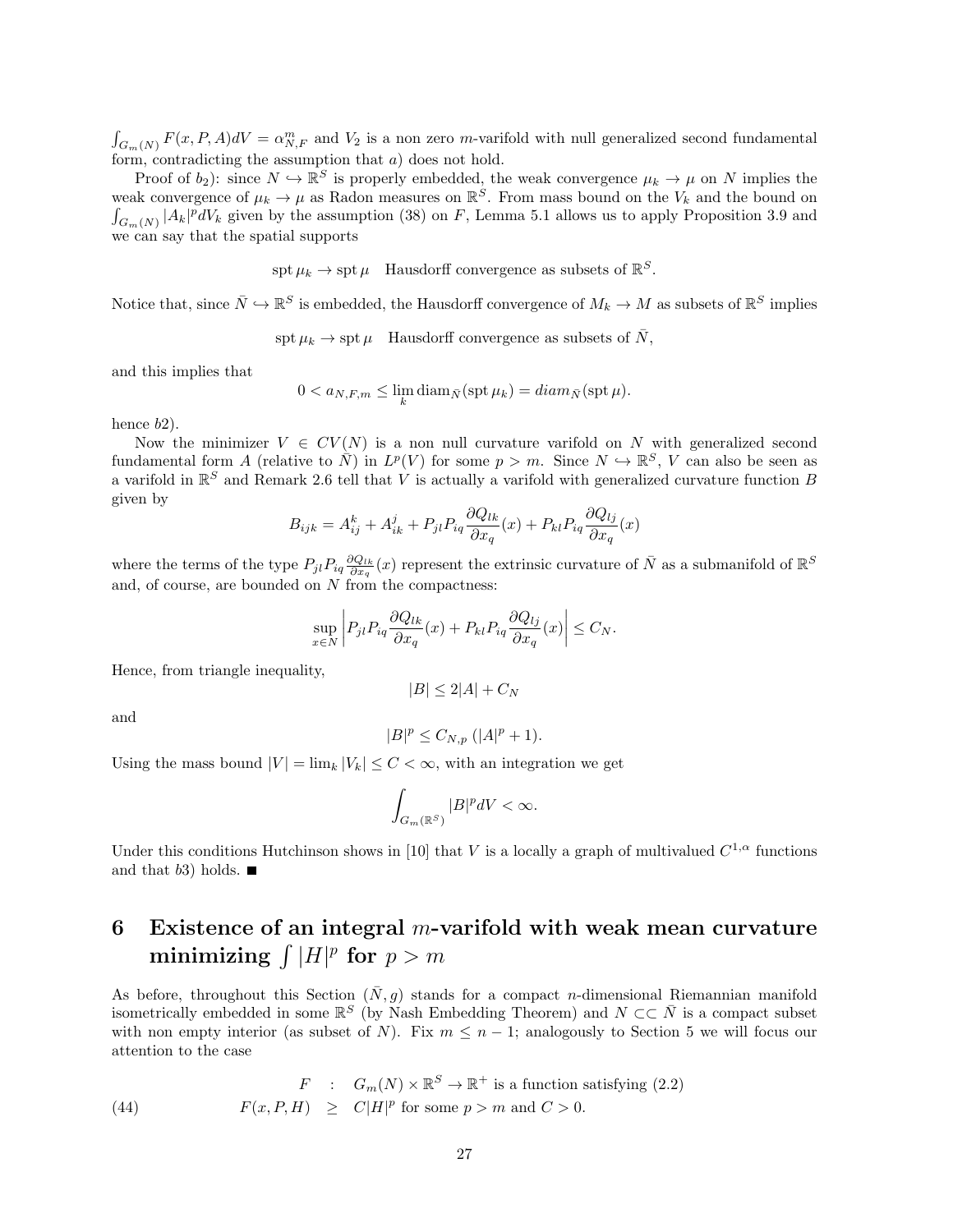$\int_{G_m(N)} F(x, P, A) dV = \alpha_{N,F}^m$  and  $V_2$  is a non zero m-varifold with null generalized second fundamental form, contradicting the assumption that a) does not hold.

Proof of  $b_2$ ): since  $N \hookrightarrow \mathbb{R}^S$  is properly embedded, the weak convergence  $\mu_k \to \mu$  on N implies the weak convergence of  $\mu_k \to \mu$  as Radon measures on  $\mathbb{R}^S$ . From mass bound on the  $V_k$  and the bound on  $\int_{G_m(N)} |A_k|^p dV_k$  given by the assumption (38) on F, Lemma 5.1 allows us to apply Proposition 3.9 and we can say that the spatial supports

 $\operatorname{spt} \mu_k \to \operatorname{spt} \mu$  Hausdorff convergence as subsets of  $\mathbb{R}^S$ .

Notice that, since  $\bar{N} \hookrightarrow \mathbb{R}^S$  is embedded, the Hausdorff convergence of  $M_k \to M$  as subsets of  $\mathbb{R}^S$  implies

 $\text{spt } \mu_k \to \text{spt } \mu$  Hausdorff convergence as subsets of  $\bar{N}$ ,

and this implies that

$$
0 < a_{N,F,m} \leq \lim_{k} \operatorname{diam}_{\bar{N}}(\operatorname{spt} \mu_k) = \operatorname{diam}_{\bar{N}}(\operatorname{spt} \mu).
$$

hence  $b2$ ).

Now the minimizer  $V \in CV(N)$  is a non null curvature varifold on N with generalized second fundamental form A (relative to  $\overline{N}$ ) in  $L^p(V)$  for some  $p > m$ . Since  $N \hookrightarrow \mathbb{R}^S$ , V can also be seen as a varifold in  $\mathbb{R}^S$  and Remark 2.6 tell that V is actually a varifold with generalized curvature function B given by

$$
B_{ijk} = A_{ij}^k + A_{ik}^j + P_{jl} P_{iq} \frac{\partial Q_{lk}}{\partial x_q}(x) + P_{kl} P_{iq} \frac{\partial Q_{lj}}{\partial x_q}(x)
$$

where the terms of the type  $P_{jl}P_{iq}\frac{\partial Q_{lk}}{\partial x_q}(x)$  represent the extrinsic curvature of  $\bar{N}$  as a submanifold of  $\mathbb{R}^S$ and, of course, are bounded on  $N$  from the compactness:

$$
\sup_{x \in N} \left| P_{jl} P_{iq} \frac{\partial Q_{lk}}{\partial x_q}(x) + P_{kl} P_{iq} \frac{\partial Q_{lj}}{\partial x_q}(x) \right| \le C_N.
$$

Hence, from triangle inequality,

and

$$
|B|^{p} \leq C_{N,p} (|A|^{p} + 1).
$$

 $|B| \leq 2|A| + C_N$ 

Using the mass bound  $|V| = \lim_{k} |V_k| \leq C < \infty$ , with an integration we get

$$
\int_{G_m(\mathbb{R}^S)}|B|^pdV<\infty.
$$

Under this conditions Hutchinson shows in [10] that V is a locally a graph of multivalued  $C^{1,\alpha}$  functions and that  $b3$ ) holds.

## 6 Existence of an integral m-varifold with weak mean curvature minimizing  $\int |H|^p$  for  $p > m$

As before, throughout this Section  $(\bar{N}, g)$  stands for a compact n-dimensional Riemannian manifold isometrically embedded in some  $\mathbb{R}^S$  (by Nash Embedding Theorem) and  $N \subset \subset \overline{N}$  is a compact subset with non empty interior (as subset of N). Fix  $m \leq n-1$ ; analogously to Section 5 we will focus our attention to the case

(44) 
$$
F : G_m(N) \times \mathbb{R}^S \to \mathbb{R}^+ \text{ is a function satisfying (2.2)}
$$

$$
F(x, P, H) \geq C|H|^p \text{ for some } p > m \text{ and } C > 0.
$$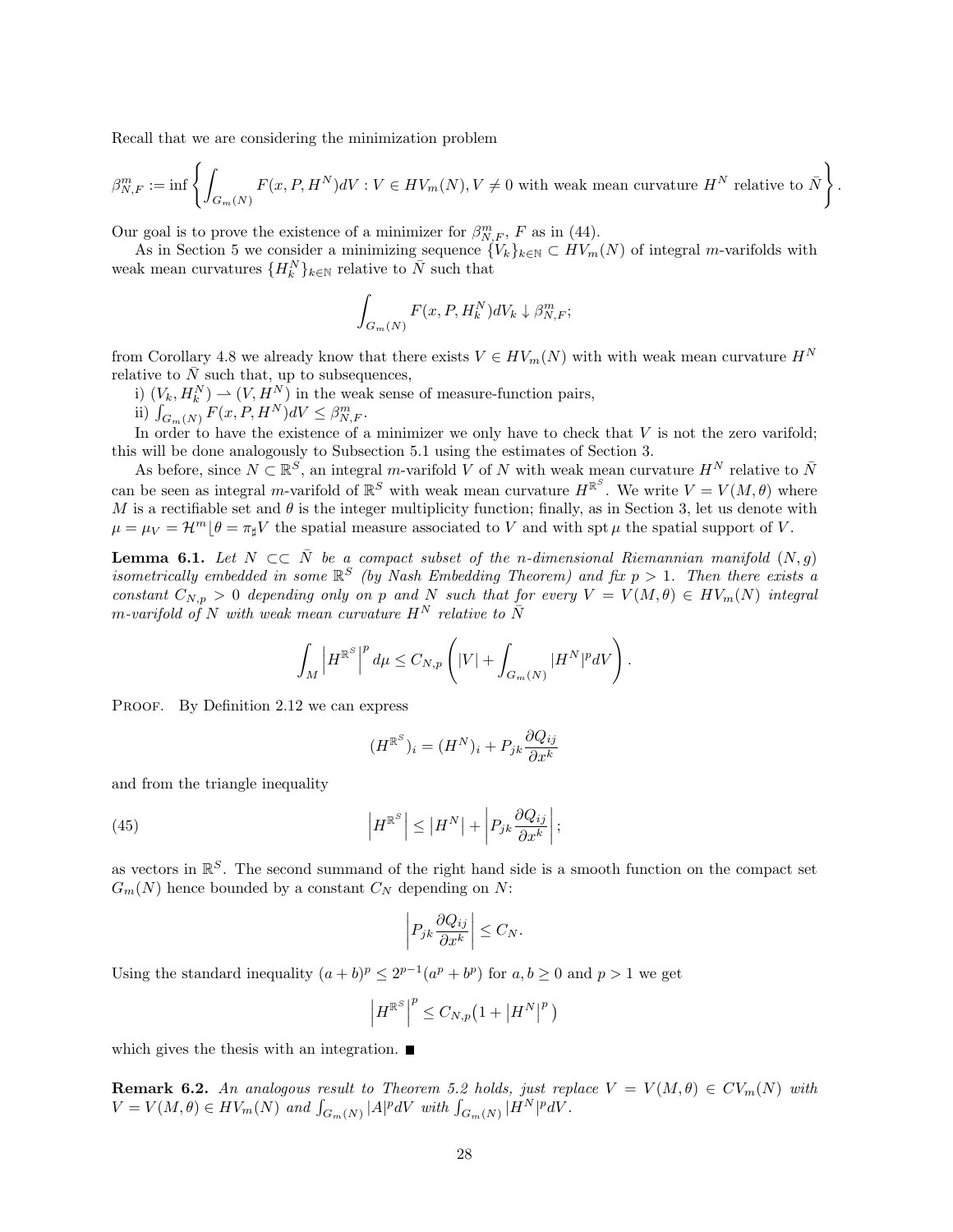Recall that we are considering the minimization problem

$$
\beta_{N,F}^m := \inf \left\{ \int_{G_m(N)} F(x, P, H^N) dV : V \in HV_m(N), V \neq 0 \text{ with weak mean curvature } H^N \text{ relative to } \bar{N} \right\}.
$$

Our goal is to prove the existence of a minimizer for  $\beta_{N,F}^m$ , F as in (44).

As in Section 5 we consider a minimizing sequence  $\{V_k\}_{k\in\mathbb{N}}\subset HV_m(N)$  of integral m-varifolds with weak mean curvatures  ${H_k^N}_{k \in \mathbb{N}}$  relative to  $\overline{N}$  such that

$$
\int_{G_m(N)} F(x, P, H_k^N) dV_k \downarrow \beta_{N,F}^m;
$$

from Corollary 4.8 we already know that there exists  $V \in HV_m(N)$  with with weak mean curvature  $H^N$ relative to  $\overline{N}$  such that, up to subsequences,

i)  $(V_k, H_k^N) \rightharpoonup (V, H_{\infty}^N)$  in the weak sense of measure-function pairs,

ii)  $\int_{G_m(N)} F(x, P, H^N) dV \leq \beta_{N,F}^m$ .

In order to have the existence of a minimizer we only have to check that  $V$  is not the zero varifold; this will be done analogously to Subsection 5.1 using the estimates of Section 3.

As before, since  $N \subset \mathbb{R}^S$ , an integral m-varifold V of N with weak mean curvature  $H^N$  relative to  $\bar{N}$ can be seen as integral m-varifold of  $\mathbb{R}^S$  with weak mean curvature  $H^{\mathbb{R}^S}$ . We write  $V = V(M, \theta)$  where M is a rectifiable set and  $\theta$  is the integer multiplicity function; finally, as in Section 3, let us denote with  $\mu = \mu_V = \mathcal{H}^m | \theta = \pi_\sharp V$  the spatial measure associated to V and with spt  $\mu$  the spatial support of V.

**Lemma 6.1.** Let  $N \subset \overline{N}$  be a compact subset of the n-dimensional Riemannian manifold  $(N, g)$ isometrically embedded in some  $\mathbb{R}^S$  (by Nash Embedding Theorem) and fix  $p > 1$ . Then there exists a constant  $C_{N,p} > 0$  depending only on p and N such that for every  $V = V(M,\theta) \in HV_m(N)$  integral m-varifold of N with weak mean curvature  $H^N$  relative to  $\overline{N}$ 

$$
\int_M \left| H^{\mathbb{R}^S} \right|^p d\mu \leq C_{N,p} \left( |V| + \int_{G_m(N)} |H^N|^p dV \right).
$$

PROOF. By Definition 2.12 we can express

$$
(H^{\mathbb{R}^S})_i = (H^N)_i + P_{jk} \frac{\partial Q_{ij}}{\partial x^k}
$$

and from the triangle inequality

(45) 
$$
\left| H^{\mathbb{R}^S} \right| \leq \left| H^N \right| + \left| P_{jk} \frac{\partial Q_{ij}}{\partial x^k} \right|;
$$

as vectors in  $\mathbb{R}^S$ . The second summand of the right hand side is a smooth function on the compact set  $G_m(N)$  hence bounded by a constant  $C_N$  depending on N:

$$
\left| P_{jk} \frac{\partial Q_{ij}}{\partial x^k} \right| \leq C_N.
$$

Using the standard inequality  $(a + b)^p \leq 2^{p-1}(a^p + b^p)$  for  $a, b \geq 0$  and  $p > 1$  we get

$$
\left|H^{\mathbb{R}^S}\right|^p \leq C_{N,p}\left(1+\left|H^N\right|^p\right)
$$

which gives the thesis with an integration.

**Remark 6.2.** An analogous result to Theorem 5.2 holds, just replace  $V = V(M, \theta) \in CV_m(N)$  with  $V = V(M, \theta) \in HV_m(N)$  and  $\int_{G_m(N)} |A|^p dV$  with  $\int_{G_m(N)} |H^N|^p dV$ .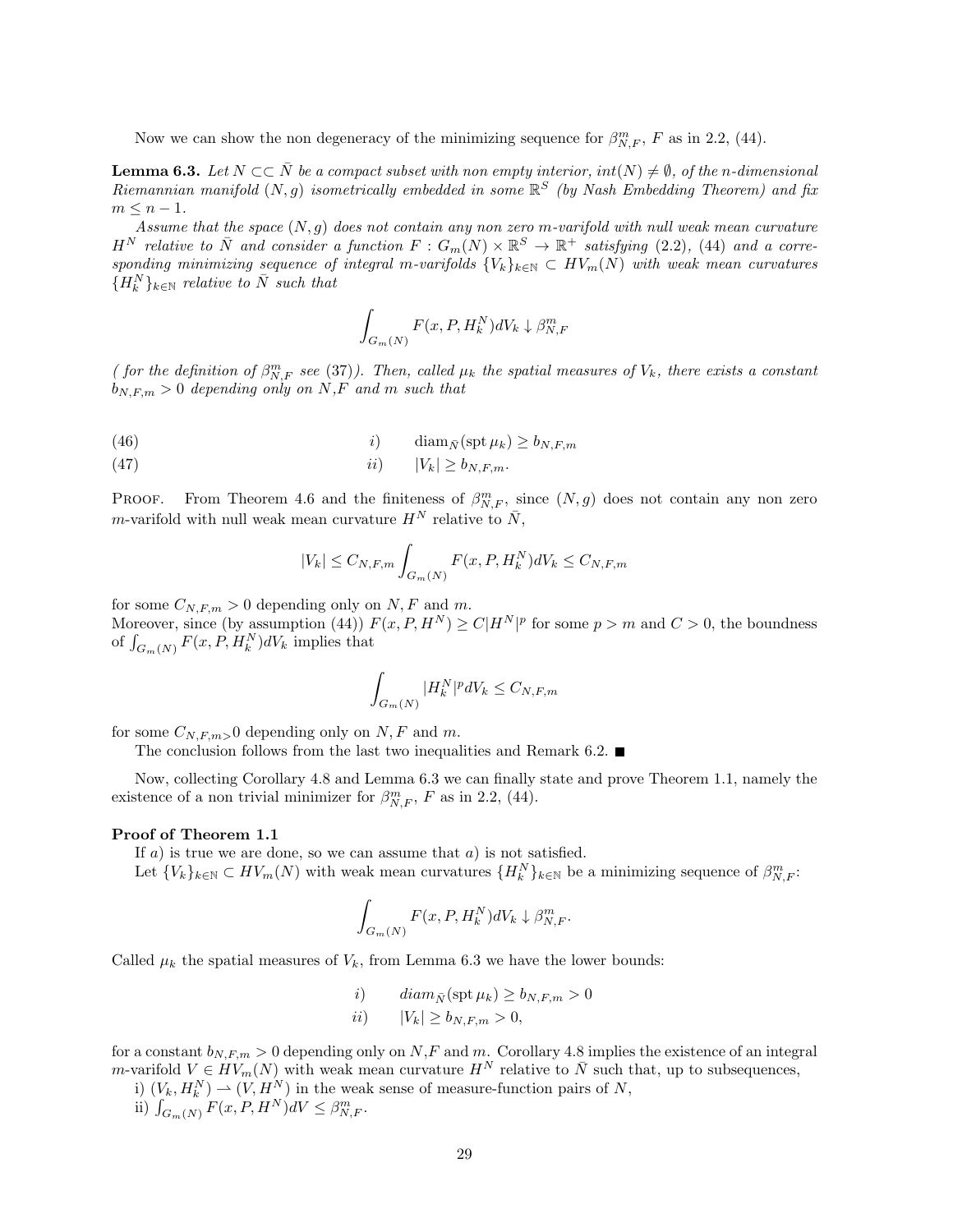Now we can show the non degeneracy of the minimizing sequence for  $\beta_{N,F}^m$ , F as in 2.2, (44).

**Lemma 6.3.** Let  $N \subset \overline{N}$  be a compact subset with non empty interior,  $int(N) \neq \emptyset$ , of the n-dimensional Riemannian manifold  $(N, g)$  isometrically embedded in some  $\mathbb{R}^S$  (by Nash Embedding Theorem) and fix  $m \leq n-1$ .

Assume that the space  $(N, g)$  does not contain any non zero m-varifold with null weak mean curvature  $H^N$  relative to  $\overline{N}$  and consider a function  $F: G_m(N) \times \mathbb{R}^S \to \mathbb{R}^+$  satisfying (2.2), (44) and a corresponding minimizing sequence of integral m-varifolds  ${V_k}_{k \in \mathbb{N}} \subset HV_m(N)$  with weak mean curvatures  ${H_k^N}_{k \in \mathbb{N}}$  relative to  $\overline{N}$  such that

$$
\int_{G_m(N)} F(x, P, H_k^N) dV_k \downarrow \beta_{N,F}^m
$$

( for the definition of  $\beta_{N,F}^m$  see (37)). Then, called  $\mu_k$  the spatial measures of  $V_k$ , there exists a constant  $b_{N,F,m} > 0$  depending only on N,F and m such that

(46) 
$$
i) \qquad \text{diam}_{\bar{N}}(\text{spt}\,\mu_k) \ge b_{N,F,m}
$$

(47) ii) |Vk| ≥ bN,F,m.

**PROOF.** From Theorem 4.6 and the finiteness of  $\beta_{N,F}^m$ , since  $(N, g)$  does not contain any non zero m-varifold with null weak mean curvature  $H^N$  relative to  $\bar{N}$ ,

$$
|V_k| \le C_{N,F,m} \int_{G_m(N)} F(x, P, H_k^N) dV_k \le C_{N,F,m}
$$

for some  $C_{N,F,m} > 0$  depending only on N, F and m.

Moreover, since (by assumption (44))  $F(x, P, H^N) \ge C|H^N|^p$  for some  $p > m$  and  $C > 0$ , the boundness of  $\int_{G_m(N)} F(x, P, H_k^N) dV_k$  implies that

$$
\int_{G_m(N)} |H_k^N|^p dV_k \le C_{N,F,m}
$$

for some  $C_{N,F,m>0}$  depending only on N, F and m.

The conclusion follows from the last two inequalities and Remark 6.2.  $\blacksquare$ 

Now, collecting Corollary 4.8 and Lemma 6.3 we can finally state and prove Theorem 1.1, namely the existence of a non trivial minimizer for  $\beta_{N,F}^m$ , F as in 2.2, (44).

#### Proof of Theorem 1.1

If  $a$ ) is true we are done, so we can assume that  $a$ ) is not satisfied.

Let  ${V_k}_{k \in \mathbb{N}} \subset HV_m(N)$  with weak mean curvatures  ${H_k^N}_{k \in \mathbb{N}}$  be a minimizing sequence of  $\beta_{N,F}^m$ :

$$
\int_{G_m(N)} F(x, P, H_k^N) dV_k \downarrow \beta_{N,F}^m.
$$

Called  $\mu_k$  the spatial measures of  $V_k$ , from Lemma 6.3 we have the lower bounds:

*i*) 
$$
diam_{\bar{N}}(\operatorname{spt} \mu_k) \ge b_{N,F,m} > 0
$$
  
*ii*) 
$$
|V_k| \ge b_{N,F,m} > 0,
$$

for a constant  $b_{N,F,m} > 0$  depending only on N,F and m. Corollary 4.8 implies the existence of an integral m-varifold  $V \in HV_m(N)$  with weak mean curvature  $H^N$  relative to  $\overline{N}$  such that, up to subsequences,

i)  $(V_k, H_k^N) \rightharpoonup (V, H_{\infty}^N)$  in the weak sense of measure-function pairs of N,

ii)  $\int_{G_m(N)} F(x, P, H^N) dV \leq \beta_{N,F}^m$ .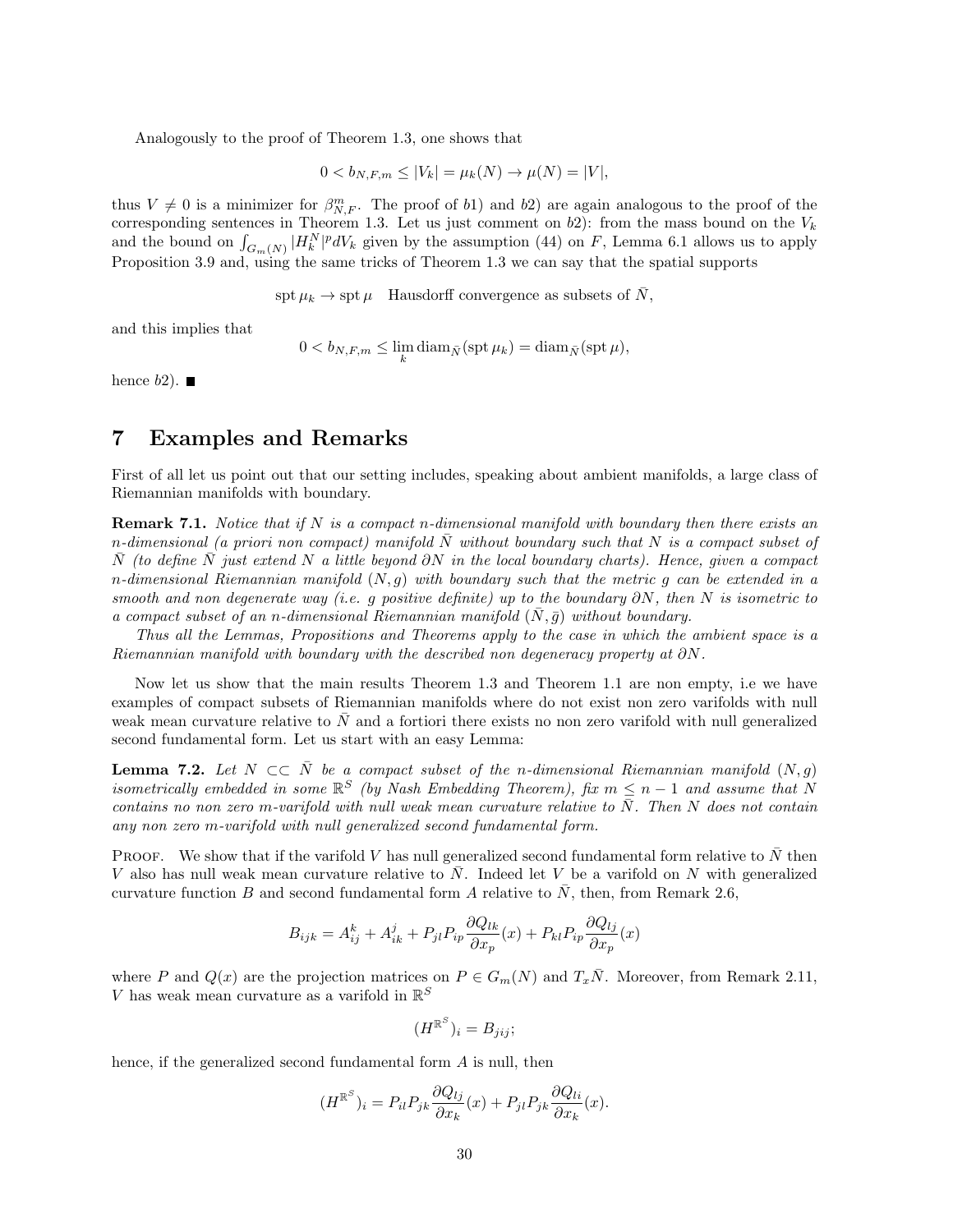Analogously to the proof of Theorem 1.3, one shows that

$$
0 < b_{N,F,m} \le |V_k| = \mu_k(N) \to \mu(N) = |V|,
$$

thus  $V \neq 0$  is a minimizer for  $\beta_{N,F}^m$ . The proof of b1) and b2) are again analogous to the proof of the corresponding sentences in Theorem 1.3. Let us just comment on  $b2$ ): from the mass bound on the  $V_k$ and the bound on  $\int_{G_m(N)} |H_k^N|^p dV_k$  given by the assumption (44) on F, Lemma 6.1 allows us to apply Proposition 3.9 and, using the same tricks of Theorem 1.3 we can say that the spatial supports

 $\text{spt } \mu_k \to \text{spt } \mu$  Hausdorff convergence as subsets of  $\bar{N}$ ,

and this implies that

$$
0 < b_{N,F,m} \leq \lim_{k} \operatorname{diam}_{\bar{N}}(\operatorname{spt} \mu_k) = \operatorname{diam}_{\bar{N}}(\operatorname{spt} \mu),
$$

hence  $b2$ ).

## 7 Examples and Remarks

First of all let us point out that our setting includes, speaking about ambient manifolds, a large class of Riemannian manifolds with boundary.

**Remark 7.1.** Notice that if N is a compact n-dimensional manifold with boundary then there exists an n-dimensional (a priori non compact) manifold  $\overline{N}$  without boundary such that  $\overline{N}$  is a compact subset of N (to define N just extend N a little beyond ∂N in the local boundary charts). Hence, given a compact n-dimensional Riemannian manifold  $(N, g)$  with boundary such that the metric g can be extended in a smooth and non degenerate way (i.e. g positive definite) up to the boundary  $\partial N$ , then N is isometric to a compact subset of an n-dimensional Riemannian manifold  $(N, \bar{g})$  without boundary.

Thus all the Lemmas, Propositions and Theorems apply to the case in which the ambient space is a Riemannian manifold with boundary with the described non degeneracy property at  $\partial N$ .

Now let us show that the main results Theorem 1.3 and Theorem 1.1 are non empty, i.e we have examples of compact subsets of Riemannian manifolds where do not exist non zero varifolds with null weak mean curvature relative to  $\bar{N}$  and a fortiori there exists no non zero varifold with null generalized second fundamental form. Let us start with an easy Lemma:

**Lemma 7.2.** Let  $N \subset \overline{N}$  be a compact subset of the n-dimensional Riemannian manifold  $(N, g)$ isometrically embedded in some  $\mathbb{R}^S$  (by Nash Embedding Theorem), fix  $m \leq n-1$  and assume that N contains no non zero m-varifold with null weak mean curvature relative to  $\bar{N}$ . Then N does not contain any non zero m-varifold with null generalized second fundamental form.

PROOF. We show that if the varifold V has null generalized second fundamental form relative to  $\overline{N}$  then V also has null weak mean curvature relative to  $\overline{N}$ . Indeed let V be a varifold on N with generalized curvature function B and second fundamental form A relative to  $\bar{N}$ , then, from Remark 2.6,

$$
B_{ijk} = A_{ij}^k + A_{ik}^j + P_{jl}P_{ip}\frac{\partial Q_{lk}}{\partial x_p}(x) + P_{kl}P_{ip}\frac{\partial Q_{lj}}{\partial x_p}(x)
$$

where P and  $Q(x)$  are the projection matrices on  $P \in G_m(N)$  and  $T_x\overline{N}$ . Moreover, from Remark 2.11,  $V$  has weak mean curvature as a varifold in  $\mathbb{R}^S$ 

$$
(H^{\mathbb{R}^S})_i = B_{jij};
$$

hence, if the generalized second fundamental form A is null, then

$$
(H^{\mathbb{R}^S})_i = P_{il} P_{jk} \frac{\partial Q_{lj}}{\partial x_k}(x) + P_{jl} P_{jk} \frac{\partial Q_{li}}{\partial x_k}(x).
$$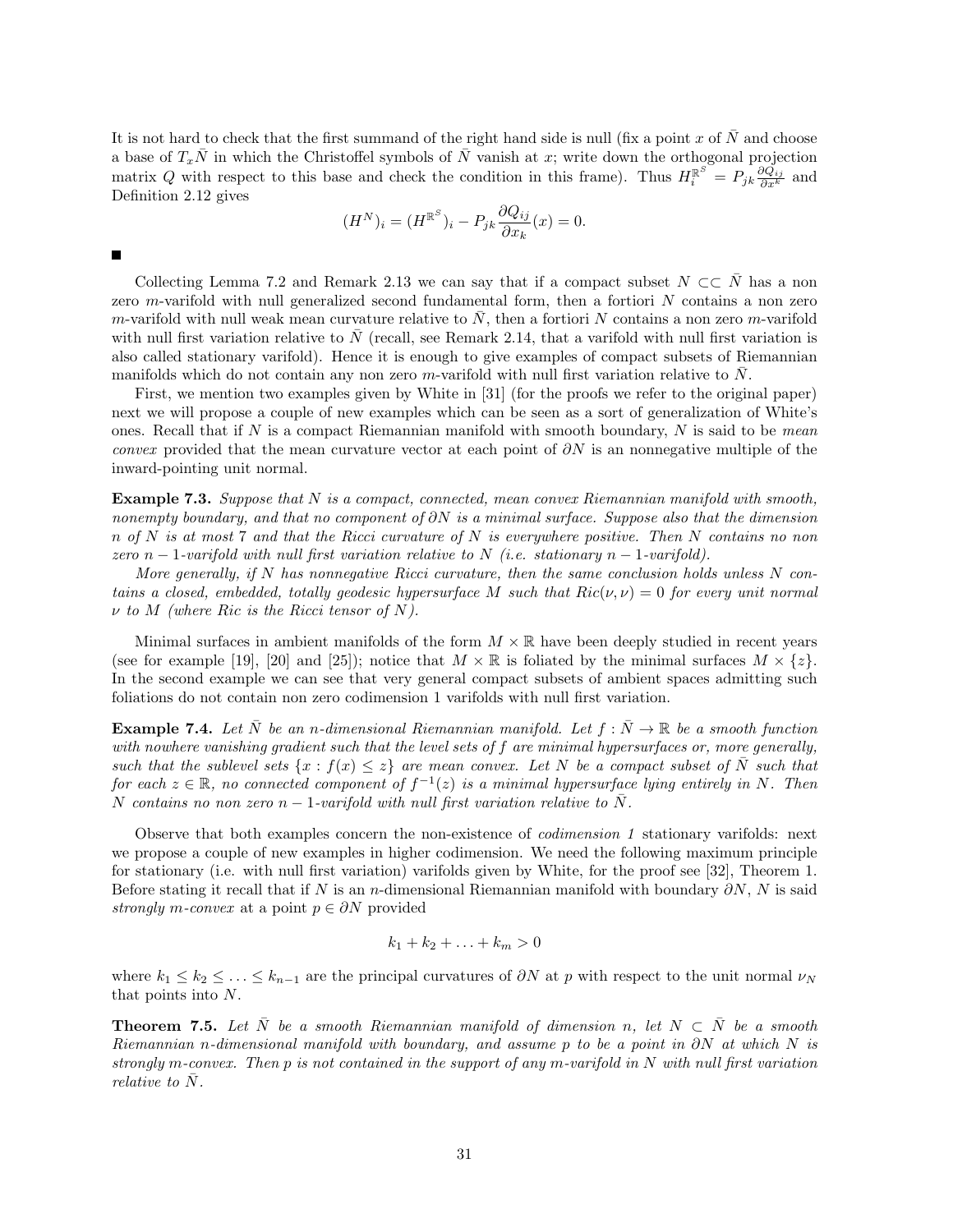It is not hard to check that the first summand of the right hand side is null (fix a point x of  $\overline{N}$  and choose a base of  $T_x\overline{N}$  in which the Christoffel symbols of  $\overline{N}$  vanish at x; write down the orthogonal projection matrix Q with respect to this base and check the condition in this frame). Thus  $H_i^{\mathbb{R}^S} = P_{jk} \frac{\partial Q_{ij}}{\partial x^k}$  and Definition 2.12 gives

$$
(H^N)_i = (H^{\mathbb{R}^S})_i - P_{jk} \frac{\partial Q_{ij}}{\partial x_k}(x) = 0.
$$

 $\blacksquare$ 

Collecting Lemma 7.2 and Remark 2.13 we can say that if a compact subset  $N \subset\subset \overline{N}$  has a non zero m-varifold with null generalized second fundamental form, then a fortiori N contains a non zero m-varifold with null weak mean curvature relative to  $\bar{N}$ , then a fortiori  $\bar{N}$  contains a non zero m-varifold with null first variation relative to  $\overline{N}$  (recall, see Remark 2.14, that a varifold with null first variation is also called stationary varifold). Hence it is enough to give examples of compact subsets of Riemannian manifolds which do not contain any non zero m-varifold with null first variation relative to  $\bar{N}$ .

First, we mention two examples given by White in [31] (for the proofs we refer to the original paper) next we will propose a couple of new examples which can be seen as a sort of generalization of White's ones. Recall that if  $N$  is a compact Riemannian manifold with smooth boundary,  $N$  is said to be *mean convex* provided that the mean curvature vector at each point of  $\partial N$  is an nonnegative multiple of the inward-pointing unit normal.

Example 7.3. Suppose that N is a compact, connected, mean convex Riemannian manifold with smooth, nonempty boundary, and that no component of  $\partial N$  is a minimal surface. Suppose also that the dimension  $n \text{ of } N$  is at most 7 and that the Ricci curvature of N is everywhere positive. Then N contains no non zero n − 1-varifold with null first variation relative to N (i.e. stationary n − 1-varifold).

More generally, if  $N$  has nonnegative Ricci curvature, then the same conclusion holds unless  $N$  contains a closed, embedded, totally geodesic hypersurface M such that  $Ric(\nu, \nu) = 0$  for every unit normal  $\nu$  to M (where Ric is the Ricci tensor of N).

Minimal surfaces in ambient manifolds of the form  $M \times \mathbb{R}$  have been deeply studied in recent years (see for example [19], [20] and [25]); notice that  $M \times \mathbb{R}$  is foliated by the minimal surfaces  $M \times \{z\}$ . In the second example we can see that very general compact subsets of ambient spaces admitting such foliations do not contain non zero codimension 1 varifolds with null first variation.

**Example 7.4.** Let  $\bar{N}$  be an n-dimensional Riemannian manifold. Let  $f : \bar{N} \to \mathbb{R}$  be a smooth function with nowhere vanishing gradient such that the level sets of  $f$  are minimal hypersurfaces or, more generally, such that the sublevel sets  $\{x : f(x) \leq z\}$  are mean convex. Let N be a compact subset of  $\overline{N}$  such that for each  $z \in \mathbb{R}$ , no connected component of  $f^{-1}(z)$  is a minimal hypersurface lying entirely in N. Then N contains no non zero n – 1-varifold with null first variation relative to  $\overline{N}$ .

Observe that both examples concern the non-existence of codimension 1 stationary varifolds: next we propose a couple of new examples in higher codimension. We need the following maximum principle for stationary (i.e. with null first variation) varifolds given by White, for the proof see [32], Theorem 1. Before stating it recall that if N is an n-dimensional Riemannian manifold with boundary  $\partial N$ , N is said strongly m-convex at a point  $p \in \partial N$  provided

$$
k_1 + k_2 + \ldots + k_m > 0
$$

where  $k_1 \leq k_2 \leq \ldots \leq k_{n-1}$  are the principal curvatures of  $\partial N$  at p with respect to the unit normal  $\nu_N$ that points into N.

**Theorem 7.5.** Let  $\overline{N}$  be a smooth Riemannian manifold of dimension n, let  $N \subset \overline{N}$  be a smooth Riemannian n-dimensional manifold with boundary, and assume p to be a point in  $\partial N$  at which N is strongly m-convex. Then p is not contained in the support of any m-varifold in N with null first variation relative to N.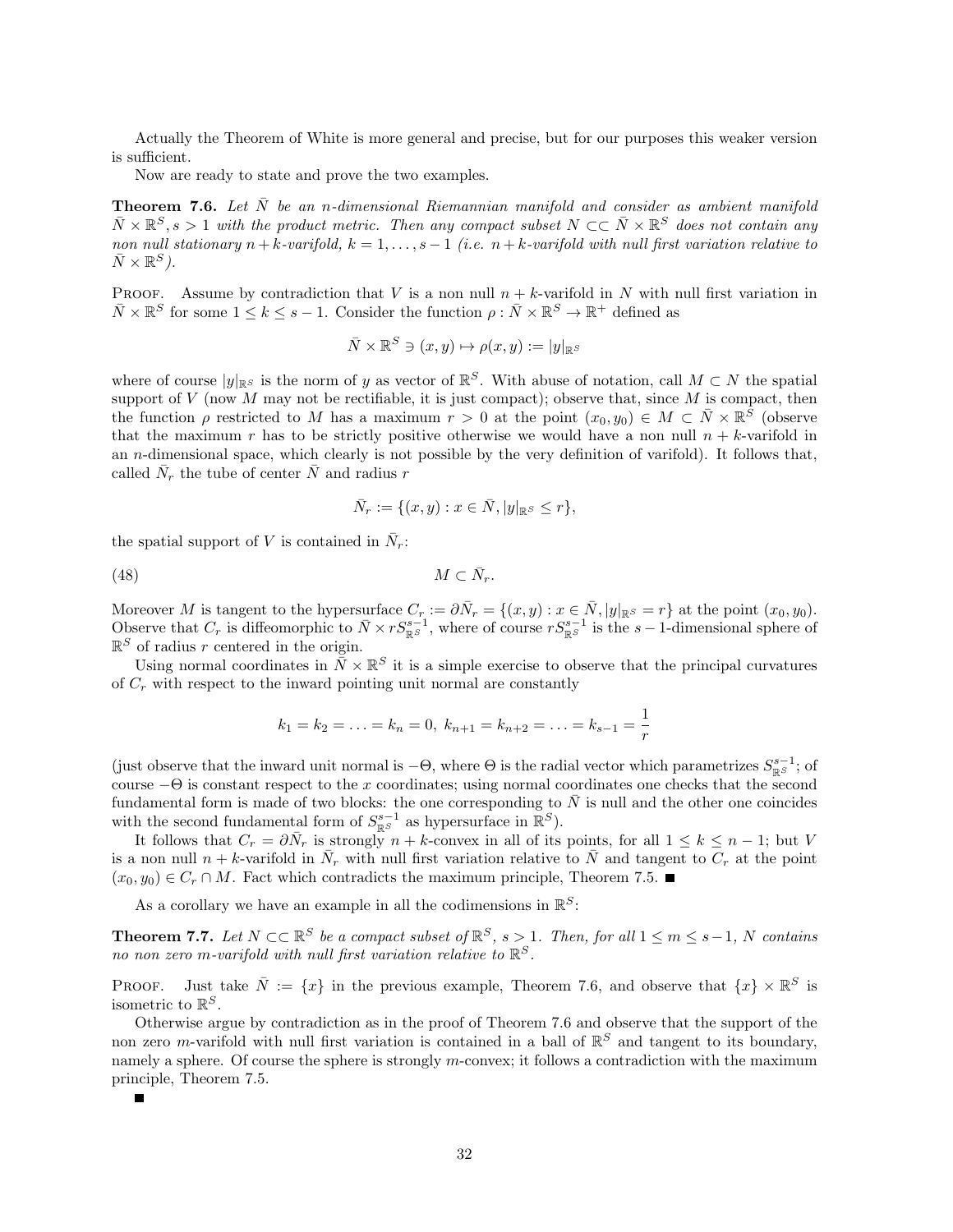Actually the Theorem of White is more general and precise, but for our purposes this weaker version is sufficient.

Now are ready to state and prove the two examples.

**Theorem 7.6.** Let  $\bar{N}$  be an n-dimensional Riemannian manifold and consider as ambient manifold  $\bar{N} \times \mathbb{R}^S$ , s > 1 with the product metric. Then any compact subset  $N \subset \subset \bar{N} \times \mathbb{R}^S$  does not contain any non null stationary  $n + k$ -varifold,  $k = 1, \ldots, s - 1$  (i.e.  $n + k$ -varifold with null first variation relative to  $\bar{N} \times \mathbb{R}^S$ ).

PROOF. Assume by contradiction that V is a non null  $n + k$ -varifold in N with null first variation in  $\bar{N} \times \mathbb{R}^S$  for some  $1 \leq k \leq s-1$ . Consider the function  $\rho : \bar{N} \times \mathbb{R}^S \to \mathbb{R}^+$  defined as

$$
\bar{N} \times \mathbb{R}^S \ni (x, y) \mapsto \rho(x, y) := |y|_{\mathbb{R}^S}
$$

where of course  $|y|_{\mathbb{R}^S}$  is the norm of y as vector of  $\mathbb{R}^S$ . With abuse of notation, call  $M \subset N$  the spatial support of  $V$  (now  $M$  may not be rectifiable, it is just compact); observe that, since  $M$  is compact, then the function  $\rho$  restricted to M has a maximum  $r > 0$  at the point  $(x_0, y_0) \in M \subset \overline{N} \times \mathbb{R}^{\overline{S}}$  (observe that the maximum r has to be strictly positive otherwise we would have a non null  $n + k$ -varifold in an n-dimensional space, which clearly is not possible by the very definition of varifold). It follows that, called  $\bar{N}_r$  the tube of center  $\bar{N}$  and radius r

$$
\bar{N}_r := \{(x, y) : x \in \bar{N}, |y|_{\mathbb{R}^S} \le r\},\
$$

the spatial support of V is contained in  $\bar{N}_r$ :

(48) M ⊂ N¯ r.

Moreover M is tangent to the hypersurface  $C_r := \partial \bar{N}_r = \{(x, y) : x \in \bar{N}, |y|_{\mathbb{R}^S} = r\}$  at the point  $(x_0, y_0)$ . Observe that  $C_r$  is diffeomorphic to  $\bar{N} \times rS^{s-1}_{\mathbb{R}^S}$ , where of course  $rS^{s-1}_{\mathbb{R}^S}$  is the  $s-1$ -dimensional sphere of  $\mathbb{R}^S$  of radius r centered in the origin.

Using normal coordinates in  $\bar{N} \times \mathbb{R}^S$  it is a simple exercise to observe that the principal curvatures of  $C_r$  with respect to the inward pointing unit normal are constantly

$$
k_1 = k_2 = \ldots = k_n = 0, k_{n+1} = k_{n+2} = \ldots = k_{s-1} = \frac{1}{r}
$$

(just observe that the inward unit normal is  $-\Theta$ , where  $\Theta$  is the radial vector which parametrizes  $S^{s-1}_{\mathbb{R}^S}$ ; of course  $-\Theta$  is constant respect to the x coordinates; using normal coordinates one checks that the second fundamental form is made of two blocks: the one corresponding to  $N$  is null and the other one coincides with the second fundamental form of  $S^{s-1}_{\mathbb{R}^S}$  as hypersurface in  $\mathbb{R}^S$ ).

It follows that  $C_r = \partial \bar{N}_r$  is strongly  $n + k$ -convex in all of its points, for all  $1 \leq k \leq n - 1$ ; but V is a non null  $n + k$ -varifold in  $\bar{N}_r$  with null first variation relative to  $\bar{N}$  and tangent to  $C_r$  at the point  $(x_0, y_0) \in C_r \cap M$ . Fact which contradicts the maximum principle, Theorem 7.5.

As a corollary we have an example in all the codimensions in  $\mathbb{R}^S$ :

**Theorem 7.7.** Let  $N \subset \mathbb{R}^S$  be a compact subset of  $\mathbb{R}^S$ ,  $s > 1$ . Then, for all  $1 \le m \le s-1$ , N contains no non zero m-varifold with null first variation relative to  $\mathbb{R}^S$ .

PROOF. Just take  $\overline{N} := \{x\}$  in the previous example, Theorem 7.6, and observe that  $\{x\} \times \mathbb{R}^S$  is isometric to  $\mathbb{R}^S$ .

Otherwise argue by contradiction as in the proof of Theorem 7.6 and observe that the support of the non zero m-varifold with null first variation is contained in a ball of  $\mathbb{R}^S$  and tangent to its boundary, namely a sphere. Of course the sphere is strongly m-convex; it follows a contradiction with the maximum principle, Theorem 7.5.

П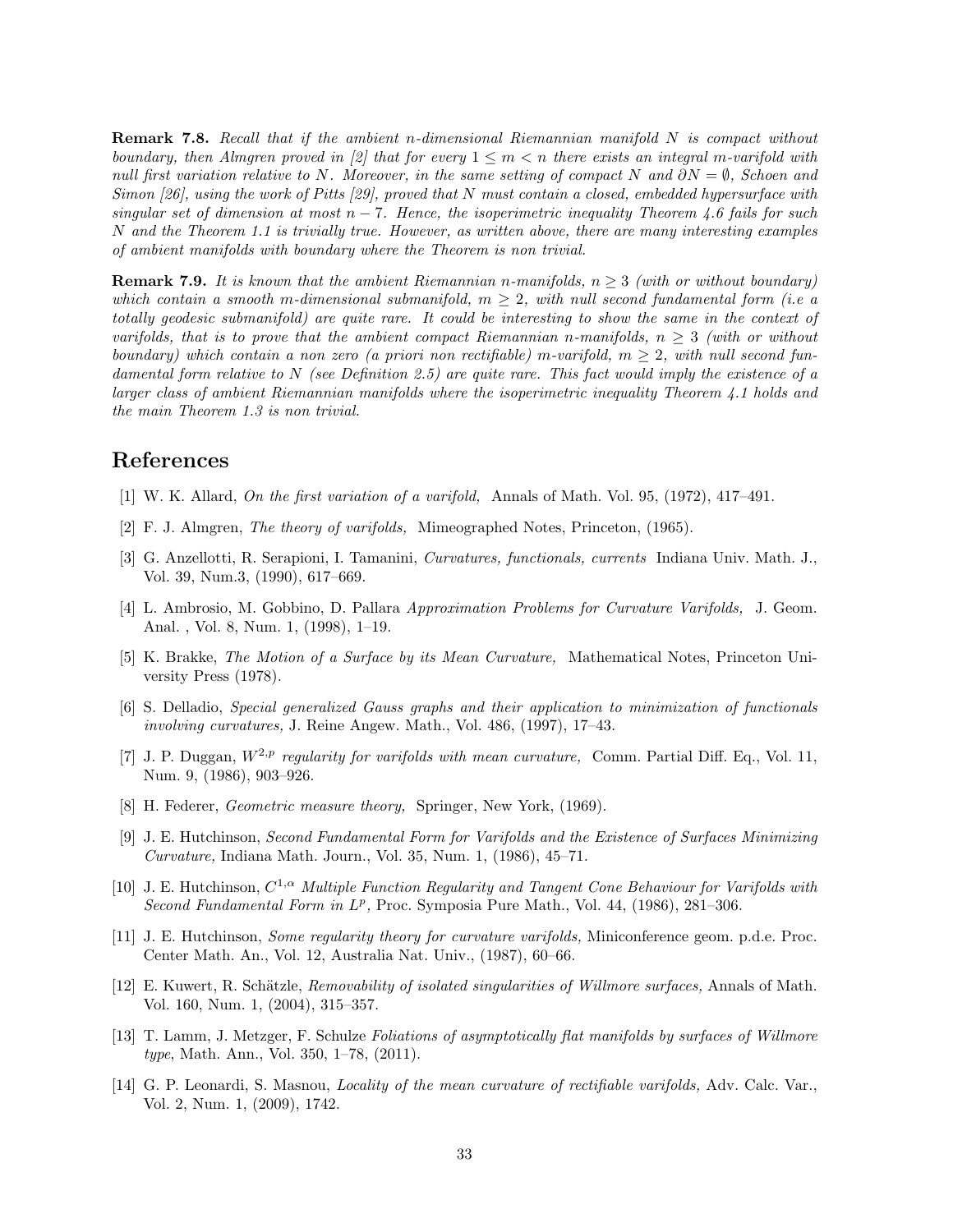**Remark 7.8.** Recall that if the ambient n-dimensional Riemannian manifold N is compact without boundary, then Almgren proved in [2] that for every  $1 \leq m < n$  there exists an integral m-varifold with null first variation relative to N. Moreover, in the same setting of compact N and  $\partial N = \emptyset$ , Schoen and Simon  $[26]$ , using the work of Pitts  $[29]$ , proved that N must contain a closed, embedded hypersurface with singular set of dimension at most  $n - 7$ . Hence, the isoperimetric inequality Theorem 4.6 fails for such N and the Theorem 1.1 is trivially true. However, as written above, there are many interesting examples of ambient manifolds with boundary where the Theorem is non trivial.

**Remark 7.9.** It is known that the ambient Riemannian n-manifolds,  $n \geq 3$  (with or without boundary) which contain a smooth m-dimensional submanifold,  $m \geq 2$ , with null second fundamental form (i.e. a totally geodesic submanifold) are quite rare. It could be interesting to show the same in the context of varifolds, that is to prove that the ambient compact Riemannian n-manifolds,  $n > 3$  (with or without boundary) which contain a non zero (a priori non rectifiable) m-varifold,  $m \geq 2$ , with null second fundamental form relative to  $N$  (see Definition 2.5) are quite rare. This fact would imply the existence of a larger class of ambient Riemannian manifolds where the isoperimetric inequality Theorem 4.1 holds and the main Theorem 1.3 is non trivial.

## References

- [1] W. K. Allard, On the first variation of a varifold, Annals of Math. Vol. 95, (1972), 417–491.
- [2] F. J. Almgren, The theory of varifolds, Mimeographed Notes, Princeton, (1965).
- [3] G. Anzellotti, R. Serapioni, I. Tamanini, Curvatures, functionals, currents Indiana Univ. Math. J., Vol. 39, Num.3, (1990), 617–669.
- [4] L. Ambrosio, M. Gobbino, D. Pallara Approximation Problems for Curvature Varifolds, J. Geom. Anal. , Vol. 8, Num. 1, (1998), 1–19.
- [5] K. Brakke, The Motion of a Surface by its Mean Curvature, Mathematical Notes, Princeton University Press (1978).
- [6] S. Delladio, Special generalized Gauss graphs and their application to minimization of functionals involving curvatures, J. Reine Angew. Math., Vol. 486, (1997), 17–43.
- [7] J. P. Duggan,  $W^{2,p}$  regularity for varifolds with mean curvature, Comm. Partial Diff. Eq., Vol. 11, Num. 9, (1986), 903–926.
- [8] H. Federer, *Geometric measure theory*, Springer, New York, (1969).
- [9] J. E. Hutchinson, Second Fundamental Form for Varifolds and the Existence of Surfaces Minimizing Curvature, Indiana Math. Journ., Vol. 35, Num. 1, (1986), 45–71.
- [10] J. E. Hutchinson,  $C^{1,\alpha}$  Multiple Function Regularity and Tangent Cone Behaviour for Varifolds with Second Fundamental Form in  $L^p$ , Proc. Symposia Pure Math., Vol. 44, (1986), 281-306.
- [11] J. E. Hutchinson, Some regularity theory for curvature varifolds, Miniconference geom. p.d.e. Proc. Center Math. An., Vol. 12, Australia Nat. Univ., (1987), 60–66.
- [12] E. Kuwert, R. Schätzle, Removability of isolated singularities of Willmore surfaces, Annals of Math. Vol. 160, Num. 1, (2004), 315–357.
- [13] T. Lamm, J. Metzger, F. Schulze Foliations of asymptotically flat manifolds by surfaces of Willmore type, Math. Ann., Vol. 350, 1–78, (2011).
- [14] G. P. Leonardi, S. Masnou, Locality of the mean curvature of rectifiable varifolds, Adv. Calc. Var., Vol. 2, Num. 1, (2009), 1742.